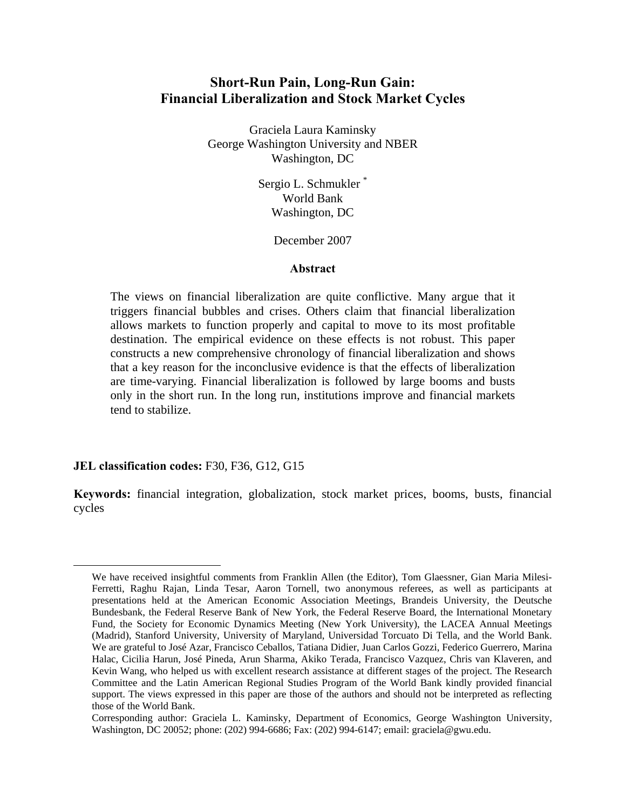# **Short-Run Pain, Long-Run Gain: Financial Liberalization and Stock Market Cycles**

Graciela Laura Kaminsky George Washington University and NBER Washington, DC

> Sergio L. Schmukler \* World Bank Washington, DC

> > December 2007

# **Abstract**

The views on financial liberalization are quite conflictive. Many argue that it triggers financial bubbles and crises. Others claim that financial liberalization allows markets to function properly and capital to move to its most profitable destination. The empirical evidence on these effects is not robust. This paper constructs a new comprehensive chronology of financial liberalization and shows that a key reason for the inconclusive evidence is that the effects of liberalization are time-varying. Financial liberalization is followed by large booms and busts only in the short run. In the long run, institutions improve and financial markets tend to stabilize.

# **JEL classification codes:** F30, F36, G12, G15

**Keywords:** financial integration, globalization, stock market prices, booms, busts, financial cycles

We have received insightful comments from Franklin Allen (the Editor), Tom Glaessner, Gian Maria Milesi-Ferretti, Raghu Rajan, Linda Tesar, Aaron Tornell, two anonymous referees, as well as participants at presentations held at the American Economic Association Meetings, Brandeis University, the Deutsche Bundesbank, the Federal Reserve Bank of New York, the Federal Reserve Board, the International Monetary Fund, the Society for Economic Dynamics Meeting (New York University), the LACEA Annual Meetings (Madrid), Stanford University, University of Maryland, Universidad Torcuato Di Tella, and the World Bank. We are grateful to José Azar, Francisco Ceballos, Tatiana Didier, Juan Carlos Gozzi, Federico Guerrero, Marina Halac, Cicilia Harun, José Pineda, Arun Sharma, Akiko Terada, Francisco Vazquez, Chris van Klaveren, and Kevin Wang, who helped us with excellent research assistance at different stages of the project. The Research Committee and the Latin American Regional Studies Program of the World Bank kindly provided financial support. The views expressed in this paper are those of the authors and should not be interpreted as reflecting those of the World Bank.

Corresponding author: Graciela L. Kaminsky, Department of Economics, George Washington University, Washington, DC 20052; phone: (202) 994-6686; Fax: (202) 994-6147; email: graciela@gwu.edu.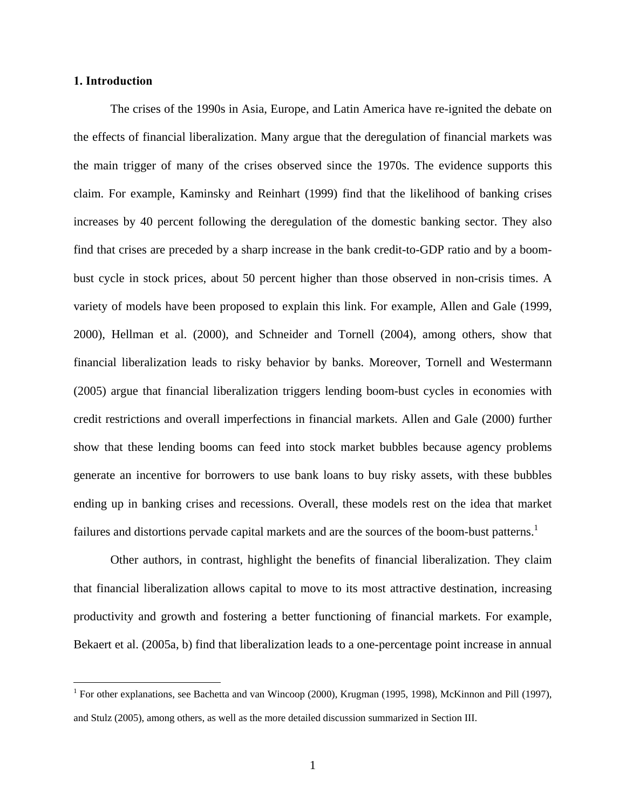# **1. Introduction**

The crises of the 1990s in Asia, Europe, and Latin America have re-ignited the debate on the effects of financial liberalization. Many argue that the deregulation of financial markets was the main trigger of many of the crises observed since the 1970s. The evidence supports this claim. For example, Kaminsky and Reinhart (1999) find that the likelihood of banking crises increases by 40 percent following the deregulation of the domestic banking sector. They also find that crises are preceded by a sharp increase in the bank credit-to-GDP ratio and by a boombust cycle in stock prices, about 50 percent higher than those observed in non-crisis times. A variety of models have been proposed to explain this link. For example, Allen and Gale (1999, 2000), Hellman et al. (2000), and Schneider and Tornell (2004), among others, show that financial liberalization leads to risky behavior by banks. Moreover, Tornell and Westermann (2005) argue that financial liberalization triggers lending boom-bust cycles in economies with credit restrictions and overall imperfections in financial markets. Allen and Gale (2000) further show that these lending booms can feed into stock market bubbles because agency problems generate an incentive for borrowers to use bank loans to buy risky assets, with these bubbles ending up in banking crises and recessions. Overall, these models rest on the idea that market failures and distortions pervade capital markets and are the sources of the boom-bust patterns.<sup>1</sup>

Other authors, in contrast, highlight the benefits of financial liberalization. They claim that financial liberalization allows capital to move to its most attractive destination, increasing productivity and growth and fostering a better functioning of financial markets. For example, Bekaert et al. (2005a, b) find that liberalization leads to a one-percentage point increase in annual

The sum other explanations, see Bachetta and van Wincoop (2000), Krugman (1995, 1998), McKinnon and Pill (1997), The Sachetta and van Wincoop (2000), Krugman (1995, 1998), McKinnon and Pill (1997), and Stulz (2005), among others, as well as the more detailed discussion summarized in Section III.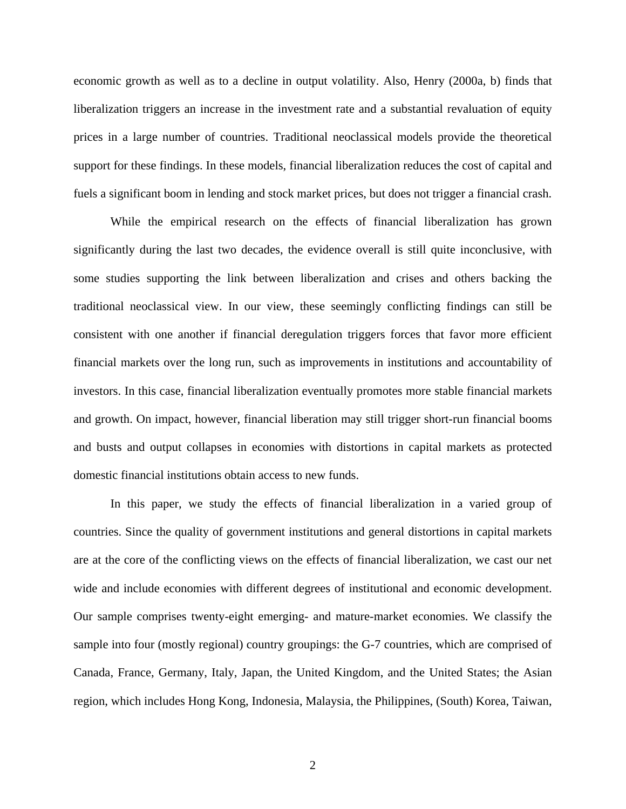economic growth as well as to a decline in output volatility. Also, Henry (2000a, b) finds that liberalization triggers an increase in the investment rate and a substantial revaluation of equity prices in a large number of countries. Traditional neoclassical models provide the theoretical support for these findings. In these models, financial liberalization reduces the cost of capital and fuels a significant boom in lending and stock market prices, but does not trigger a financial crash.

While the empirical research on the effects of financial liberalization has grown significantly during the last two decades, the evidence overall is still quite inconclusive, with some studies supporting the link between liberalization and crises and others backing the traditional neoclassical view. In our view, these seemingly conflicting findings can still be consistent with one another if financial deregulation triggers forces that favor more efficient financial markets over the long run, such as improvements in institutions and accountability of investors. In this case, financial liberalization eventually promotes more stable financial markets and growth. On impact, however, financial liberation may still trigger short-run financial booms and busts and output collapses in economies with distortions in capital markets as protected domestic financial institutions obtain access to new funds.

In this paper, we study the effects of financial liberalization in a varied group of countries. Since the quality of government institutions and general distortions in capital markets are at the core of the conflicting views on the effects of financial liberalization, we cast our net wide and include economies with different degrees of institutional and economic development. Our sample comprises twenty-eight emerging- and mature-market economies. We classify the sample into four (mostly regional) country groupings: the G-7 countries, which are comprised of Canada, France, Germany, Italy, Japan, the United Kingdom, and the United States; the Asian region, which includes Hong Kong, Indonesia, Malaysia, the Philippines, (South) Korea, Taiwan,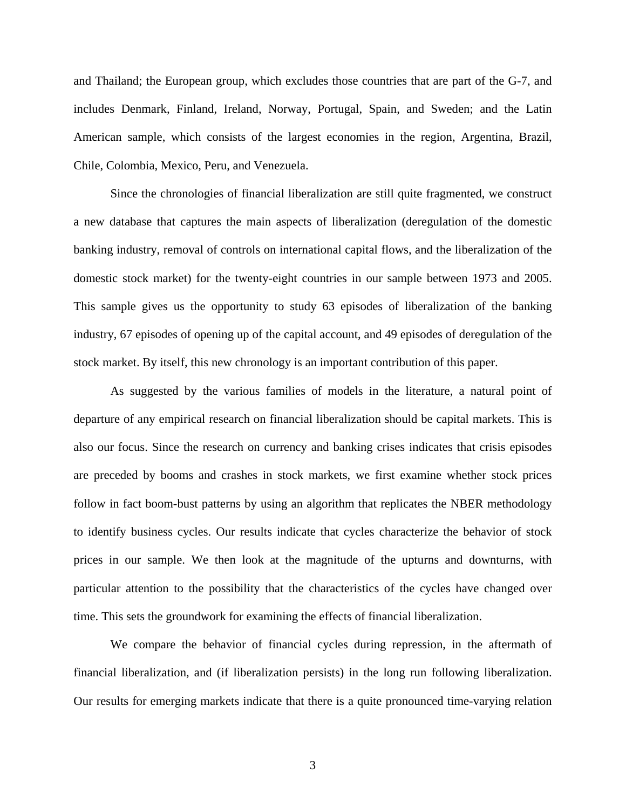and Thailand; the European group, which excludes those countries that are part of the G-7, and includes Denmark, Finland, Ireland, Norway, Portugal, Spain, and Sweden; and the Latin American sample, which consists of the largest economies in the region, Argentina, Brazil, Chile, Colombia, Mexico, Peru, and Venezuela.

Since the chronologies of financial liberalization are still quite fragmented, we construct a new database that captures the main aspects of liberalization (deregulation of the domestic banking industry, removal of controls on international capital flows, and the liberalization of the domestic stock market) for the twenty-eight countries in our sample between 1973 and 2005. This sample gives us the opportunity to study 63 episodes of liberalization of the banking industry, 67 episodes of opening up of the capital account, and 49 episodes of deregulation of the stock market. By itself, this new chronology is an important contribution of this paper.

As suggested by the various families of models in the literature, a natural point of departure of any empirical research on financial liberalization should be capital markets. This is also our focus. Since the research on currency and banking crises indicates that crisis episodes are preceded by booms and crashes in stock markets, we first examine whether stock prices follow in fact boom-bust patterns by using an algorithm that replicates the NBER methodology to identify business cycles. Our results indicate that cycles characterize the behavior of stock prices in our sample. We then look at the magnitude of the upturns and downturns, with particular attention to the possibility that the characteristics of the cycles have changed over time. This sets the groundwork for examining the effects of financial liberalization.

We compare the behavior of financial cycles during repression, in the aftermath of financial liberalization, and (if liberalization persists) in the long run following liberalization. Our results for emerging markets indicate that there is a quite pronounced time-varying relation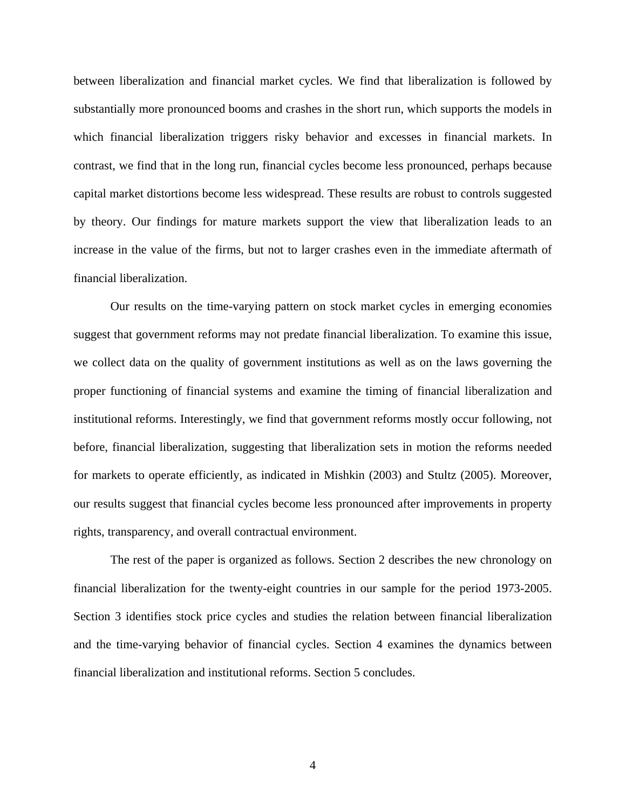between liberalization and financial market cycles. We find that liberalization is followed by substantially more pronounced booms and crashes in the short run, which supports the models in which financial liberalization triggers risky behavior and excesses in financial markets. In contrast, we find that in the long run, financial cycles become less pronounced, perhaps because capital market distortions become less widespread. These results are robust to controls suggested by theory. Our findings for mature markets support the view that liberalization leads to an increase in the value of the firms, but not to larger crashes even in the immediate aftermath of financial liberalization.

Our results on the time-varying pattern on stock market cycles in emerging economies suggest that government reforms may not predate financial liberalization. To examine this issue, we collect data on the quality of government institutions as well as on the laws governing the proper functioning of financial systems and examine the timing of financial liberalization and institutional reforms. Interestingly, we find that government reforms mostly occur following, not before, financial liberalization, suggesting that liberalization sets in motion the reforms needed for markets to operate efficiently, as indicated in Mishkin (2003) and Stultz (2005). Moreover, our results suggest that financial cycles become less pronounced after improvements in property rights, transparency, and overall contractual environment.

The rest of the paper is organized as follows. Section 2 describes the new chronology on financial liberalization for the twenty-eight countries in our sample for the period 1973-2005. Section 3 identifies stock price cycles and studies the relation between financial liberalization and the time-varying behavior of financial cycles. Section 4 examines the dynamics between financial liberalization and institutional reforms. Section 5 concludes.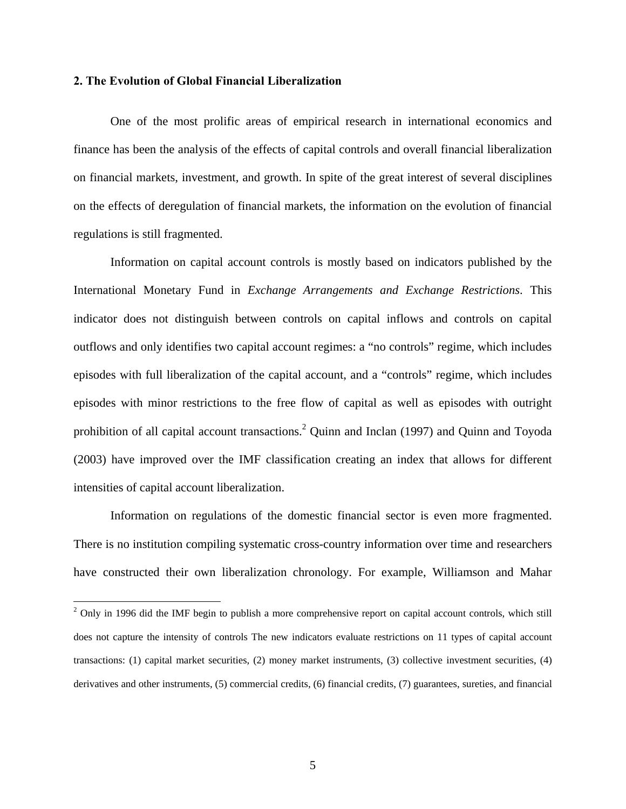# **2. The Evolution of Global Financial Liberalization**

 $\overline{a}$ 

One of the most prolific areas of empirical research in international economics and finance has been the analysis of the effects of capital controls and overall financial liberalization on financial markets, investment, and growth. In spite of the great interest of several disciplines on the effects of deregulation of financial markets, the information on the evolution of financial regulations is still fragmented.

Information on capital account controls is mostly based on indicators published by the International Monetary Fund in *Exchange Arrangements and Exchange Restrictions*. This indicator does not distinguish between controls on capital inflows and controls on capital outflows and only identifies two capital account regimes: a "no controls" regime, which includes episodes with full liberalization of the capital account, and a "controls" regime, which includes episodes with minor restrictions to the free flow of capital as well as episodes with outright prohibition of all capital account transactions.<sup>2</sup> Quinn and Inclan (1997) and Quinn and Toyoda (2003) have improved over the IMF classification creating an index that allows for different intensities of capital account liberalization.

Information on regulations of the domestic financial sector is even more fragmented. There is no institution compiling systematic cross-country information over time and researchers have constructed their own liberalization chronology. For example, Williamson and Mahar

 $2$  Only in 1996 did the IMF begin to publish a more comprehensive report on capital account controls, which still does not capture the intensity of controls The new indicators evaluate restrictions on 11 types of capital account transactions: (1) capital market securities, (2) money market instruments, (3) collective investment securities, (4) derivatives and other instruments, (5) commercial credits, (6) financial credits, (7) guarantees, sureties, and financial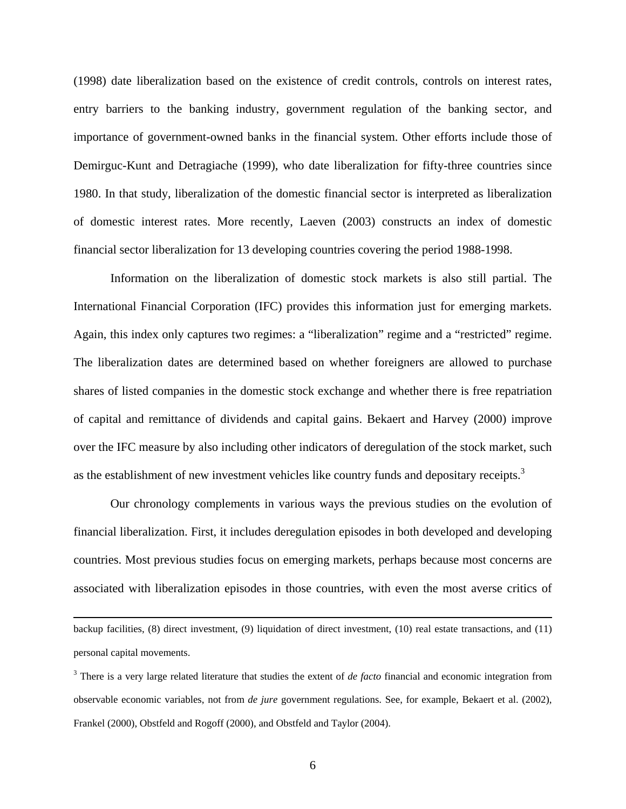(1998) date liberalization based on the existence of credit controls, controls on interest rates, entry barriers to the banking industry, government regulation of the banking sector, and importance of government-owned banks in the financial system. Other efforts include those of Demirguc-Kunt and Detragiache (1999), who date liberalization for fifty-three countries since 1980. In that study, liberalization of the domestic financial sector is interpreted as liberalization of domestic interest rates. More recently, Laeven (2003) constructs an index of domestic financial sector liberalization for 13 developing countries covering the period 1988-1998.

Information on the liberalization of domestic stock markets is also still partial. The International Financial Corporation (IFC) provides this information just for emerging markets. Again, this index only captures two regimes: a "liberalization" regime and a "restricted" regime. The liberalization dates are determined based on whether foreigners are allowed to purchase shares of listed companies in the domestic stock exchange and whether there is free repatriation of capital and remittance of dividends and capital gains. Bekaert and Harvey (2000) improve over the IFC measure by also including other indicators of deregulation of the stock market, such as the establishment of new investment vehicles like country funds and depositary receipts.<sup>3</sup>

Our chronology complements in various ways the previous studies on the evolution of financial liberalization. First, it includes deregulation episodes in both developed and developing countries. Most previous studies focus on emerging markets, perhaps because most concerns are associated with liberalization episodes in those countries, with even the most averse critics of

backup facilities, (8) direct investment, (9) liquidation of direct investment, (10) real estate transactions, and (11) personal capital movements.

<sup>&</sup>lt;sup>3</sup> There is a very large related literature that studies the extent of *de facto* financial and economic integration from observable economic variables, not from *de jure* government regulations. See, for example, Bekaert et al. (2002), Frankel (2000), Obstfeld and Rogoff (2000), and Obstfeld and Taylor (2004).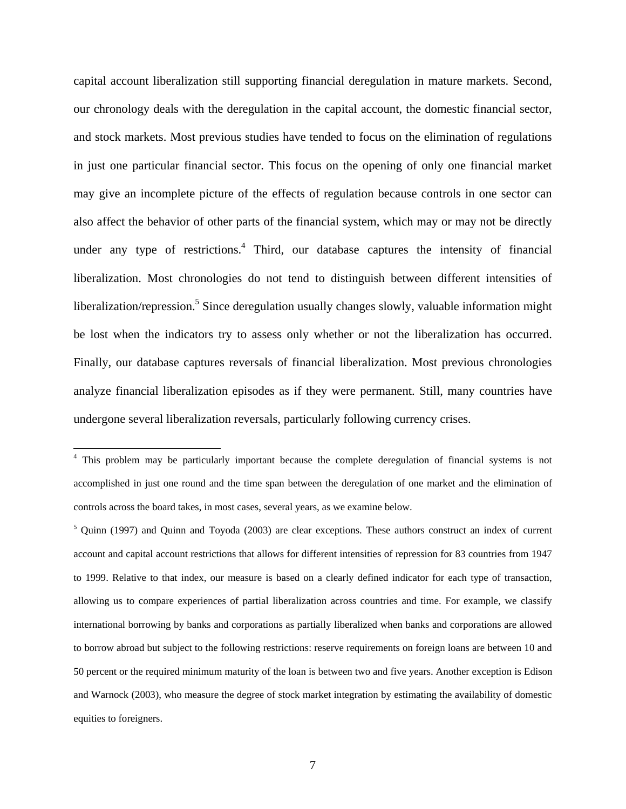capital account liberalization still supporting financial deregulation in mature markets. Second, our chronology deals with the deregulation in the capital account, the domestic financial sector, and stock markets. Most previous studies have tended to focus on the elimination of regulations in just one particular financial sector. This focus on the opening of only one financial market may give an incomplete picture of the effects of regulation because controls in one sector can also affect the behavior of other parts of the financial system, which may or may not be directly under any type of restrictions.<sup>4</sup> Third, our database captures the intensity of financial liberalization. Most chronologies do not tend to distinguish between different intensities of liberalization/repression.<sup>5</sup> Since deregulation usually changes slowly, valuable information might be lost when the indicators try to assess only whether or not the liberalization has occurred. Finally, our database captures reversals of financial liberalization. Most previous chronologies analyze financial liberalization episodes as if they were permanent. Still, many countries have undergone several liberalization reversals, particularly following currency crises.

 $\overline{a}$ 

<sup>5</sup> Quinn (1997) and Quinn and Toyoda (2003) are clear exceptions. These authors construct an index of current account and capital account restrictions that allows for different intensities of repression for 83 countries from 1947 to 1999. Relative to that index, our measure is based on a clearly defined indicator for each type of transaction, allowing us to compare experiences of partial liberalization across countries and time. For example, we classify international borrowing by banks and corporations as partially liberalized when banks and corporations are allowed to borrow abroad but subject to the following restrictions: reserve requirements on foreign loans are between 10 and 50 percent or the required minimum maturity of the loan is between two and five years. Another exception is Edison and Warnock (2003), who measure the degree of stock market integration by estimating the availability of domestic equities to foreigners.

<sup>&</sup>lt;sup>4</sup> This problem may be particularly important because the complete deregulation of financial systems is not accomplished in just one round and the time span between the deregulation of one market and the elimination of controls across the board takes, in most cases, several years, as we examine below.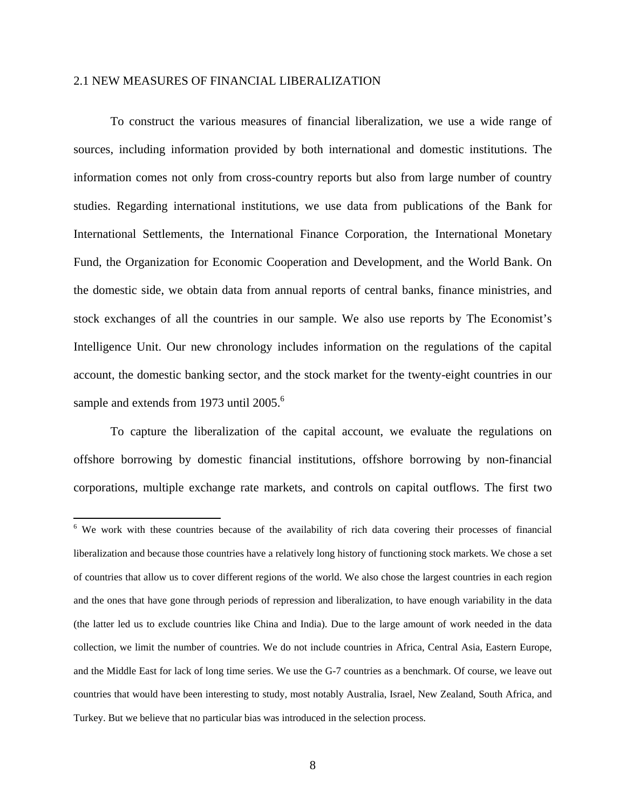# 2.1 NEW MEASURES OF FINANCIAL LIBERALIZATION

 $\overline{a}$ 

To construct the various measures of financial liberalization, we use a wide range of sources, including information provided by both international and domestic institutions. The information comes not only from cross-country reports but also from large number of country studies. Regarding international institutions, we use data from publications of the Bank for International Settlements, the International Finance Corporation, the International Monetary Fund, the Organization for Economic Cooperation and Development, and the World Bank. On the domestic side, we obtain data from annual reports of central banks, finance ministries, and stock exchanges of all the countries in our sample. We also use reports by The Economist's Intelligence Unit. Our new chronology includes information on the regulations of the capital account, the domestic banking sector, and the stock market for the twenty-eight countries in our sample and extends from 1973 until 2005.<sup>6</sup>

To capture the liberalization of the capital account, we evaluate the regulations on offshore borrowing by domestic financial institutions, offshore borrowing by non-financial corporations, multiple exchange rate markets, and controls on capital outflows. The first two

<sup>&</sup>lt;sup>6</sup> We work with these countries because of the availability of rich data covering their processes of financial liberalization and because those countries have a relatively long history of functioning stock markets. We chose a set of countries that allow us to cover different regions of the world. We also chose the largest countries in each region and the ones that have gone through periods of repression and liberalization, to have enough variability in the data (the latter led us to exclude countries like China and India). Due to the large amount of work needed in the data collection, we limit the number of countries. We do not include countries in Africa, Central Asia, Eastern Europe, and the Middle East for lack of long time series. We use the G-7 countries as a benchmark. Of course, we leave out countries that would have been interesting to study, most notably Australia, Israel, New Zealand, South Africa, and Turkey. But we believe that no particular bias was introduced in the selection process.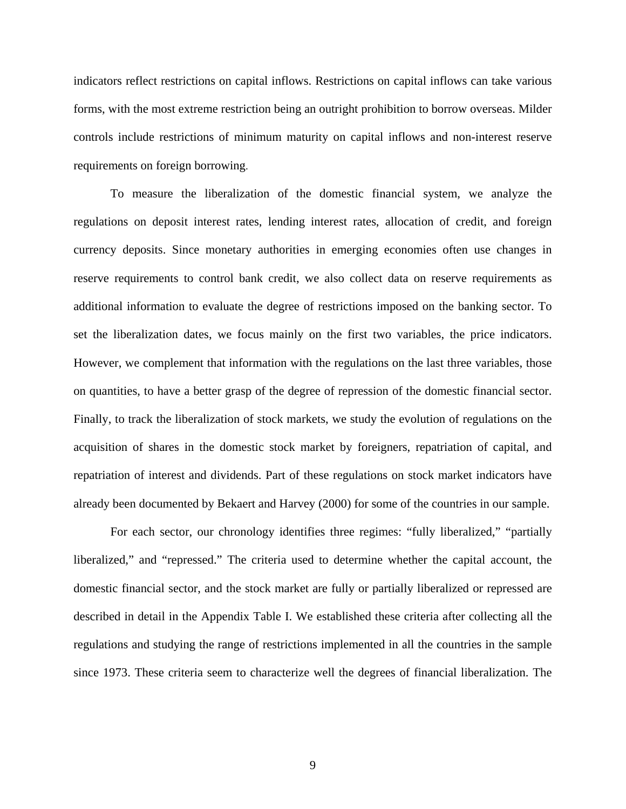indicators reflect restrictions on capital inflows. Restrictions on capital inflows can take various forms, with the most extreme restriction being an outright prohibition to borrow overseas. Milder controls include restrictions of minimum maturity on capital inflows and non-interest reserve requirements on foreign borrowing.

To measure the liberalization of the domestic financial system, we analyze the regulations on deposit interest rates, lending interest rates, allocation of credit, and foreign currency deposits. Since monetary authorities in emerging economies often use changes in reserve requirements to control bank credit, we also collect data on reserve requirements as additional information to evaluate the degree of restrictions imposed on the banking sector. To set the liberalization dates, we focus mainly on the first two variables, the price indicators. However, we complement that information with the regulations on the last three variables, those on quantities, to have a better grasp of the degree of repression of the domestic financial sector. Finally, to track the liberalization of stock markets, we study the evolution of regulations on the acquisition of shares in the domestic stock market by foreigners, repatriation of capital, and repatriation of interest and dividends. Part of these regulations on stock market indicators have already been documented by Bekaert and Harvey (2000) for some of the countries in our sample.

For each sector, our chronology identifies three regimes: "fully liberalized," "partially liberalized," and "repressed." The criteria used to determine whether the capital account, the domestic financial sector, and the stock market are fully or partially liberalized or repressed are described in detail in the Appendix Table I. We established these criteria after collecting all the regulations and studying the range of restrictions implemented in all the countries in the sample since 1973. These criteria seem to characterize well the degrees of financial liberalization. The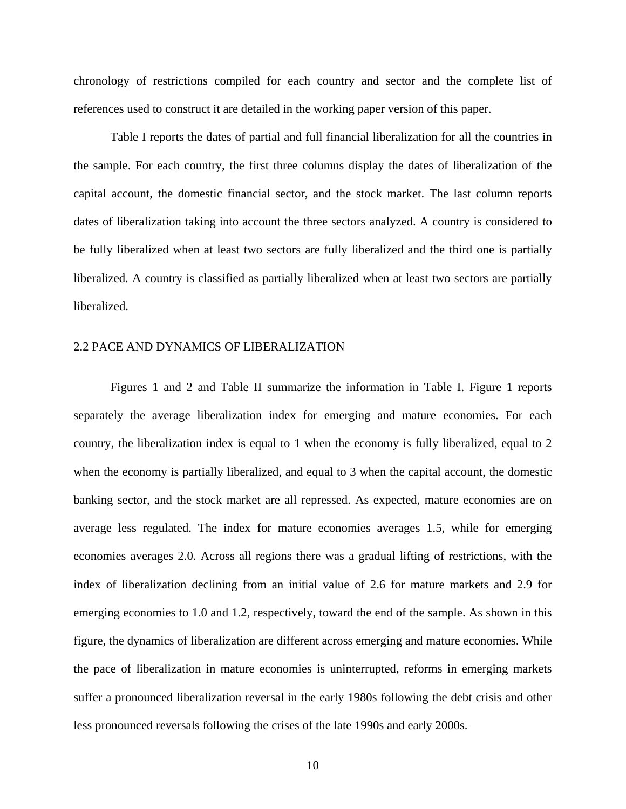chronology of restrictions compiled for each country and sector and the complete list of references used to construct it are detailed in the working paper version of this paper.

Table I reports the dates of partial and full financial liberalization for all the countries in the sample. For each country, the first three columns display the dates of liberalization of the capital account, the domestic financial sector, and the stock market. The last column reports dates of liberalization taking into account the three sectors analyzed. A country is considered to be fully liberalized when at least two sectors are fully liberalized and the third one is partially liberalized. A country is classified as partially liberalized when at least two sectors are partially liberalized.

# 2.2 PACE AND DYNAMICS OF LIBERALIZATION

Figures 1 and 2 and Table II summarize the information in Table I. Figure 1 reports separately the average liberalization index for emerging and mature economies. For each country, the liberalization index is equal to 1 when the economy is fully liberalized, equal to 2 when the economy is partially liberalized, and equal to 3 when the capital account, the domestic banking sector, and the stock market are all repressed. As expected, mature economies are on average less regulated. The index for mature economies averages 1.5, while for emerging economies averages 2.0. Across all regions there was a gradual lifting of restrictions, with the index of liberalization declining from an initial value of 2.6 for mature markets and 2.9 for emerging economies to 1.0 and 1.2, respectively, toward the end of the sample. As shown in this figure, the dynamics of liberalization are different across emerging and mature economies. While the pace of liberalization in mature economies is uninterrupted, reforms in emerging markets suffer a pronounced liberalization reversal in the early 1980s following the debt crisis and other less pronounced reversals following the crises of the late 1990s and early 2000s.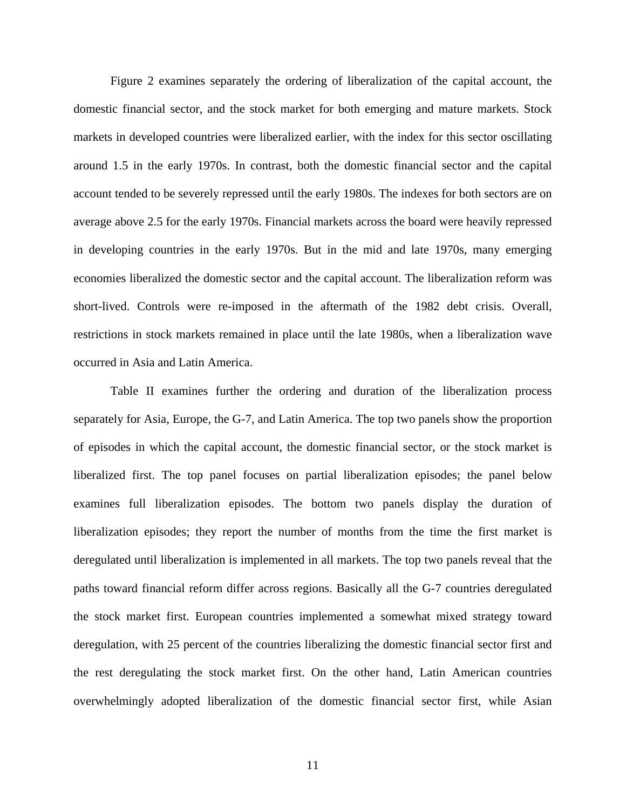Figure 2 examines separately the ordering of liberalization of the capital account, the domestic financial sector, and the stock market for both emerging and mature markets. Stock markets in developed countries were liberalized earlier, with the index for this sector oscillating around 1.5 in the early 1970s. In contrast, both the domestic financial sector and the capital account tended to be severely repressed until the early 1980s. The indexes for both sectors are on average above 2.5 for the early 1970s. Financial markets across the board were heavily repressed in developing countries in the early 1970s. But in the mid and late 1970s, many emerging economies liberalized the domestic sector and the capital account. The liberalization reform was short-lived. Controls were re-imposed in the aftermath of the 1982 debt crisis. Overall, restrictions in stock markets remained in place until the late 1980s, when a liberalization wave occurred in Asia and Latin America.

Table II examines further the ordering and duration of the liberalization process separately for Asia, Europe, the G-7, and Latin America. The top two panels show the proportion of episodes in which the capital account, the domestic financial sector, or the stock market is liberalized first. The top panel focuses on partial liberalization episodes; the panel below examines full liberalization episodes. The bottom two panels display the duration of liberalization episodes; they report the number of months from the time the first market is deregulated until liberalization is implemented in all markets. The top two panels reveal that the paths toward financial reform differ across regions. Basically all the G-7 countries deregulated the stock market first. European countries implemented a somewhat mixed strategy toward deregulation, with 25 percent of the countries liberalizing the domestic financial sector first and the rest deregulating the stock market first. On the other hand, Latin American countries overwhelmingly adopted liberalization of the domestic financial sector first, while Asian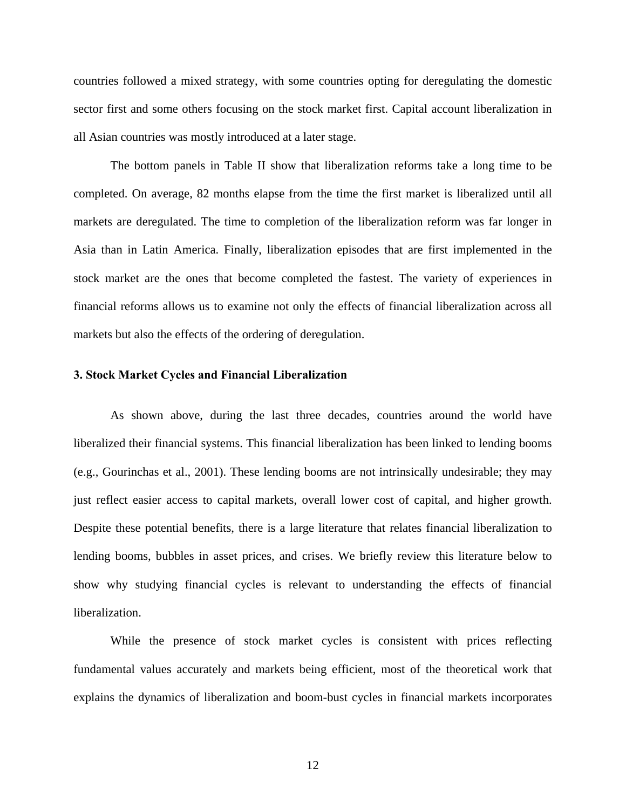countries followed a mixed strategy, with some countries opting for deregulating the domestic sector first and some others focusing on the stock market first. Capital account liberalization in all Asian countries was mostly introduced at a later stage.

The bottom panels in Table II show that liberalization reforms take a long time to be completed. On average, 82 months elapse from the time the first market is liberalized until all markets are deregulated. The time to completion of the liberalization reform was far longer in Asia than in Latin America. Finally, liberalization episodes that are first implemented in the stock market are the ones that become completed the fastest. The variety of experiences in financial reforms allows us to examine not only the effects of financial liberalization across all markets but also the effects of the ordering of deregulation.

# **3. Stock Market Cycles and Financial Liberalization**

As shown above, during the last three decades, countries around the world have liberalized their financial systems. This financial liberalization has been linked to lending booms (e.g., Gourinchas et al., 2001). These lending booms are not intrinsically undesirable; they may just reflect easier access to capital markets, overall lower cost of capital, and higher growth. Despite these potential benefits, there is a large literature that relates financial liberalization to lending booms, bubbles in asset prices, and crises. We briefly review this literature below to show why studying financial cycles is relevant to understanding the effects of financial liberalization.

While the presence of stock market cycles is consistent with prices reflecting fundamental values accurately and markets being efficient, most of the theoretical work that explains the dynamics of liberalization and boom-bust cycles in financial markets incorporates

12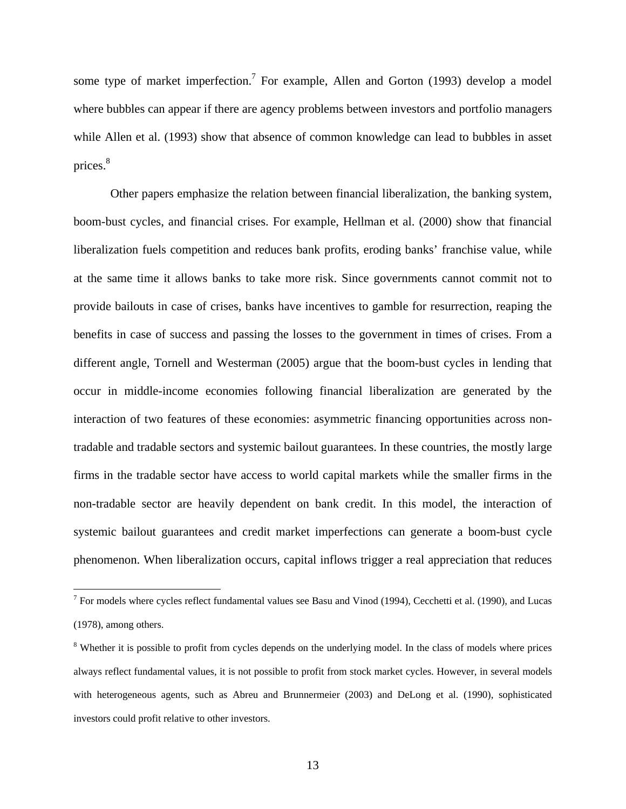some type of market imperfection.<sup>7</sup> For example, Allen and Gorton (1993) develop a model where bubbles can appear if there are agency problems between investors and portfolio managers while Allen et al. (1993) show that absence of common knowledge can lead to bubbles in asset prices.<sup>8</sup>

Other papers emphasize the relation between financial liberalization, the banking system, boom-bust cycles, and financial crises. For example, Hellman et al. (2000) show that financial liberalization fuels competition and reduces bank profits, eroding banks' franchise value, while at the same time it allows banks to take more risk. Since governments cannot commit not to provide bailouts in case of crises, banks have incentives to gamble for resurrection, reaping the benefits in case of success and passing the losses to the government in times of crises. From a different angle, Tornell and Westerman (2005) argue that the boom-bust cycles in lending that occur in middle-income economies following financial liberalization are generated by the interaction of two features of these economies: asymmetric financing opportunities across nontradable and tradable sectors and systemic bailout guarantees. In these countries, the mostly large firms in the tradable sector have access to world capital markets while the smaller firms in the non-tradable sector are heavily dependent on bank credit. In this model, the interaction of systemic bailout guarantees and credit market imperfections can generate a boom-bust cycle phenomenon. When liberalization occurs, capital inflows trigger a real appreciation that reduces

1

 $7$  For models where cycles reflect fundamental values see Basu and Vinod (1994), Cecchetti et al. (1990), and Lucas (1978), among others.

<sup>&</sup>lt;sup>8</sup> Whether it is possible to profit from cycles depends on the underlying model. In the class of models where prices always reflect fundamental values, it is not possible to profit from stock market cycles. However, in several models with heterogeneous agents, such as Abreu and Brunnermeier (2003) and DeLong et al. (1990), sophisticated investors could profit relative to other investors.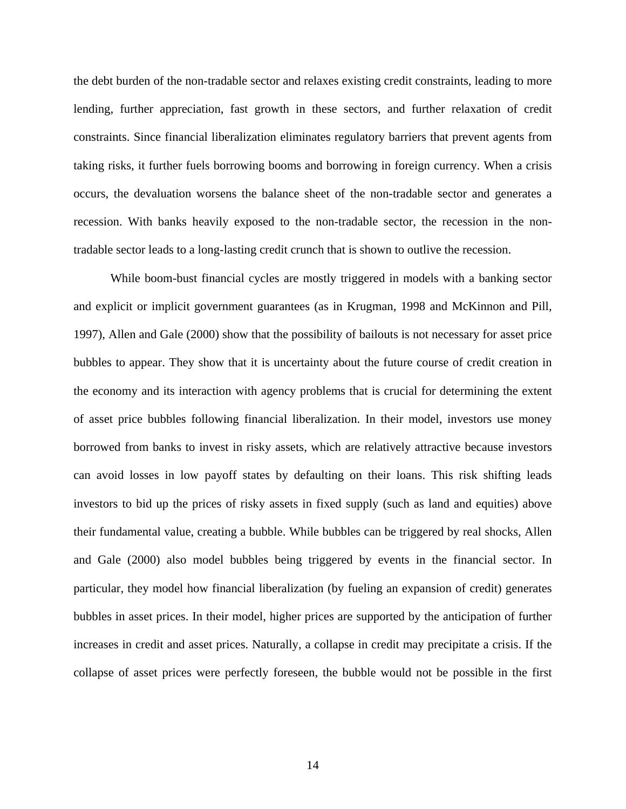the debt burden of the non-tradable sector and relaxes existing credit constraints, leading to more lending, further appreciation, fast growth in these sectors, and further relaxation of credit constraints. Since financial liberalization eliminates regulatory barriers that prevent agents from taking risks, it further fuels borrowing booms and borrowing in foreign currency. When a crisis occurs, the devaluation worsens the balance sheet of the non-tradable sector and generates a recession. With banks heavily exposed to the non-tradable sector, the recession in the nontradable sector leads to a long-lasting credit crunch that is shown to outlive the recession.

While boom-bust financial cycles are mostly triggered in models with a banking sector and explicit or implicit government guarantees (as in Krugman, 1998 and McKinnon and Pill, 1997), Allen and Gale (2000) show that the possibility of bailouts is not necessary for asset price bubbles to appear. They show that it is uncertainty about the future course of credit creation in the economy and its interaction with agency problems that is crucial for determining the extent of asset price bubbles following financial liberalization. In their model, investors use money borrowed from banks to invest in risky assets, which are relatively attractive because investors can avoid losses in low payoff states by defaulting on their loans. This risk shifting leads investors to bid up the prices of risky assets in fixed supply (such as land and equities) above their fundamental value, creating a bubble. While bubbles can be triggered by real shocks, Allen and Gale (2000) also model bubbles being triggered by events in the financial sector. In particular, they model how financial liberalization (by fueling an expansion of credit) generates bubbles in asset prices. In their model, higher prices are supported by the anticipation of further increases in credit and asset prices. Naturally, a collapse in credit may precipitate a crisis. If the collapse of asset prices were perfectly foreseen, the bubble would not be possible in the first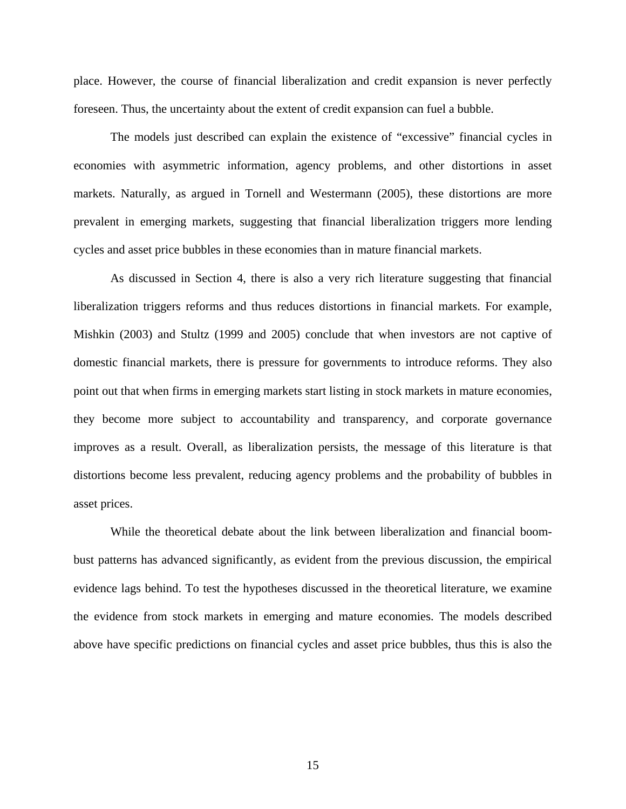place. However, the course of financial liberalization and credit expansion is never perfectly foreseen. Thus, the uncertainty about the extent of credit expansion can fuel a bubble.

The models just described can explain the existence of "excessive" financial cycles in economies with asymmetric information, agency problems, and other distortions in asset markets. Naturally, as argued in Tornell and Westermann (2005), these distortions are more prevalent in emerging markets, suggesting that financial liberalization triggers more lending cycles and asset price bubbles in these economies than in mature financial markets.

As discussed in Section 4, there is also a very rich literature suggesting that financial liberalization triggers reforms and thus reduces distortions in financial markets. For example, Mishkin (2003) and Stultz (1999 and 2005) conclude that when investors are not captive of domestic financial markets, there is pressure for governments to introduce reforms. They also point out that when firms in emerging markets start listing in stock markets in mature economies, they become more subject to accountability and transparency, and corporate governance improves as a result. Overall, as liberalization persists, the message of this literature is that distortions become less prevalent, reducing agency problems and the probability of bubbles in asset prices.

While the theoretical debate about the link between liberalization and financial boombust patterns has advanced significantly, as evident from the previous discussion, the empirical evidence lags behind. To test the hypotheses discussed in the theoretical literature, we examine the evidence from stock markets in emerging and mature economies. The models described above have specific predictions on financial cycles and asset price bubbles, thus this is also the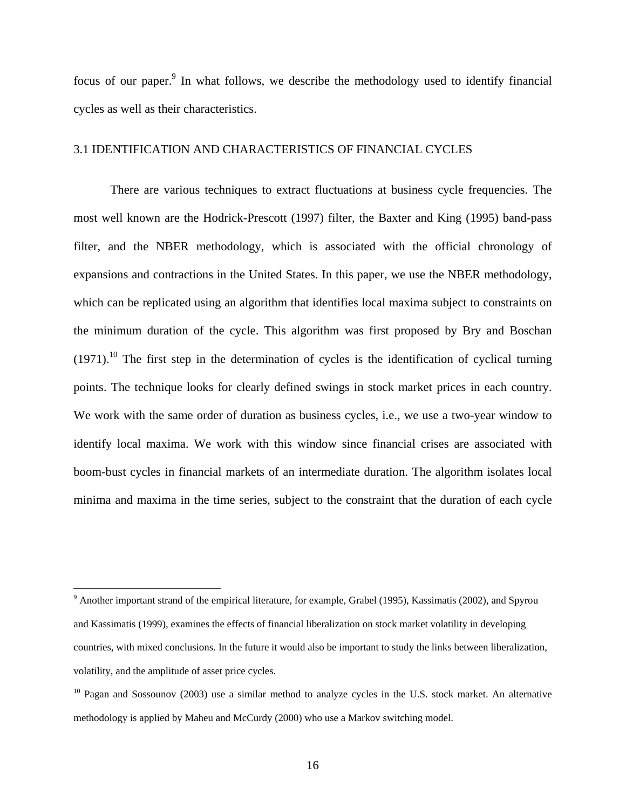focus of our paper.<sup>9</sup> In what follows, we describe the methodology used to identify financial cycles as well as their characteristics.

# 3.1 IDENTIFICATION AND CHARACTERISTICS OF FINANCIAL CYCLES

There are various techniques to extract fluctuations at business cycle frequencies. The most well known are the Hodrick-Prescott (1997) filter, the Baxter and King (1995) band-pass filter, and the NBER methodology, which is associated with the official chronology of expansions and contractions in the United States. In this paper, we use the NBER methodology, which can be replicated using an algorithm that identifies local maxima subject to constraints on the minimum duration of the cycle. This algorithm was first proposed by Bry and Boschan  $(1971)$ <sup>10</sup>. The first step in the determination of cycles is the identification of cyclical turning points. The technique looks for clearly defined swings in stock market prices in each country. We work with the same order of duration as business cycles, i.e., we use a two-year window to identify local maxima. We work with this window since financial crises are associated with boom-bust cycles in financial markets of an intermediate duration. The algorithm isolates local minima and maxima in the time series, subject to the constraint that the duration of each cycle

 $\overline{a}$ 

 $9$  Another important strand of the empirical literature, for example, Grabel (1995), Kassimatis (2002), and Spyrou and Kassimatis (1999), examines the effects of financial liberalization on stock market volatility in developing countries, with mixed conclusions. In the future it would also be important to study the links between liberalization, volatility, and the amplitude of asset price cycles.

<sup>&</sup>lt;sup>10</sup> Pagan and Sossounov (2003) use a similar method to analyze cycles in the U.S. stock market. An alternative methodology is applied by Maheu and McCurdy (2000) who use a Markov switching model.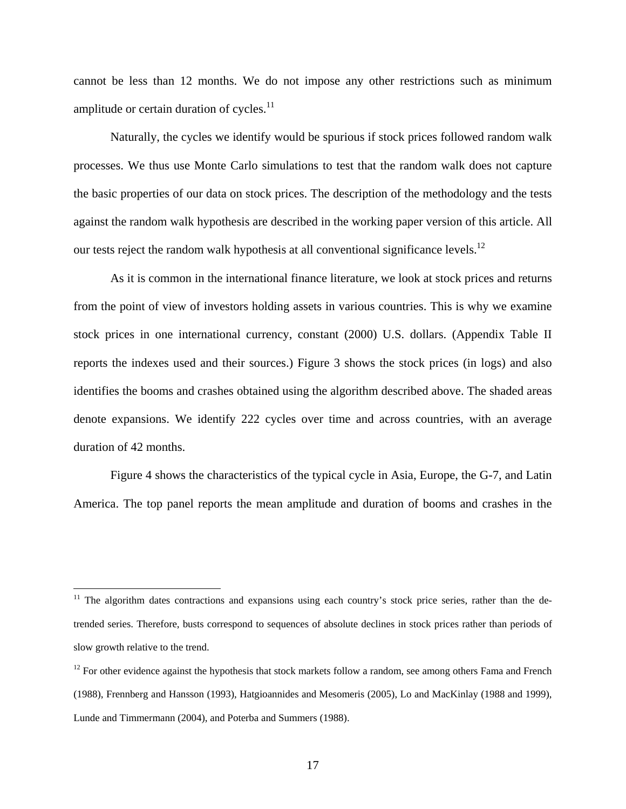cannot be less than 12 months. We do not impose any other restrictions such as minimum amplitude or certain duration of cycles. $^{11}$ 

Naturally, the cycles we identify would be spurious if stock prices followed random walk processes. We thus use Monte Carlo simulations to test that the random walk does not capture the basic properties of our data on stock prices. The description of the methodology and the tests against the random walk hypothesis are described in the working paper version of this article. All our tests reject the random walk hypothesis at all conventional significance levels.<sup>12</sup>

As it is common in the international finance literature, we look at stock prices and returns from the point of view of investors holding assets in various countries. This is why we examine stock prices in one international currency, constant (2000) U.S. dollars. (Appendix Table II reports the indexes used and their sources.) Figure 3 shows the stock prices (in logs) and also identifies the booms and crashes obtained using the algorithm described above. The shaded areas denote expansions. We identify 222 cycles over time and across countries, with an average duration of 42 months.

Figure 4 shows the characteristics of the typical cycle in Asia, Europe, the G-7, and Latin America. The top panel reports the mean amplitude and duration of booms and crashes in the

 $\overline{a}$ 

<sup>&</sup>lt;sup>11</sup> The algorithm dates contractions and expansions using each country's stock price series, rather than the detrended series. Therefore, busts correspond to sequences of absolute declines in stock prices rather than periods of slow growth relative to the trend.

 $12$  For other evidence against the hypothesis that stock markets follow a random, see among others Fama and French (1988), Frennberg and Hansson (1993), Hatgioannides and Mesomeris (2005), Lo and MacKinlay (1988 and 1999), Lunde and Timmermann (2004), and Poterba and Summers (1988).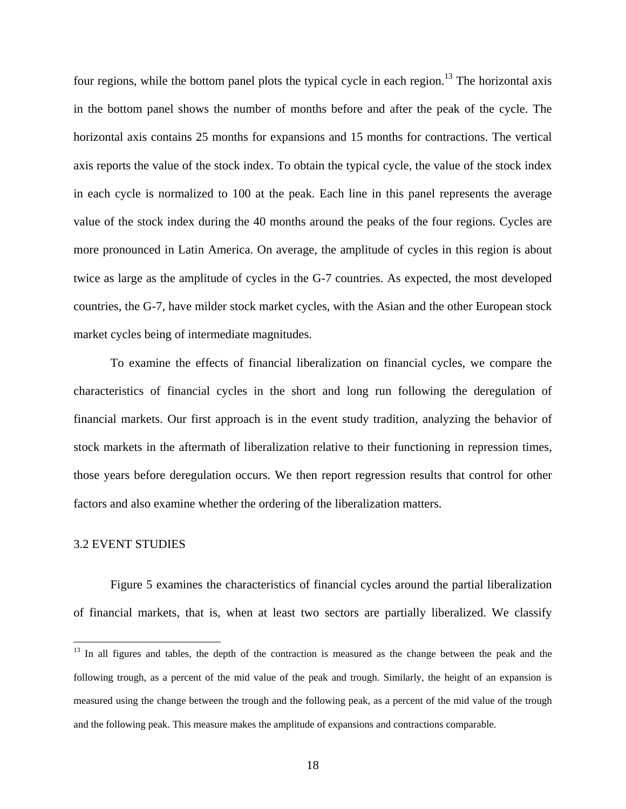four regions, while the bottom panel plots the typical cycle in each region.<sup>13</sup> The horizontal axis in the bottom panel shows the number of months before and after the peak of the cycle. The horizontal axis contains 25 months for expansions and 15 months for contractions. The vertical axis reports the value of the stock index. To obtain the typical cycle, the value of the stock index in each cycle is normalized to 100 at the peak. Each line in this panel represents the average value of the stock index during the 40 months around the peaks of the four regions. Cycles are more pronounced in Latin America. On average, the amplitude of cycles in this region is about twice as large as the amplitude of cycles in the G-7 countries. As expected, the most developed countries, the G-7, have milder stock market cycles, with the Asian and the other European stock market cycles being of intermediate magnitudes.

To examine the effects of financial liberalization on financial cycles, we compare the characteristics of financial cycles in the short and long run following the deregulation of financial markets. Our first approach is in the event study tradition, analyzing the behavior of stock markets in the aftermath of liberalization relative to their functioning in repression times, those years before deregulation occurs. We then report regression results that control for other factors and also examine whether the ordering of the liberalization matters.

### 3.2 EVENT STUDIES

 $\overline{a}$ 

Figure 5 examines the characteristics of financial cycles around the partial liberalization of financial markets, that is, when at least two sectors are partially liberalized. We classify

<sup>&</sup>lt;sup>13</sup> In all figures and tables, the depth of the contraction is measured as the change between the peak and the following trough, as a percent of the mid value of the peak and trough. Similarly, the height of an expansion is measured using the change between the trough and the following peak, as a percent of the mid value of the trough and the following peak. This measure makes the amplitude of expansions and contractions comparable.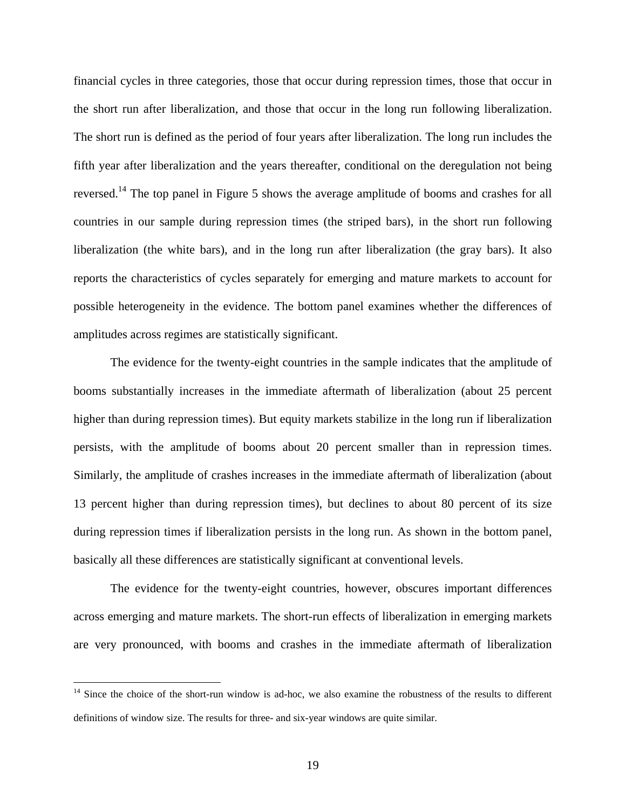financial cycles in three categories, those that occur during repression times, those that occur in the short run after liberalization, and those that occur in the long run following liberalization. The short run is defined as the period of four years after liberalization. The long run includes the fifth year after liberalization and the years thereafter, conditional on the deregulation not being reversed.<sup>14</sup> The top panel in Figure 5 shows the average amplitude of booms and crashes for all countries in our sample during repression times (the striped bars), in the short run following liberalization (the white bars), and in the long run after liberalization (the gray bars). It also reports the characteristics of cycles separately for emerging and mature markets to account for possible heterogeneity in the evidence. The bottom panel examines whether the differences of amplitudes across regimes are statistically significant.

The evidence for the twenty-eight countries in the sample indicates that the amplitude of booms substantially increases in the immediate aftermath of liberalization (about 25 percent higher than during repression times). But equity markets stabilize in the long run if liberalization persists, with the amplitude of booms about 20 percent smaller than in repression times. Similarly, the amplitude of crashes increases in the immediate aftermath of liberalization (about 13 percent higher than during repression times), but declines to about 80 percent of its size during repression times if liberalization persists in the long run. As shown in the bottom panel, basically all these differences are statistically significant at conventional levels.

The evidence for the twenty-eight countries, however, obscures important differences across emerging and mature markets. The short-run effects of liberalization in emerging markets are very pronounced, with booms and crashes in the immediate aftermath of liberalization

 $\overline{a}$ 

 $14$  Since the choice of the short-run window is ad-hoc, we also examine the robustness of the results to different definitions of window size. The results for three- and six-year windows are quite similar.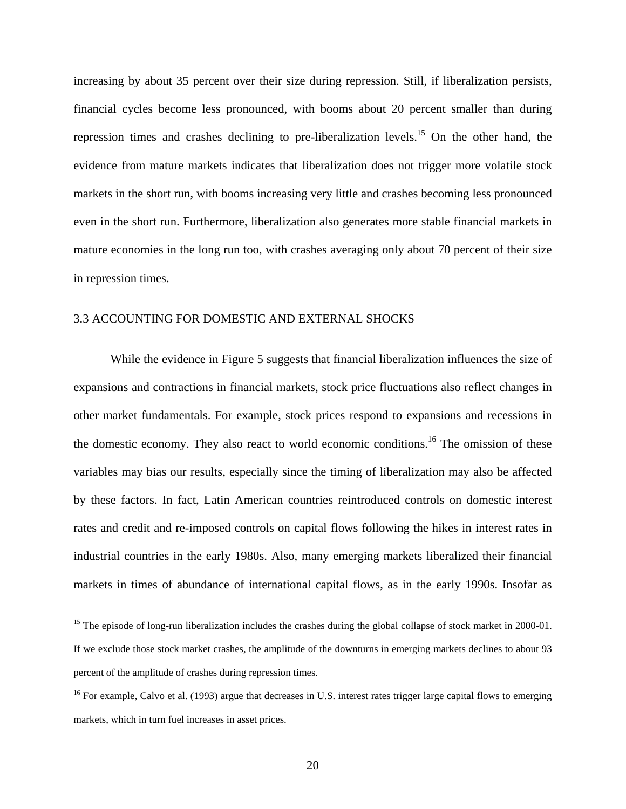increasing by about 35 percent over their size during repression. Still, if liberalization persists, financial cycles become less pronounced, with booms about 20 percent smaller than during repression times and crashes declining to pre-liberalization levels.<sup>15</sup> On the other hand, the evidence from mature markets indicates that liberalization does not trigger more volatile stock markets in the short run, with booms increasing very little and crashes becoming less pronounced even in the short run. Furthermore, liberalization also generates more stable financial markets in mature economies in the long run too, with crashes averaging only about 70 percent of their size in repression times.

# 3.3 ACCOUNTING FOR DOMESTIC AND EXTERNAL SHOCKS

1

While the evidence in Figure 5 suggests that financial liberalization influences the size of expansions and contractions in financial markets, stock price fluctuations also reflect changes in other market fundamentals. For example, stock prices respond to expansions and recessions in the domestic economy. They also react to world economic conditions.<sup>16</sup> The omission of these variables may bias our results, especially since the timing of liberalization may also be affected by these factors. In fact, Latin American countries reintroduced controls on domestic interest rates and credit and re-imposed controls on capital flows following the hikes in interest rates in industrial countries in the early 1980s. Also, many emerging markets liberalized their financial markets in times of abundance of international capital flows, as in the early 1990s. Insofar as

<sup>&</sup>lt;sup>15</sup> The episode of long-run liberalization includes the crashes during the global collapse of stock market in 2000-01. If we exclude those stock market crashes, the amplitude of the downturns in emerging markets declines to about 93 percent of the amplitude of crashes during repression times.

<sup>&</sup>lt;sup>16</sup> For example, Calvo et al. (1993) argue that decreases in U.S. interest rates trigger large capital flows to emerging markets, which in turn fuel increases in asset prices.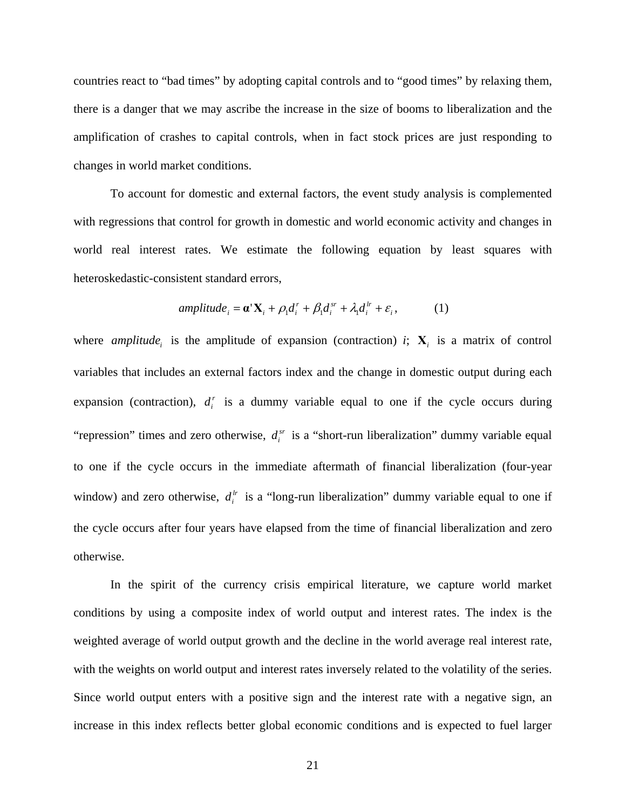countries react to "bad times" by adopting capital controls and to "good times" by relaxing them, there is a danger that we may ascribe the increase in the size of booms to liberalization and the amplification of crashes to capital controls, when in fact stock prices are just responding to changes in world market conditions.

To account for domestic and external factors, the event study analysis is complemented with regressions that control for growth in domestic and world economic activity and changes in world real interest rates. We estimate the following equation by least squares with heteroskedastic-consistent standard errors,

$$
amplitude_i = \mathbf{a}^{\dagger} \mathbf{X}_i + \rho_1 d_i^r + \beta_1 d_i^{sr} + \lambda_1 d_i^{lr} + \varepsilon_i, \qquad (1)
$$

where *amplitude*<sub>*i*</sub> is the amplitude of expansion (contraction) *i*;  $X_i$  is a matrix of control variables that includes an external factors index and the change in domestic output during each expansion (contraction),  $d_i^r$  is a dummy variable equal to one if the cycle occurs during "repression" times and zero otherwise,  $d_i^{\text{sr}}$  is a "short-run liberalization" dummy variable equal to one if the cycle occurs in the immediate aftermath of financial liberalization (four-year window) and zero otherwise,  $d_i^b$  is a "long-run liberalization" dummy variable equal to one if the cycle occurs after four years have elapsed from the time of financial liberalization and zero otherwise.

In the spirit of the currency crisis empirical literature, we capture world market conditions by using a composite index of world output and interest rates. The index is the weighted average of world output growth and the decline in the world average real interest rate, with the weights on world output and interest rates inversely related to the volatility of the series. Since world output enters with a positive sign and the interest rate with a negative sign, an increase in this index reflects better global economic conditions and is expected to fuel larger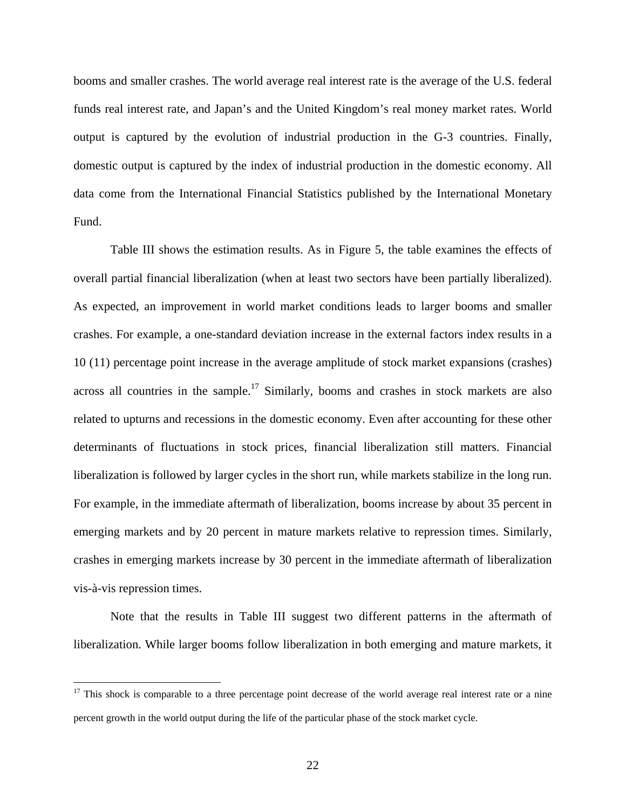booms and smaller crashes. The world average real interest rate is the average of the U.S. federal funds real interest rate, and Japan's and the United Kingdom's real money market rates. World output is captured by the evolution of industrial production in the G-3 countries. Finally, domestic output is captured by the index of industrial production in the domestic economy. All data come from the International Financial Statistics published by the International Monetary Fund.

Table III shows the estimation results. As in Figure 5, the table examines the effects of overall partial financial liberalization (when at least two sectors have been partially liberalized). As expected, an improvement in world market conditions leads to larger booms and smaller crashes. For example, a one-standard deviation increase in the external factors index results in a 10 (11) percentage point increase in the average amplitude of stock market expansions (crashes) across all countries in the sample.<sup>17</sup> Similarly, booms and crashes in stock markets are also related to upturns and recessions in the domestic economy. Even after accounting for these other determinants of fluctuations in stock prices, financial liberalization still matters. Financial liberalization is followed by larger cycles in the short run, while markets stabilize in the long run. For example, in the immediate aftermath of liberalization, booms increase by about 35 percent in emerging markets and by 20 percent in mature markets relative to repression times. Similarly, crashes in emerging markets increase by 30 percent in the immediate aftermath of liberalization vis-à-vis repression times.

Note that the results in Table III suggest two different patterns in the aftermath of liberalization. While larger booms follow liberalization in both emerging and mature markets, it

 $\overline{a}$ 

 $17$  This shock is comparable to a three percentage point decrease of the world average real interest rate or a nine percent growth in the world output during the life of the particular phase of the stock market cycle.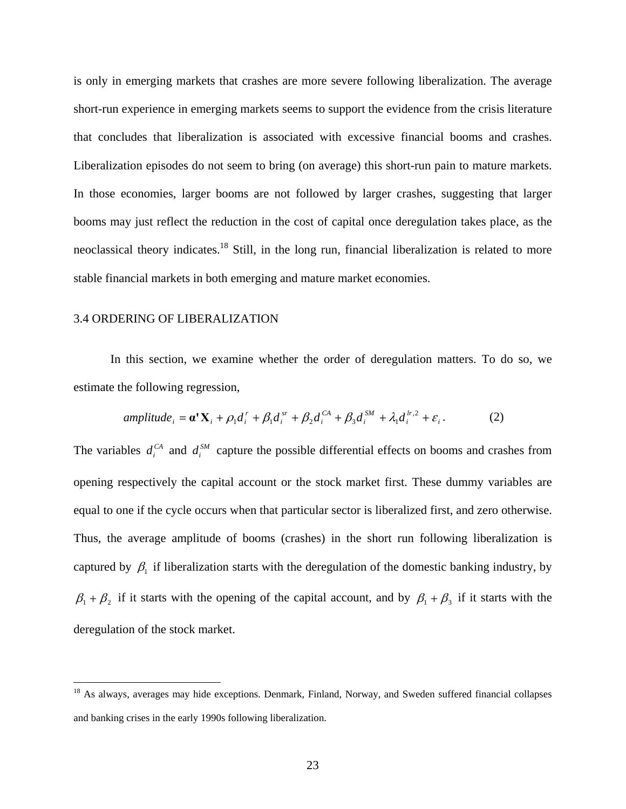is only in emerging markets that crashes are more severe following liberalization. The average short-run experience in emerging markets seems to support the evidence from the crisis literature that concludes that liberalization is associated with excessive financial booms and crashes. Liberalization episodes do not seem to bring (on average) this short-run pain to mature markets. In those economies, larger booms are not followed by larger crashes, suggesting that larger booms may just reflect the reduction in the cost of capital once deregulation takes place, as the neoclassical theory indicates.18 Still, in the long run, financial liberalization is related to more stable financial markets in both emerging and mature market economies.

### 3.4 ORDERING OF LIBERALIZATION

 $\overline{a}$ 

In this section, we examine whether the order of deregulation matters. To do so, we estimate the following regression,

amplitude<sub>i</sub> = 
$$
\mathbf{a}^{\dagger} \mathbf{X}_{i} + \rho_{1} d_{i}^{r} + \beta_{1} d_{i}^{sr} + \beta_{2} d_{i}^{CA} + \beta_{3} d_{i}^{SM} + \lambda_{1} d_{i}^{lr,2} + \varepsilon_{i}
$$
. (2)

The variables  $d_i^{CA}$  and  $d_i^{SM}$  capture the possible differential effects on booms and crashes from opening respectively the capital account or the stock market first. These dummy variables are equal to one if the cycle occurs when that particular sector is liberalized first, and zero otherwise. Thus, the average amplitude of booms (crashes) in the short run following liberalization is captured by  $\beta_1$  if liberalization starts with the deregulation of the domestic banking industry, by  $\beta_1 + \beta_2$  if it starts with the opening of the capital account, and by  $\beta_1 + \beta_3$  if it starts with the deregulation of the stock market.

<sup>&</sup>lt;sup>18</sup> As always, averages may hide exceptions. Denmark, Finland, Norway, and Sweden suffered financial collapses and banking crises in the early 1990s following liberalization.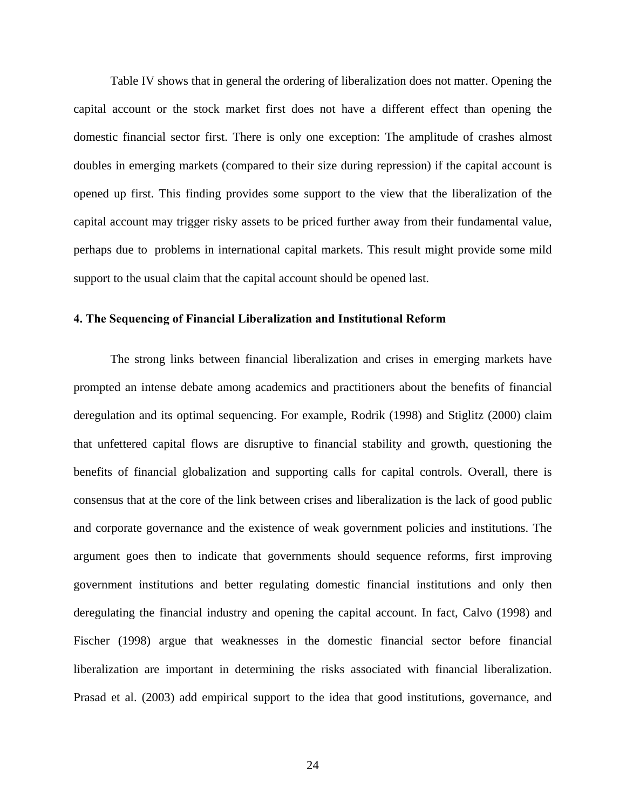Table IV shows that in general the ordering of liberalization does not matter. Opening the capital account or the stock market first does not have a different effect than opening the domestic financial sector first. There is only one exception: The amplitude of crashes almost doubles in emerging markets (compared to their size during repression) if the capital account is opened up first. This finding provides some support to the view that the liberalization of the capital account may trigger risky assets to be priced further away from their fundamental value, perhaps due to problems in international capital markets. This result might provide some mild support to the usual claim that the capital account should be opened last.

# **4. The Sequencing of Financial Liberalization and Institutional Reform**

The strong links between financial liberalization and crises in emerging markets have prompted an intense debate among academics and practitioners about the benefits of financial deregulation and its optimal sequencing. For example, Rodrik (1998) and Stiglitz (2000) claim that unfettered capital flows are disruptive to financial stability and growth, questioning the benefits of financial globalization and supporting calls for capital controls. Overall, there is consensus that at the core of the link between crises and liberalization is the lack of good public and corporate governance and the existence of weak government policies and institutions. The argument goes then to indicate that governments should sequence reforms, first improving government institutions and better regulating domestic financial institutions and only then deregulating the financial industry and opening the capital account. In fact, Calvo (1998) and Fischer (1998) argue that weaknesses in the domestic financial sector before financial liberalization are important in determining the risks associated with financial liberalization. Prasad et al. (2003) add empirical support to the idea that good institutions, governance, and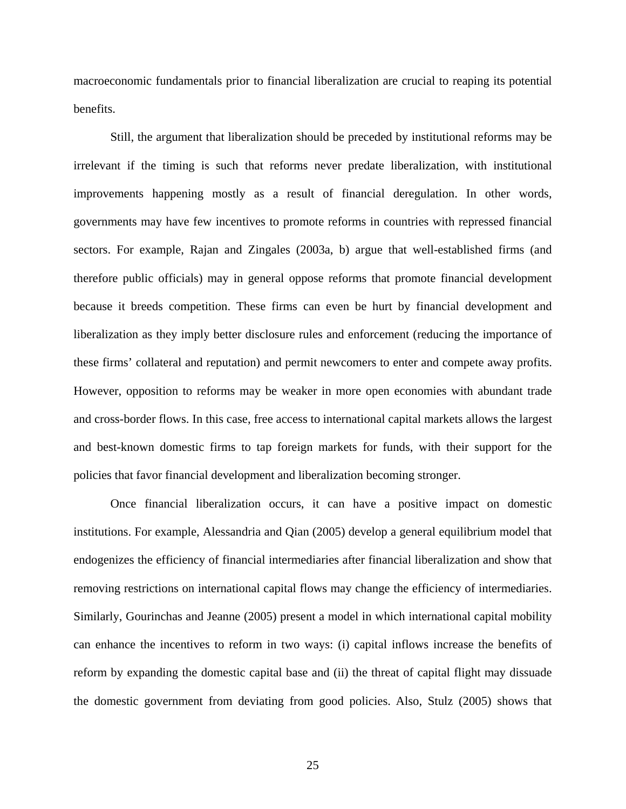macroeconomic fundamentals prior to financial liberalization are crucial to reaping its potential benefits.

Still, the argument that liberalization should be preceded by institutional reforms may be irrelevant if the timing is such that reforms never predate liberalization, with institutional improvements happening mostly as a result of financial deregulation. In other words, governments may have few incentives to promote reforms in countries with repressed financial sectors. For example, Rajan and Zingales (2003a, b) argue that well-established firms (and therefore public officials) may in general oppose reforms that promote financial development because it breeds competition. These firms can even be hurt by financial development and liberalization as they imply better disclosure rules and enforcement (reducing the importance of these firms' collateral and reputation) and permit newcomers to enter and compete away profits. However, opposition to reforms may be weaker in more open economies with abundant trade and cross-border flows. In this case, free access to international capital markets allows the largest and best-known domestic firms to tap foreign markets for funds, with their support for the policies that favor financial development and liberalization becoming stronger.

Once financial liberalization occurs, it can have a positive impact on domestic institutions. For example, Alessandria and Qian (2005) develop a general equilibrium model that endogenizes the efficiency of financial intermediaries after financial liberalization and show that removing restrictions on international capital flows may change the efficiency of intermediaries. Similarly, Gourinchas and Jeanne (2005) present a model in which international capital mobility can enhance the incentives to reform in two ways: (i) capital inflows increase the benefits of reform by expanding the domestic capital base and (ii) the threat of capital flight may dissuade the domestic government from deviating from good policies. Also, Stulz (2005) shows that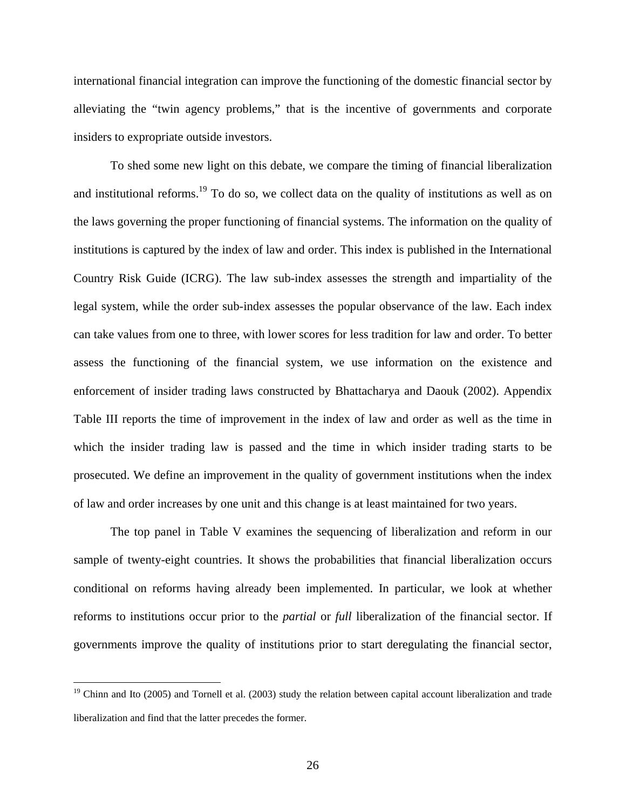international financial integration can improve the functioning of the domestic financial sector by alleviating the "twin agency problems," that is the incentive of governments and corporate insiders to expropriate outside investors.

To shed some new light on this debate, we compare the timing of financial liberalization and institutional reforms.<sup>19</sup> To do so, we collect data on the quality of institutions as well as on the laws governing the proper functioning of financial systems. The information on the quality of institutions is captured by the index of law and order. This index is published in the International Country Risk Guide (ICRG). The law sub-index assesses the strength and impartiality of the legal system, while the order sub-index assesses the popular observance of the law. Each index can take values from one to three, with lower scores for less tradition for law and order. To better assess the functioning of the financial system, we use information on the existence and enforcement of insider trading laws constructed by Bhattacharya and Daouk (2002). Appendix Table III reports the time of improvement in the index of law and order as well as the time in which the insider trading law is passed and the time in which insider trading starts to be prosecuted. We define an improvement in the quality of government institutions when the index of law and order increases by one unit and this change is at least maintained for two years.

The top panel in Table V examines the sequencing of liberalization and reform in our sample of twenty-eight countries. It shows the probabilities that financial liberalization occurs conditional on reforms having already been implemented. In particular, we look at whether reforms to institutions occur prior to the *partial* or *full* liberalization of the financial sector. If governments improve the quality of institutions prior to start deregulating the financial sector,

<u>.</u>

 $19$  Chinn and Ito (2005) and Tornell et al. (2003) study the relation between capital account liberalization and trade liberalization and find that the latter precedes the former.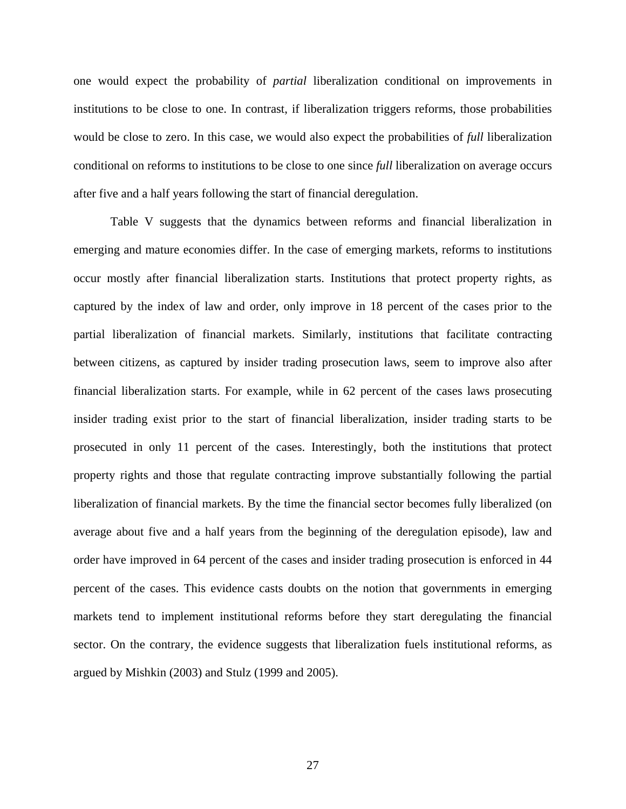one would expect the probability of *partial* liberalization conditional on improvements in institutions to be close to one. In contrast, if liberalization triggers reforms, those probabilities would be close to zero. In this case, we would also expect the probabilities of *full* liberalization conditional on reforms to institutions to be close to one since *full* liberalization on average occurs after five and a half years following the start of financial deregulation.

Table V suggests that the dynamics between reforms and financial liberalization in emerging and mature economies differ. In the case of emerging markets, reforms to institutions occur mostly after financial liberalization starts. Institutions that protect property rights, as captured by the index of law and order, only improve in 18 percent of the cases prior to the partial liberalization of financial markets. Similarly, institutions that facilitate contracting between citizens, as captured by insider trading prosecution laws, seem to improve also after financial liberalization starts. For example, while in 62 percent of the cases laws prosecuting insider trading exist prior to the start of financial liberalization, insider trading starts to be prosecuted in only 11 percent of the cases. Interestingly, both the institutions that protect property rights and those that regulate contracting improve substantially following the partial liberalization of financial markets. By the time the financial sector becomes fully liberalized (on average about five and a half years from the beginning of the deregulation episode), law and order have improved in 64 percent of the cases and insider trading prosecution is enforced in 44 percent of the cases. This evidence casts doubts on the notion that governments in emerging markets tend to implement institutional reforms before they start deregulating the financial sector. On the contrary, the evidence suggests that liberalization fuels institutional reforms, as argued by Mishkin (2003) and Stulz (1999 and 2005).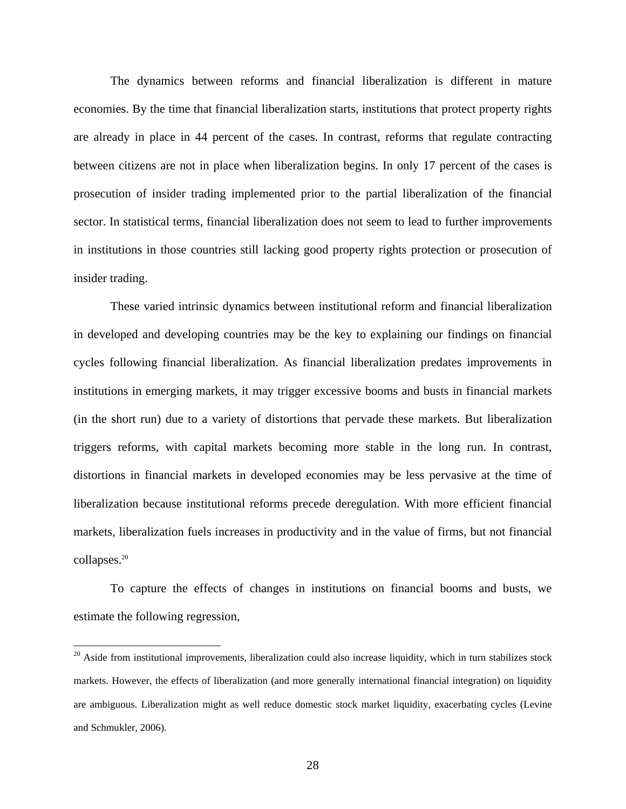The dynamics between reforms and financial liberalization is different in mature economies. By the time that financial liberalization starts, institutions that protect property rights are already in place in 44 percent of the cases. In contrast, reforms that regulate contracting between citizens are not in place when liberalization begins. In only 17 percent of the cases is prosecution of insider trading implemented prior to the partial liberalization of the financial sector. In statistical terms, financial liberalization does not seem to lead to further improvements in institutions in those countries still lacking good property rights protection or prosecution of insider trading.

These varied intrinsic dynamics between institutional reform and financial liberalization in developed and developing countries may be the key to explaining our findings on financial cycles following financial liberalization. As financial liberalization predates improvements in institutions in emerging markets, it may trigger excessive booms and busts in financial markets (in the short run) due to a variety of distortions that pervade these markets. But liberalization triggers reforms, with capital markets becoming more stable in the long run. In contrast, distortions in financial markets in developed economies may be less pervasive at the time of liberalization because institutional reforms precede deregulation. With more efficient financial markets, liberalization fuels increases in productivity and in the value of firms, but not financial collapses.20

To capture the effects of changes in institutions on financial booms and busts, we estimate the following regression,

 $\overline{a}$ 

 $20$  Aside from institutional improvements, liberalization could also increase liquidity, which in turn stabilizes stock markets. However, the effects of liberalization (and more generally international financial integration) on liquidity are ambiguous. Liberalization might as well reduce domestic stock market liquidity, exacerbating cycles (Levine and Schmukler, 2006).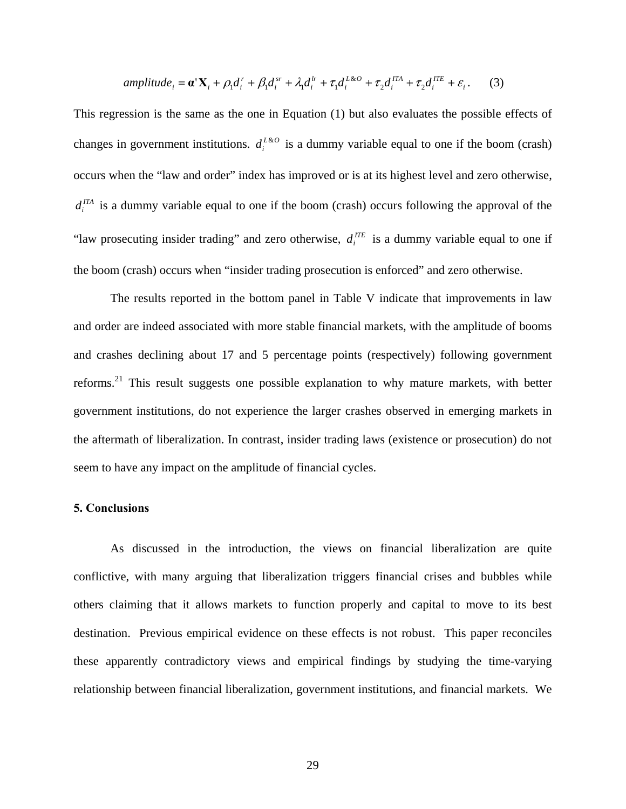amplitude<sub>i</sub> = 
$$
\mathbf{a}^{\dagger} \mathbf{X}_i + \rho_1 d_i^r + \beta_1 d_i^{sr} + \lambda_1 d_i^{lr} + \tau_1 d_i^{L\&O} + \tau_2 d_i^{ITA} + \tau_2 d_i^{ITE} + \varepsilon_i
$$
. (3)

This regression is the same as the one in Equation (1) but also evaluates the possible effects of changes in government institutions.  $d_i^{L\&O}$  is a dummy variable equal to one if the boom (crash) occurs when the "law and order" index has improved or is at its highest level and zero otherwise,  $d_i^{ITA}$  is a dummy variable equal to one if the boom (crash) occurs following the approval of the "law prosecuting insider trading" and zero otherwise,  $d_i^{ITE}$  is a dummy variable equal to one if the boom (crash) occurs when "insider trading prosecution is enforced" and zero otherwise.

The results reported in the bottom panel in Table V indicate that improvements in law and order are indeed associated with more stable financial markets, with the amplitude of booms and crashes declining about 17 and 5 percentage points (respectively) following government reforms.21 This result suggests one possible explanation to why mature markets, with better government institutions, do not experience the larger crashes observed in emerging markets in the aftermath of liberalization. In contrast, insider trading laws (existence or prosecution) do not seem to have any impact on the amplitude of financial cycles.

# **5. Conclusions**

As discussed in the introduction, the views on financial liberalization are quite conflictive, with many arguing that liberalization triggers financial crises and bubbles while others claiming that it allows markets to function properly and capital to move to its best destination. Previous empirical evidence on these effects is not robust. This paper reconciles these apparently contradictory views and empirical findings by studying the time-varying relationship between financial liberalization, government institutions, and financial markets. We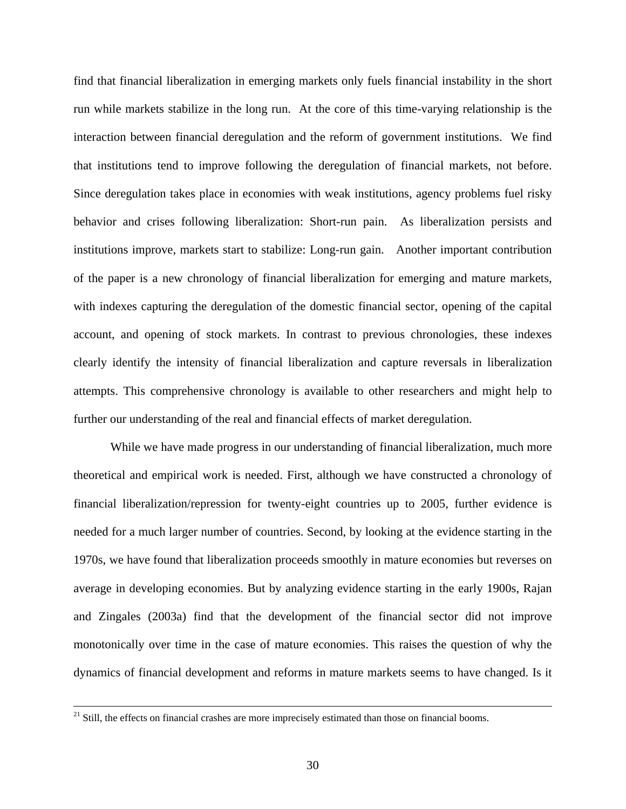find that financial liberalization in emerging markets only fuels financial instability in the short run while markets stabilize in the long run. At the core of this time-varying relationship is the interaction between financial deregulation and the reform of government institutions. We find that institutions tend to improve following the deregulation of financial markets, not before. Since deregulation takes place in economies with weak institutions, agency problems fuel risky behavior and crises following liberalization: Short-run pain. As liberalization persists and institutions improve, markets start to stabilize: Long-run gain. Another important contribution of the paper is a new chronology of financial liberalization for emerging and mature markets, with indexes capturing the deregulation of the domestic financial sector, opening of the capital account, and opening of stock markets. In contrast to previous chronologies, these indexes clearly identify the intensity of financial liberalization and capture reversals in liberalization attempts. This comprehensive chronology is available to other researchers and might help to further our understanding of the real and financial effects of market deregulation.

While we have made progress in our understanding of financial liberalization, much more theoretical and empirical work is needed. First, although we have constructed a chronology of financial liberalization/repression for twenty-eight countries up to 2005, further evidence is needed for a much larger number of countries. Second, by looking at the evidence starting in the 1970s, we have found that liberalization proceeds smoothly in mature economies but reverses on average in developing economies. But by analyzing evidence starting in the early 1900s, Rajan and Zingales (2003a) find that the development of the financial sector did not improve monotonically over time in the case of mature economies. This raises the question of why the dynamics of financial development and reforms in mature markets seems to have changed. Is it

 $21$  Still, the effects on financial crashes are more imprecisely estimated than those on financial booms.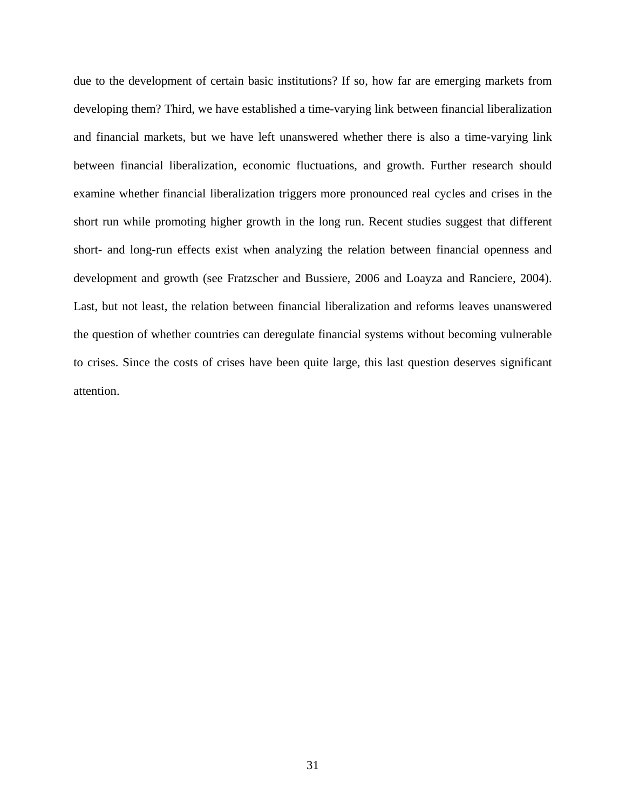due to the development of certain basic institutions? If so, how far are emerging markets from developing them? Third, we have established a time-varying link between financial liberalization and financial markets, but we have left unanswered whether there is also a time-varying link between financial liberalization, economic fluctuations, and growth. Further research should examine whether financial liberalization triggers more pronounced real cycles and crises in the short run while promoting higher growth in the long run. Recent studies suggest that different short- and long-run effects exist when analyzing the relation between financial openness and development and growth (see Fratzscher and Bussiere, 2006 and Loayza and Ranciere, 2004). Last, but not least, the relation between financial liberalization and reforms leaves unanswered the question of whether countries can deregulate financial systems without becoming vulnerable to crises. Since the costs of crises have been quite large, this last question deserves significant attention.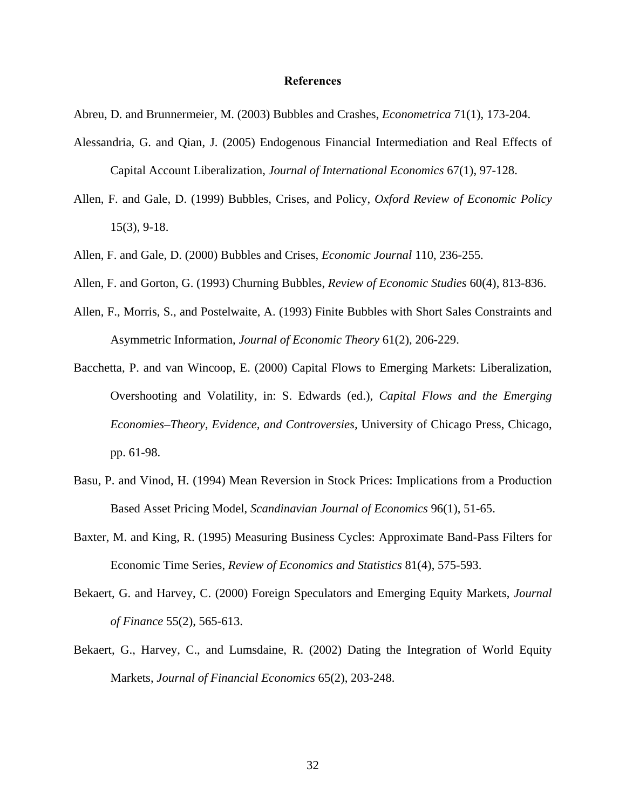# **References**

Abreu, D. and Brunnermeier, M. (2003) Bubbles and Crashes, *Econometrica* 71(1), 173-204.

- Alessandria, G. and Qian, J. (2005) Endogenous Financial Intermediation and Real Effects of Capital Account Liberalization, *Journal of International Economics* 67(1), 97-128.
- Allen, F. and Gale, D. (1999) Bubbles, Crises, and Policy, *Oxford Review of Economic Policy* 15(3), 9-18.
- Allen, F. and Gale, D. (2000) Bubbles and Crises, *Economic Journal* 110, 236-255.
- Allen, F. and Gorton, G. (1993) Churning Bubbles, *Review of Economic Studies* 60(4), 813-836.
- Allen, F., Morris, S., and Postelwaite, A. (1993) Finite Bubbles with Short Sales Constraints and Asymmetric Information, *Journal of Economic Theory* 61(2), 206-229.
- Bacchetta, P. and van Wincoop, E. (2000) Capital Flows to Emerging Markets: Liberalization, Overshooting and Volatility, in: S. Edwards (ed.), *Capital Flows and the Emerging Economies–Theory, Evidence, and Controversies,* University of Chicago Press, Chicago, pp. 61-98.
- Basu, P. and Vinod, H. (1994) Mean Reversion in Stock Prices: Implications from a Production Based Asset Pricing Model, *Scandinavian Journal of Economics* 96(1), 51-65.
- Baxter, M. and King, R. (1995) Measuring Business Cycles: Approximate Band-Pass Filters for Economic Time Series, *Review of Economics and Statistics* 81(4), 575-593.
- Bekaert, G. and Harvey, C. (2000) Foreign Speculators and Emerging Equity Markets, *Journal of Finance* 55(2), 565-613.
- Bekaert, G., Harvey, C., and Lumsdaine, R. (2002) Dating the Integration of World Equity Markets, *Journal of Financial Economics* 65(2), 203-248.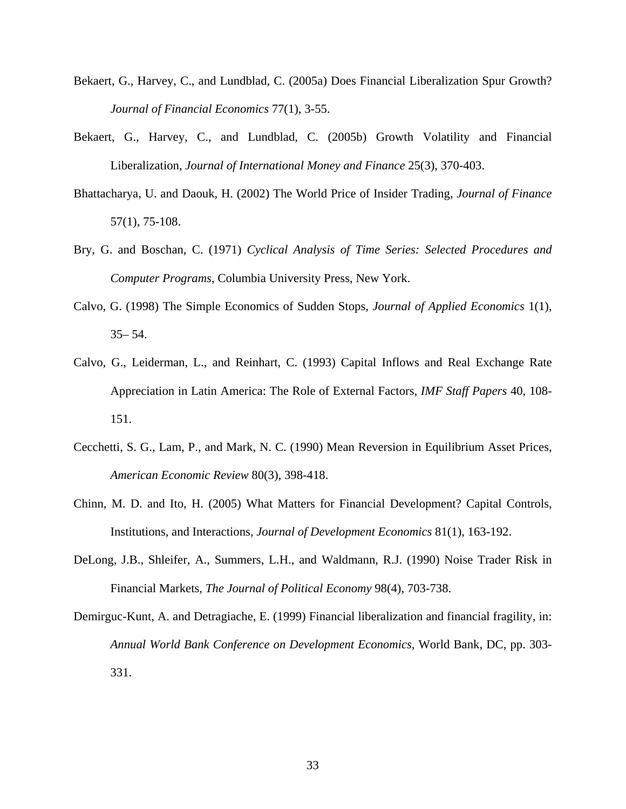- Bekaert, G., Harvey, C., and Lundblad, C. (2005a) Does Financial Liberalization Spur Growth? *Journal of Financial Economics* 77(1), 3-55.
- Bekaert, G., Harvey, C., and Lundblad, C. (2005b) Growth Volatility and Financial Liberalization, *Journal of International Money and Finance* 25(3), 370-403.
- Bhattacharya, U. and Daouk, H. (2002) The World Price of Insider Trading, *Journal of Finance* 57(1), 75-108.
- Bry, G. and Boschan, C. (1971) *Cyclical Analysis of Time Series: Selected Procedures and Computer Programs*, Columbia University Press, New York.
- Calvo, G. (1998) The Simple Economics of Sudden Stops, *Journal of Applied Economics* 1(1),  $35 - 54$ .
- Calvo, G., Leiderman, L., and Reinhart, C. (1993) Capital Inflows and Real Exchange Rate Appreciation in Latin America: The Role of External Factors, *IMF Staff Papers* 40, 108- 151.
- Cecchetti, S. G., Lam, P., and Mark, N. C. (1990) Mean Reversion in Equilibrium Asset Prices, *American Economic Review* 80(3), 398-418.
- Chinn, M. D. and Ito, H. (2005) What Matters for Financial Development? Capital Controls, Institutions, and Interactions, *Journal of Development Economics* 81(1), 163-192.
- DeLong, J.B., Shleifer, A., Summers, L.H., and Waldmann, R.J. (1990) Noise Trader Risk in Financial Markets, *The Journal of Political Economy* 98(4), 703-738.
- Demirguc-Kunt, A. and Detragiache, E. (1999) Financial liberalization and financial fragility, in: *Annual World Bank Conference on Development Economics*, World Bank, DC, pp. 303- 331.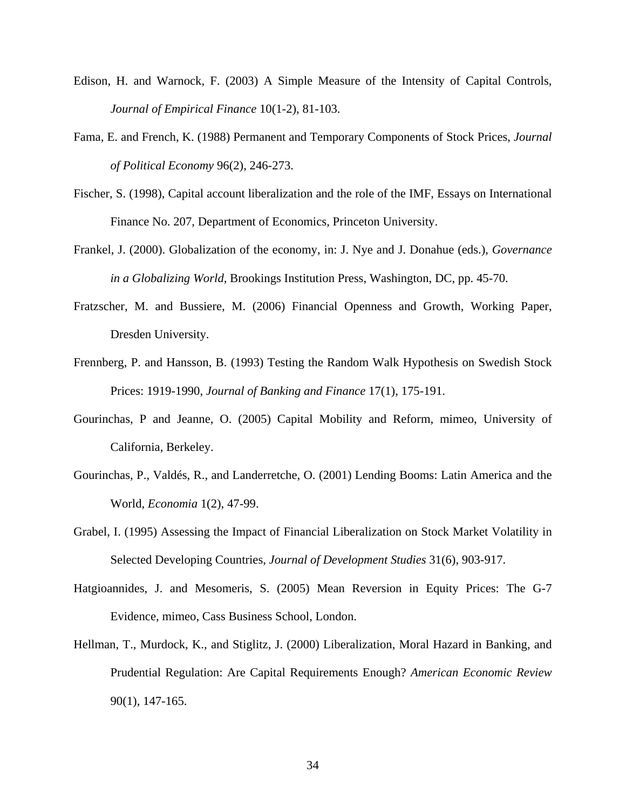- Edison, H. and Warnock, F. (2003) A Simple Measure of the Intensity of Capital Controls, *Journal of Empirical Finance* 10(1-2), 81-103.
- Fama, E. and French, K. (1988) Permanent and Temporary Components of Stock Prices, *Journal of Political Economy* 96(2), 246-273.
- Fischer, S. (1998), Capital account liberalization and the role of the IMF, Essays on International Finance No. 207, Department of Economics, Princeton University.
- Frankel, J. (2000). Globalization of the economy, in: J. Nye and J. Donahue (eds.), *Governance in a Globalizing World*, Brookings Institution Press, Washington, DC, pp. 45-70.
- Fratzscher, M. and Bussiere, M. (2006) Financial Openness and Growth, Working Paper, Dresden University.
- Frennberg, P. and Hansson, B. (1993) Testing the Random Walk Hypothesis on Swedish Stock Prices: 1919-1990, *Journal of Banking and Finance* 17(1), 175-191.
- Gourinchas, P and Jeanne, O. (2005) Capital Mobility and Reform, mimeo, University of California, Berkeley.
- Gourinchas, P., Valdés, R., and Landerretche, O. (2001) Lending Booms: Latin America and the World, *Economia* 1(2), 47-99.
- Grabel, I. (1995) Assessing the Impact of Financial Liberalization on Stock Market Volatility in Selected Developing Countries, *Journal of Development Studies* 31(6), 903-917.
- Hatgioannides, J. and Mesomeris, S. (2005) Mean Reversion in Equity Prices: The G-7 Evidence, mimeo, Cass Business School, London.
- Hellman, T., Murdock, K., and Stiglitz, J. (2000) Liberalization, Moral Hazard in Banking, and Prudential Regulation: Are Capital Requirements Enough? *American Economic Review*  90(1), 147-165.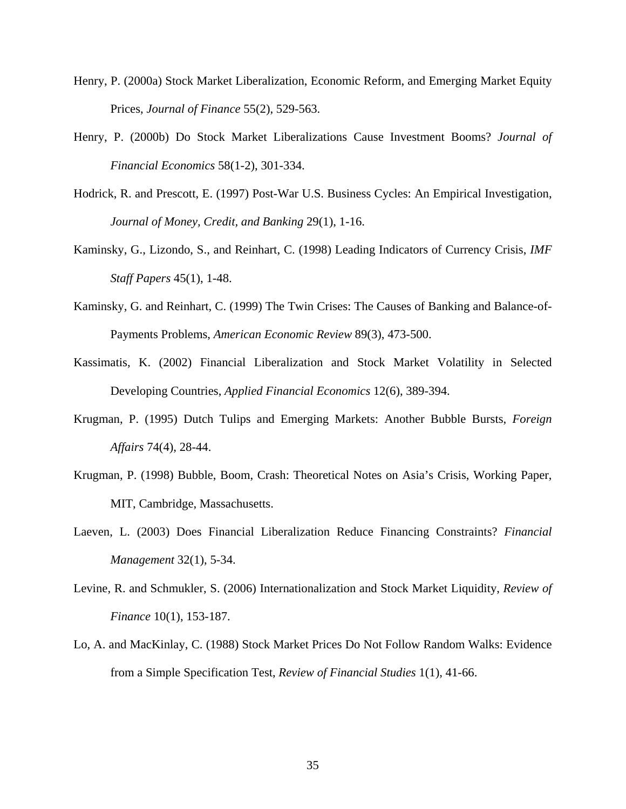- Henry, P. (2000a) Stock Market Liberalization, Economic Reform, and Emerging Market Equity Prices, *Journal of Finance* 55(2), 529-563.
- Henry, P. (2000b) Do Stock Market Liberalizations Cause Investment Booms? *Journal of Financial Economics* 58(1-2), 301-334.
- Hodrick, R. and Prescott, E. (1997) Post-War U.S. Business Cycles: An Empirical Investigation, *Journal of Money, Credit, and Banking* 29(1), 1-16.
- Kaminsky, G., Lizondo, S., and Reinhart, C. (1998) Leading Indicators of Currency Crisis, *IMF Staff Papers* 45(1), 1-48.
- Kaminsky, G. and Reinhart, C. (1999) The Twin Crises: The Causes of Banking and Balance-of-Payments Problems, *American Economic Review* 89(3), 473-500.
- Kassimatis, K. (2002) Financial Liberalization and Stock Market Volatility in Selected Developing Countries, *Applied Financial Economics* 12(6), 389-394.
- Krugman, P. (1995) Dutch Tulips and Emerging Markets: Another Bubble Bursts, *Foreign Affairs* 74(4), 28-44.
- Krugman, P. (1998) Bubble, Boom, Crash: Theoretical Notes on Asia's Crisis, Working Paper, MIT, Cambridge, Massachusetts.
- Laeven, L. (2003) Does Financial Liberalization Reduce Financing Constraints? *Financial Management* 32(1), 5-34.
- Levine, R. and Schmukler, S. (2006) Internationalization and Stock Market Liquidity, *Review of Finance* 10(1), 153-187.
- Lo, A. and MacKinlay, C. (1988) Stock Market Prices Do Not Follow Random Walks: Evidence from a Simple Specification Test, *Review of Financial Studies* 1(1), 41-66.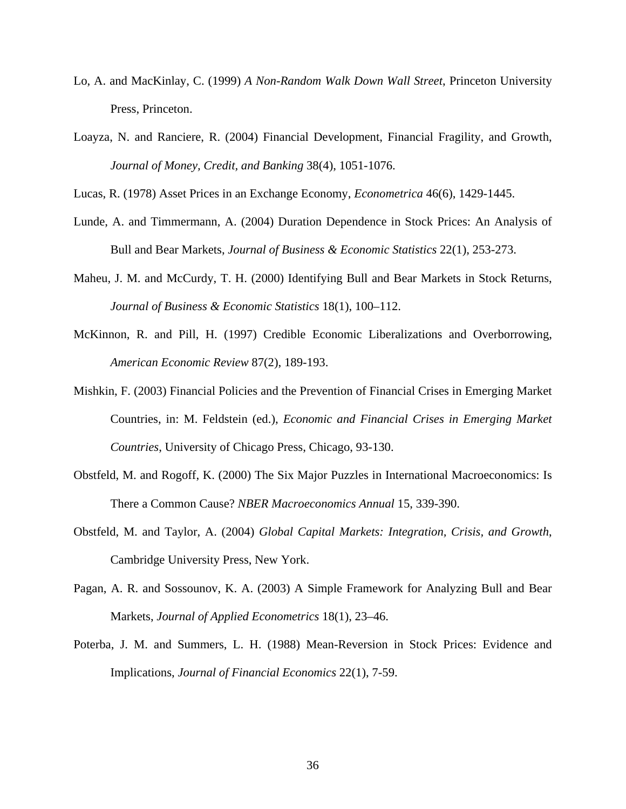- Lo, A. and MacKinlay, C. (1999) *A Non-Random Walk Down Wall Street*, Princeton University Press, Princeton.
- Loayza, N. and Ranciere, R. (2004) Financial Development, Financial Fragility, and Growth, *Journal of Money, Credit, and Banking* 38(4), 1051-1076.

Lucas, R. (1978) Asset Prices in an Exchange Economy, *Econometrica* 46(6), 1429-1445.

- Lunde, A. and Timmermann, A. (2004) Duration Dependence in Stock Prices: An Analysis of Bull and Bear Markets, *Journal of Business & Economic Statistics* 22(1), 253-273.
- Maheu, J. M. and McCurdy, T. H. (2000) Identifying Bull and Bear Markets in Stock Returns, *Journal of Business & Economic Statistics* 18(1), 100–112.
- McKinnon, R. and Pill, H. (1997) Credible Economic Liberalizations and Overborrowing, *American Economic Review* 87(2), 189-193.
- Mishkin, F. (2003) Financial Policies and the Prevention of Financial Crises in Emerging Market Countries, in: M. Feldstein (ed.), *Economic and Financial Crises in Emerging Market Countries*, University of Chicago Press, Chicago, 93-130.
- Obstfeld, M. and Rogoff, K. (2000) The Six Major Puzzles in International Macroeconomics: Is There a Common Cause? *NBER Macroeconomics Annual* 15, 339-390.
- Obstfeld, M. and Taylor, A. (2004) *Global Capital Markets: Integration, Crisis, and Growth*, Cambridge University Press, New York.
- Pagan, A. R. and Sossounov, K. A. (2003) A Simple Framework for Analyzing Bull and Bear Markets, *Journal of Applied Econometrics* 18(1), 23–46.
- Poterba, J. M. and Summers, L. H. (1988) Mean-Reversion in Stock Prices: Evidence and Implications, *Journal of Financial Economics* 22(1), 7-59.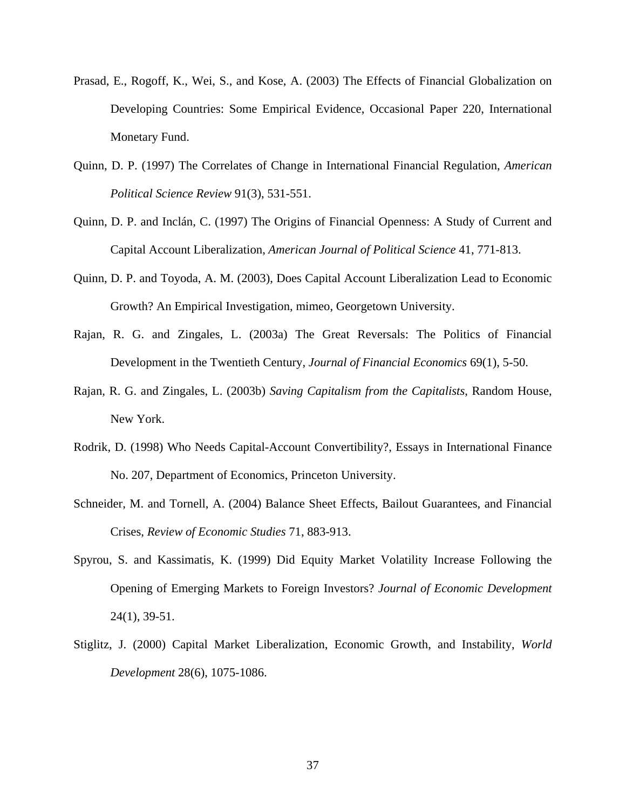- Prasad, E., Rogoff, K., Wei, S., and Kose, A. (2003) The Effects of Financial Globalization on Developing Countries: Some Empirical Evidence, Occasional Paper 220, International Monetary Fund.
- Quinn, D. P. (1997) The Correlates of Change in International Financial Regulation, *American Political Science Review* 91(3), 531-551.
- Quinn, D. P. and Inclán, C. (1997) The Origins of Financial Openness: A Study of Current and Capital Account Liberalization, *American Journal of Political Science* 41, 771-813.
- Quinn, D. P. and Toyoda, A. M. (2003), Does Capital Account Liberalization Lead to Economic Growth? An Empirical Investigation, mimeo, Georgetown University.
- Rajan, R. G. and Zingales, L. (2003a) The Great Reversals: The Politics of Financial Development in the Twentieth Century, *Journal of Financial Economics* 69(1), 5-50.
- Rajan, R. G. and Zingales, L. (2003b) *Saving Capitalism from the Capitalists*, Random House, New York.
- Rodrik, D. (1998) Who Needs Capital-Account Convertibility?, Essays in International Finance No. 207, Department of Economics, Princeton University.
- Schneider, M. and Tornell, A. (2004) Balance Sheet Effects, Bailout Guarantees, and Financial Crises, *Review of Economic Studies* 71, 883-913.
- Spyrou, S. and Kassimatis, K. (1999) Did Equity Market Volatility Increase Following the Opening of Emerging Markets to Foreign Investors? *Journal of Economic Development* 24(1), 39-51.
- Stiglitz, J. (2000) Capital Market Liberalization, Economic Growth, and Instability, *World Development* 28(6), 1075-1086.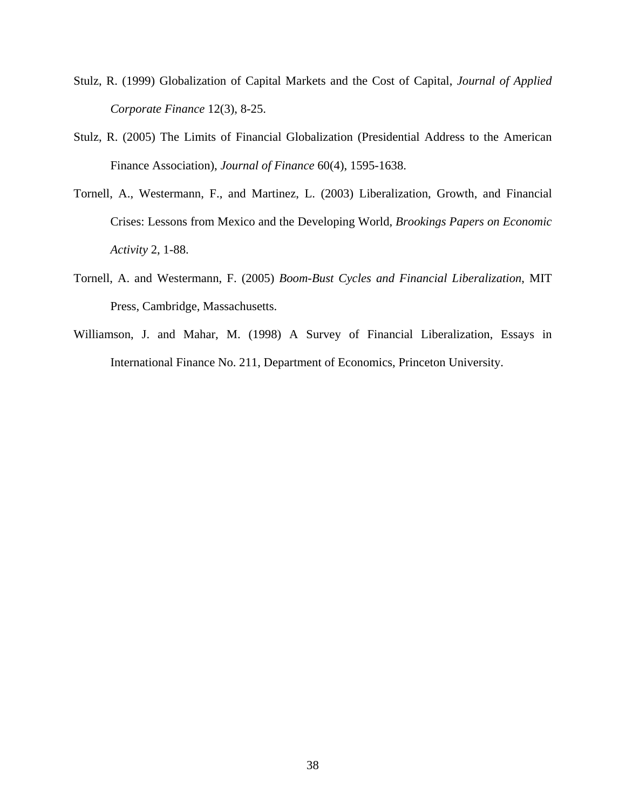- Stulz, R. (1999) Globalization of Capital Markets and the Cost of Capital, *Journal of Applied Corporate Finance* 12(3), 8-25.
- Stulz, R. (2005) The Limits of Financial Globalization (Presidential Address to the American Finance Association), *Journal of Finance* 60(4), 1595-1638.
- Tornell, A., Westermann, F., and Martinez, L. (2003) Liberalization, Growth, and Financial Crises: Lessons from Mexico and the Developing World, *Brookings Papers on Economic Activity* 2, 1-88.
- Tornell, A. and Westermann, F. (2005) *Boom-Bust Cycles and Financial Liberalization*, MIT Press, Cambridge, Massachusetts.
- Williamson, J. and Mahar, M. (1998) A Survey of Financial Liberalization, Essays in International Finance No. 211, Department of Economics, Princeton University.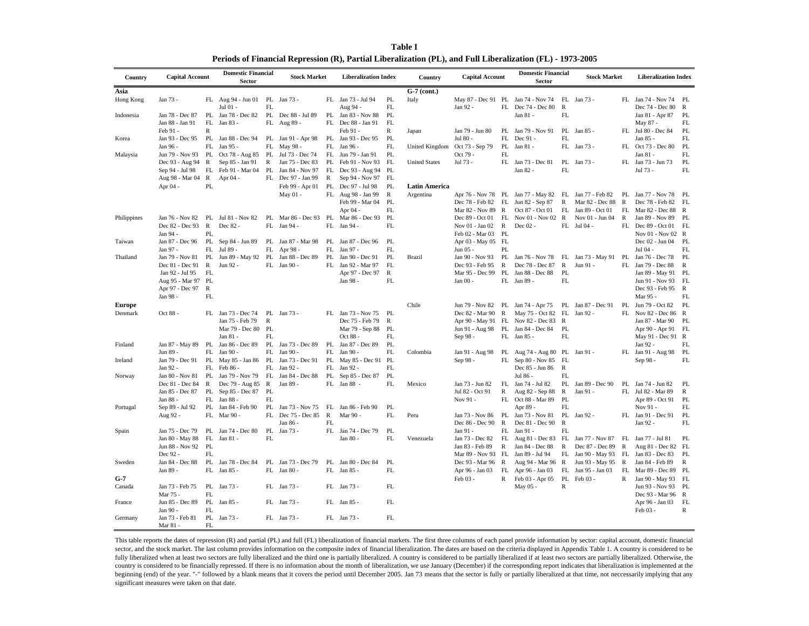| Table I                                                                                                    |
|------------------------------------------------------------------------------------------------------------|
| Periods of Financial Repression (R), Partial Liberalization (PL), and Full Liberalization (FL) - 1973-2005 |

| $G-7$ (cont.)<br>Asia<br>Hong Kong<br>Jan 73 -<br>FL Aug 94 - Jun 01<br>PL Jan 73 -<br>FL Jan 73 - Jul 94<br>PL<br>Italy<br>May 87 - Dec 91 PL Jan 74 - Nov 74<br>FL Jan 73 -<br>FL Jan 74 - Nov 74<br>Jul 01 -<br>FL<br>Aug 94 -<br>FL<br>Jan 92 -<br>FL Dec 74 - Dec 80<br>R<br>Dec 74 - Dec 80<br>R<br>$\mathbf{FL}$<br>Indonesia<br>Jan 78 - Dec 87<br>PL Jan 78 - Dec 82<br>PL Dec 88 - Jul 89<br>PL Jan 83 - Nov 88<br>PL<br>Jan 81 -<br>Jan 81 - Apr 87<br>PL<br>Jan 88 - Jan 91<br>FL<br>Jan 83 -<br>FL Aug 89 -<br>FL Dec 88 - Jan 91<br>FL<br>May 87 -<br>FL<br>$\mathbb R$<br>$\mathbb R$<br>PL<br>Feb 91 -<br>Feb 91 -<br>Jan 79 - Jun 80<br>PL Jan 79 - Nov 91<br>PL Jan 85 -<br>FL Jul 80 - Dec 84<br>Japan<br>PL<br>Jul 80 -<br>FL<br>Jan 93 - Dec 95<br>PL Jan 88 - Dec 94<br>PL Jan 91 - Apr 98<br>PL Jan 93 - Dec 95<br>FL Dec 91 -<br>Jan 85 -<br>Korea<br>FL<br>Jan 96 -<br>FL Jan 95 -<br>FL May 98 -<br>FL Jan 96 -<br>Oct 73 - Sep 79<br>PL<br>FL Jan 73 -<br>FL Oct 73 - Dec 80<br>United Kingdom<br>Jan 81 -<br>FL<br>Malaysia<br>Jun 79 - Nov 93<br>Oct 78 - Aug 85<br>PL Jul 73 - Dec 74<br>FL Jun 79 - Jan 91<br>PL<br>Oct 79 -<br>FL<br>PL<br>Jan 81 -<br>Dec 93 - Aug 94<br>$\mathbb{R}$<br>Sep 85 - Jan 91<br>R<br>Jan 75 - Dec 83<br>PL Feb 91 - Nov 93<br>FL<br><b>United States</b><br>Jul 73 -<br>FL Jan 73 - Dec 81<br>PL Jan 73 -<br>FL Jan 73 - Jun 73<br>FL<br>FL<br>Feb 91 - Mar 04<br>PL<br>Jan 84 - Nov 97<br>FL Dec 93 - Aug 94<br>PL<br>Jan 82 -<br>Jul 73 -<br>Sep 94 - Jul 98<br>FL<br>Aug 98 - Mar 04 R<br>Apr 04 -<br>FL Dec 97 - Jan 99<br>$\mathbb{R}$<br>Sep 94 - Nov 97<br>- FL<br>PL<br>PL<br><b>Latin America</b><br>Apr 04 -<br>Feb 99 - Apr 01<br>PL Dec 97 - Jul 98<br>R<br>May 01 -<br>FL Aug 98 - Jan 99<br>Argentina<br>Apr 76 - Nov 78<br>PL Jan 77 - May 82<br>FL Jan 77 - Feb 82<br>PL Jan 77 - Nov 78<br>PL<br>Feb 99 - Mar 04<br>PL<br>Dec 78 - Feb 82<br>FL<br>Jun 82 - Sep 87<br>R<br>Mar 82 - Dec 88<br>R<br>Dec 78 - Feb 82<br>Apr 04 -<br>FL<br>Mar 82 - Nov 89<br>$\mathbb{R}$<br>Oct 87 - Oct 01<br>FL Jan 89 - Oct 01<br>FL<br>Mar 82 - Dec 88<br>$\mathbb{R}$<br>PL Jul 81 - Nov 82<br>PL Mar 86 - Dec 93<br>PL Mar 86 - Dec 93<br>PL<br>Dec 89 - Oct 01<br>FL Nov 01 - Nov 02<br>$\mathbb{R}$<br>Nov 01 - Jun 04<br>Jan 89 - Nov 89<br>Philippines<br>Jan 76 - Nov 82<br>R<br>PL<br>Dec 82 - Dec 93<br>R<br>Dec 82 -<br>FL Jan 94 -<br>FL Jan 94 -<br>FL<br>Nov 01 - Jan 02<br>R<br>Dec 02 -<br>FL Jul 04 -<br>FL Dec 89 - Oct 01<br>FL<br>Jan 94 -<br>PL<br>Feb 02 - Mar 03<br>PL<br>Nov 01 - Nov 02<br>$\mathbb{R}$<br>Jan 87 - Dec 96<br>PL Sep 84 - Jun 89<br>PL Jan 87 - Mar 98<br>PL Jan 87 - Dec 96<br>PL<br>Apr 03 - May 05 FL<br>Dec 02 - Jun 04<br>PL<br>Taiwan<br>FL<br>Jan 97 -<br>FL Jul 89 -<br>FL Apr 98 -<br>FL Jan 97 -<br>FL<br>Jun 05 -<br>PL<br>Jul 04 -<br>Jan 79 - Nov 81<br>PL<br>PL Jan 90 - Dec 91<br>PL<br>Jan 90 - Nov 93<br>Jan 76 - Dec 78<br>PL<br>Thailand<br>Jun 89 - May 92<br>PL Jan 88 - Dec 89<br>Brazil<br>PL<br>Jan 76 - Nov 78<br>FL Jan 73 - May 91<br>PL<br>R<br>Jun 92 -<br>FL Jan 90 -<br>FL Jan 92 - Mar 97<br>FL<br>Dec 78 - Dec 87<br>R<br>Jun 91 -<br>FL Jan 79 - Dec 88<br>R<br>Dec 81 - Dec 91<br>Dec 93 - Feb 95<br>R<br>FL<br>PL<br>Jan 92 - Jul 95<br>Apr 97 - Dec 97<br>R<br>Mar 95 - Dec 99<br>PL<br>Jan 88 - Dec 88<br>Jan 89 - May 91<br>PL<br>FL<br>FL<br>Aug 95 - Mar 97 PL<br>Jan 98 -<br>Jan 00 -<br>FL Jan 89 -<br>Jun 91 - Nov 93<br>FL<br>Apr 97 - Dec 97<br>Dec 93 - Feb 95<br>R<br>$\mathbb{R}$<br>$\mathbf{FL}$<br>Mar 95 -<br>FL<br>Jan 98 -<br>Chile<br><b>Europe</b><br>Jun 79 - Nov 82<br>PL Jan 74 - Apr 75<br>PL Jan 87 - Dec 91<br>PL<br>Jun 79 - Oct 82<br>PL<br>FL Jan 73 - Nov 75<br>Denmark<br>Oct 88 -<br>FL Jan 73 - Dec 74<br>PL Jan 73 -<br>PL<br>Dec 82 - Mar 90<br>R<br>May 75 - Oct 82<br>FL Jan 92 -<br>FL Nov 82 - Dec 86<br>R<br>Jan 75 - Feb 79<br>R<br>Dec 75 - Feb 79<br>R<br>Apr 90 - May 91 FL Nov 82 - Dec 83<br>R<br>Jan 87 - Mar 90<br>PL<br>Mar 79 - Dec 80<br>PL<br>Mar 79 - Sep 88<br>PL Jan 84 - Dec 84<br>PL<br>PL<br>Jun 91 - Aug 98<br>Apr 90 - Apr 91<br>FL<br>$\mathbf{FL}$<br>Jan 81 -<br>FL<br>Oct 88 -<br>FL<br>Sep 98 -<br>FL Jan 85 -<br>May 91 - Dec 91 R<br>Jan 87 - May 89<br>PL<br>Jan 86 - Dec 89<br>PL Jan 73 - Dec 89<br>Jan 87 - Dec 89<br>PL<br>Jan 92 -<br>FL<br>Finland<br>PL<br>FL<br>Jun 89 -<br>FL<br>Jan 90 -<br>FL Jan 90 -<br>FL Jan 90 -<br>Jan 91 - Aug 98<br>PL Aug 74 - Aug 80<br>PL Jan 91 -<br>FL Jan 91 - Aug 98<br>PL<br>Colombia<br>FL<br>Jan 79 - Dec 91<br>PL Jan 73 - Dec 91<br>PL May 85 - Dec 91 PL<br>Sep 98 -<br>FL Sep 80 - Nov 85<br>FL<br>Sep 98 -<br>Ireland<br>PL May 85 - Jan 86<br>FL<br>Jan 92 -<br>FL<br>FL Jan 92 -<br>FL Jan 92 -<br>Dec 85 - Jun 86<br>R<br>Feb 86 -<br>FL Jan 84 - Dec 88<br>PL Sep 85 - Dec 87<br>PL<br>Jul 86 -<br>FL<br>Norway<br>Jan 80 - Nov 81<br>PL Jan 79 - Nov 79<br>Jan 89 -<br>Dec 81 - Dec 84<br>$\mathbb{R}$<br>Dec 79 - Aug 85<br>R<br>FL Jan 88 -<br>FL<br>Mexico<br>Jan 73 - Jun 82<br>FL Jan 74 - Jul 82<br>PL Jan 89 - Dec 90<br>PL Jan 74 - Jun 82<br>PL<br>PL<br>Jan 85 - Dec 87<br>PL Sep 85 - Dec 87<br>Jul 82 - Oct 91<br>Aug 82 - Sep 88<br>R<br>Jan 91 -<br>FL Jul 82 - Mar 89<br>R<br>R<br>FL Jan 88 -<br>Nov 91 -<br>FL Oct 88 - Mar 89<br>PL<br>PL<br>Jan 88 -<br>FL<br>Apr 89 - Oct 91<br>PL<br>FL<br>FL<br>Portugal<br>Sep 89 - Jul 92<br>PL Jan 84 - Feb 90<br>PL Jan 73 - Nov 75<br>FL<br>Jan 86 - Feb 90<br>Apr 89 -<br>Nov 91 -<br>Mar 90 -<br>Aug 92 -<br>FL Mar 90 -<br>FL Dec 75 - Dec 85<br>$\mathbb{R}$<br>FL.<br>Peru<br>PL Jan 73 - Nov 81<br>PL Jan 92 -<br>FL Jan 91 - Dec 91<br>PL<br>Jan 73 - Nov 86<br>FL<br>Dec 86 - Dec 90<br>Dec 81 - Dec 90<br>$\mathbb{R}$<br>Jan 92 -<br>FL<br>Jan 86 -<br>R<br>PL<br>Jan 75 - Dec 79<br>PL Jan 74 - Dec 80<br>PL<br>Jan 73 -<br>FL Jan 74 - Dec 79<br>Jan 91 -<br>FL<br>Jan 91 -<br>FL<br>Spain<br>FL<br>$\mathbf{FL}$<br>FL<br>Jan 81 -<br>Jan 80 -<br>Jan 73 - Dec 82<br>Jan 80 - May 88<br>Venezuela<br>FL<br>Aug 81 - Dec 83<br>FL Jan 77 - Nov 87<br>FL Jan 77 - Jul 81<br>PL<br>Jun 88 - Nov 92<br>PL<br>Jan 83 - Feb 89<br>R<br>Jan 84 - Dec 88<br>R<br>Dec 87 - Dec 89<br>R<br>Aug 81 - Dec 82<br>FL<br>FL<br>Dec 92 -<br>Mar 89 - Nov 93<br>FL<br>Jan 89 - Jul 94<br>FL Jan 90 - May 93<br>FL<br>Jan 83 - Dec 83<br>PL<br>Jan 84 - Dec 88<br>PL Jan 78 - Dec 84<br>PL Jan 73 - Dec 79<br>PL Jan 80 - Dec 84<br>PL<br>Dec 93 - Mar 96<br>Aug 94 - Mar 96<br>$\mathbb{R}$<br>Jun 93 - May 95<br>Jan 84 - Feb 89<br>R<br>Sweden<br>R<br>R<br>Jan 89 -<br>FL Jan 85 -<br>FL Jan 80 -<br>FL Jan 85 -<br>FL<br>Apr 96 - Jan 03<br>FL Jun 95 - Jan 03<br>Mar 89 - Dec 89<br>Apr 96 - Jan 03<br>FL<br>FL<br>PL<br>PL<br>G-7<br>Feb 03 -<br>R<br>Feb 03 - Apr 05<br>Feb 03 -<br>Jan 90 - May 93<br>FL<br>R<br>PL Jan 73 -<br>$\mathbb R$<br>Jan 73 - Feb 75<br>FL Jan 73 -<br>FL Jan 73 -<br>FL<br>May 05 -<br>Jun 93 - Nov 93<br>PL<br>Canada<br>FL<br>Mar 75 -<br>Dec 93 - Mar 96<br>R | Country | <b>Capital Account</b> | <b>Domestic Financial</b><br><b>Sector</b> | <b>Stock Market</b> | <b>Liberalization Index</b> | Country | <b>Capital Account</b> | <b>Domestic Financial</b><br><b>Sector</b> | <b>Stock Market</b> | <b>Liberalization Index</b> |               |
|-------------------------------------------------------------------------------------------------------------------------------------------------------------------------------------------------------------------------------------------------------------------------------------------------------------------------------------------------------------------------------------------------------------------------------------------------------------------------------------------------------------------------------------------------------------------------------------------------------------------------------------------------------------------------------------------------------------------------------------------------------------------------------------------------------------------------------------------------------------------------------------------------------------------------------------------------------------------------------------------------------------------------------------------------------------------------------------------------------------------------------------------------------------------------------------------------------------------------------------------------------------------------------------------------------------------------------------------------------------------------------------------------------------------------------------------------------------------------------------------------------------------------------------------------------------------------------------------------------------------------------------------------------------------------------------------------------------------------------------------------------------------------------------------------------------------------------------------------------------------------------------------------------------------------------------------------------------------------------------------------------------------------------------------------------------------------------------------------------------------------------------------------------------------------------------------------------------------------------------------------------------------------------------------------------------------------------------------------------------------------------------------------------------------------------------------------------------------------------------------------------------------------------------------------------------------------------------------------------------------------------------------------------------------------------------------------------------------------------------------------------------------------------------------------------------------------------------------------------------------------------------------------------------------------------------------------------------------------------------------------------------------------------------------------------------------------------------------------------------------------------------------------------------------------------------------------------------------------------------------------------------------------------------------------------------------------------------------------------------------------------------------------------------------------------------------------------------------------------------------------------------------------------------------------------------------------------------------------------------------------------------------------------------------------------------------------------------------------------------------------------------------------------------------------------------------------------------------------------------------------------------------------------------------------------------------------------------------------------------------------------------------------------------------------------------------------------------------------------------------------------------------------------------------------------------------------------------------------------------------------------------------------------------------------------------------------------------------------------------------------------------------------------------------------------------------------------------------------------------------------------------------------------------------------------------------------------------------------------------------------------------------------------------------------------------------------------------------------------------------------------------------------------------------------------------------------------------------------------------------------------------------------------------------------------------------------------------------------------------------------------------------------------------------------------------------------------------------------------------------------------------------------------------------------------------------------------------------------------------------------------------------------------------------------------------------------------------------------------------------------------------------------------------------------------------------------------------------------------------------------------------------------------------------------------------------------------------------------------------------------------------------------------------------------------------------------------------------------------------------------------------------------------------------------------------------------------------------------------------------------------------------------------------------------------------------------------------------------------------------------------------------------------------------------------------------------------------------------------------------------------------------------------------------------------------------------------------------------------------------------------------------------------------------------------------------------------------------------------------------------------------------------------------------------------------------------------------------------------------------------------------------------------------------------------------------------------------------------------------------------------------------------------------------------------------------------------------------------------------------------------------------------------------------------------------------------------------------------------------------------------------------------------------------------------------------------------------------------------------------------------------------------------------|---------|------------------------|--------------------------------------------|---------------------|-----------------------------|---------|------------------------|--------------------------------------------|---------------------|-----------------------------|---------------|
|                                                                                                                                                                                                                                                                                                                                                                                                                                                                                                                                                                                                                                                                                                                                                                                                                                                                                                                                                                                                                                                                                                                                                                                                                                                                                                                                                                                                                                                                                                                                                                                                                                                                                                                                                                                                                                                                                                                                                                                                                                                                                                                                                                                                                                                                                                                                                                                                                                                                                                                                                                                                                                                                                                                                                                                                                                                                                                                                                                                                                                                                                                                                                                                                                                                                                                                                                                                                                                                                                                                                                                                                                                                                                                                                                                                                                                                                                                                                                                                                                                                                                                                                                                                                                                                                                                                                                                                                                                                                                                                                                                                                                                                                                                                                                                                                                                                                                                                                                                                                                                                                                                                                                                                                                                                                                                                                                                                                                                                                                                                                                                                                                                                                                                                                                                                                                                                                                                                                                                                                                                                                                                                                                                                                                                                                                                                                                                                                                                                                                                                                                                                                                                                                                                                                                                                                                                                                                                                                                                                                                                     |         |                        |                                            |                     |                             |         |                        |                                            |                     |                             |               |
|                                                                                                                                                                                                                                                                                                                                                                                                                                                                                                                                                                                                                                                                                                                                                                                                                                                                                                                                                                                                                                                                                                                                                                                                                                                                                                                                                                                                                                                                                                                                                                                                                                                                                                                                                                                                                                                                                                                                                                                                                                                                                                                                                                                                                                                                                                                                                                                                                                                                                                                                                                                                                                                                                                                                                                                                                                                                                                                                                                                                                                                                                                                                                                                                                                                                                                                                                                                                                                                                                                                                                                                                                                                                                                                                                                                                                                                                                                                                                                                                                                                                                                                                                                                                                                                                                                                                                                                                                                                                                                                                                                                                                                                                                                                                                                                                                                                                                                                                                                                                                                                                                                                                                                                                                                                                                                                                                                                                                                                                                                                                                                                                                                                                                                                                                                                                                                                                                                                                                                                                                                                                                                                                                                                                                                                                                                                                                                                                                                                                                                                                                                                                                                                                                                                                                                                                                                                                                                                                                                                                                                     |         |                        |                                            |                     |                             |         |                        |                                            |                     |                             | PL            |
|                                                                                                                                                                                                                                                                                                                                                                                                                                                                                                                                                                                                                                                                                                                                                                                                                                                                                                                                                                                                                                                                                                                                                                                                                                                                                                                                                                                                                                                                                                                                                                                                                                                                                                                                                                                                                                                                                                                                                                                                                                                                                                                                                                                                                                                                                                                                                                                                                                                                                                                                                                                                                                                                                                                                                                                                                                                                                                                                                                                                                                                                                                                                                                                                                                                                                                                                                                                                                                                                                                                                                                                                                                                                                                                                                                                                                                                                                                                                                                                                                                                                                                                                                                                                                                                                                                                                                                                                                                                                                                                                                                                                                                                                                                                                                                                                                                                                                                                                                                                                                                                                                                                                                                                                                                                                                                                                                                                                                                                                                                                                                                                                                                                                                                                                                                                                                                                                                                                                                                                                                                                                                                                                                                                                                                                                                                                                                                                                                                                                                                                                                                                                                                                                                                                                                                                                                                                                                                                                                                                                                                     |         |                        |                                            |                     |                             |         |                        |                                            |                     |                             |               |
|                                                                                                                                                                                                                                                                                                                                                                                                                                                                                                                                                                                                                                                                                                                                                                                                                                                                                                                                                                                                                                                                                                                                                                                                                                                                                                                                                                                                                                                                                                                                                                                                                                                                                                                                                                                                                                                                                                                                                                                                                                                                                                                                                                                                                                                                                                                                                                                                                                                                                                                                                                                                                                                                                                                                                                                                                                                                                                                                                                                                                                                                                                                                                                                                                                                                                                                                                                                                                                                                                                                                                                                                                                                                                                                                                                                                                                                                                                                                                                                                                                                                                                                                                                                                                                                                                                                                                                                                                                                                                                                                                                                                                                                                                                                                                                                                                                                                                                                                                                                                                                                                                                                                                                                                                                                                                                                                                                                                                                                                                                                                                                                                                                                                                                                                                                                                                                                                                                                                                                                                                                                                                                                                                                                                                                                                                                                                                                                                                                                                                                                                                                                                                                                                                                                                                                                                                                                                                                                                                                                                                                     |         |                        |                                            |                     |                             |         |                        |                                            |                     |                             |               |
|                                                                                                                                                                                                                                                                                                                                                                                                                                                                                                                                                                                                                                                                                                                                                                                                                                                                                                                                                                                                                                                                                                                                                                                                                                                                                                                                                                                                                                                                                                                                                                                                                                                                                                                                                                                                                                                                                                                                                                                                                                                                                                                                                                                                                                                                                                                                                                                                                                                                                                                                                                                                                                                                                                                                                                                                                                                                                                                                                                                                                                                                                                                                                                                                                                                                                                                                                                                                                                                                                                                                                                                                                                                                                                                                                                                                                                                                                                                                                                                                                                                                                                                                                                                                                                                                                                                                                                                                                                                                                                                                                                                                                                                                                                                                                                                                                                                                                                                                                                                                                                                                                                                                                                                                                                                                                                                                                                                                                                                                                                                                                                                                                                                                                                                                                                                                                                                                                                                                                                                                                                                                                                                                                                                                                                                                                                                                                                                                                                                                                                                                                                                                                                                                                                                                                                                                                                                                                                                                                                                                                                     |         |                        |                                            |                     |                             |         |                        |                                            |                     |                             |               |
|                                                                                                                                                                                                                                                                                                                                                                                                                                                                                                                                                                                                                                                                                                                                                                                                                                                                                                                                                                                                                                                                                                                                                                                                                                                                                                                                                                                                                                                                                                                                                                                                                                                                                                                                                                                                                                                                                                                                                                                                                                                                                                                                                                                                                                                                                                                                                                                                                                                                                                                                                                                                                                                                                                                                                                                                                                                                                                                                                                                                                                                                                                                                                                                                                                                                                                                                                                                                                                                                                                                                                                                                                                                                                                                                                                                                                                                                                                                                                                                                                                                                                                                                                                                                                                                                                                                                                                                                                                                                                                                                                                                                                                                                                                                                                                                                                                                                                                                                                                                                                                                                                                                                                                                                                                                                                                                                                                                                                                                                                                                                                                                                                                                                                                                                                                                                                                                                                                                                                                                                                                                                                                                                                                                                                                                                                                                                                                                                                                                                                                                                                                                                                                                                                                                                                                                                                                                                                                                                                                                                                                     |         |                        |                                            |                     |                             |         |                        |                                            |                     |                             |               |
|                                                                                                                                                                                                                                                                                                                                                                                                                                                                                                                                                                                                                                                                                                                                                                                                                                                                                                                                                                                                                                                                                                                                                                                                                                                                                                                                                                                                                                                                                                                                                                                                                                                                                                                                                                                                                                                                                                                                                                                                                                                                                                                                                                                                                                                                                                                                                                                                                                                                                                                                                                                                                                                                                                                                                                                                                                                                                                                                                                                                                                                                                                                                                                                                                                                                                                                                                                                                                                                                                                                                                                                                                                                                                                                                                                                                                                                                                                                                                                                                                                                                                                                                                                                                                                                                                                                                                                                                                                                                                                                                                                                                                                                                                                                                                                                                                                                                                                                                                                                                                                                                                                                                                                                                                                                                                                                                                                                                                                                                                                                                                                                                                                                                                                                                                                                                                                                                                                                                                                                                                                                                                                                                                                                                                                                                                                                                                                                                                                                                                                                                                                                                                                                                                                                                                                                                                                                                                                                                                                                                                                     |         |                        |                                            |                     |                             |         |                        |                                            |                     |                             | $\mathbf{FL}$ |
|                                                                                                                                                                                                                                                                                                                                                                                                                                                                                                                                                                                                                                                                                                                                                                                                                                                                                                                                                                                                                                                                                                                                                                                                                                                                                                                                                                                                                                                                                                                                                                                                                                                                                                                                                                                                                                                                                                                                                                                                                                                                                                                                                                                                                                                                                                                                                                                                                                                                                                                                                                                                                                                                                                                                                                                                                                                                                                                                                                                                                                                                                                                                                                                                                                                                                                                                                                                                                                                                                                                                                                                                                                                                                                                                                                                                                                                                                                                                                                                                                                                                                                                                                                                                                                                                                                                                                                                                                                                                                                                                                                                                                                                                                                                                                                                                                                                                                                                                                                                                                                                                                                                                                                                                                                                                                                                                                                                                                                                                                                                                                                                                                                                                                                                                                                                                                                                                                                                                                                                                                                                                                                                                                                                                                                                                                                                                                                                                                                                                                                                                                                                                                                                                                                                                                                                                                                                                                                                                                                                                                                     |         |                        |                                            |                     |                             |         |                        |                                            |                     |                             | PL            |
|                                                                                                                                                                                                                                                                                                                                                                                                                                                                                                                                                                                                                                                                                                                                                                                                                                                                                                                                                                                                                                                                                                                                                                                                                                                                                                                                                                                                                                                                                                                                                                                                                                                                                                                                                                                                                                                                                                                                                                                                                                                                                                                                                                                                                                                                                                                                                                                                                                                                                                                                                                                                                                                                                                                                                                                                                                                                                                                                                                                                                                                                                                                                                                                                                                                                                                                                                                                                                                                                                                                                                                                                                                                                                                                                                                                                                                                                                                                                                                                                                                                                                                                                                                                                                                                                                                                                                                                                                                                                                                                                                                                                                                                                                                                                                                                                                                                                                                                                                                                                                                                                                                                                                                                                                                                                                                                                                                                                                                                                                                                                                                                                                                                                                                                                                                                                                                                                                                                                                                                                                                                                                                                                                                                                                                                                                                                                                                                                                                                                                                                                                                                                                                                                                                                                                                                                                                                                                                                                                                                                                                     |         |                        |                                            |                     |                             |         |                        |                                            |                     |                             |               |
|                                                                                                                                                                                                                                                                                                                                                                                                                                                                                                                                                                                                                                                                                                                                                                                                                                                                                                                                                                                                                                                                                                                                                                                                                                                                                                                                                                                                                                                                                                                                                                                                                                                                                                                                                                                                                                                                                                                                                                                                                                                                                                                                                                                                                                                                                                                                                                                                                                                                                                                                                                                                                                                                                                                                                                                                                                                                                                                                                                                                                                                                                                                                                                                                                                                                                                                                                                                                                                                                                                                                                                                                                                                                                                                                                                                                                                                                                                                                                                                                                                                                                                                                                                                                                                                                                                                                                                                                                                                                                                                                                                                                                                                                                                                                                                                                                                                                                                                                                                                                                                                                                                                                                                                                                                                                                                                                                                                                                                                                                                                                                                                                                                                                                                                                                                                                                                                                                                                                                                                                                                                                                                                                                                                                                                                                                                                                                                                                                                                                                                                                                                                                                                                                                                                                                                                                                                                                                                                                                                                                                                     |         |                        |                                            |                     |                             |         |                        |                                            |                     |                             | PL            |
|                                                                                                                                                                                                                                                                                                                                                                                                                                                                                                                                                                                                                                                                                                                                                                                                                                                                                                                                                                                                                                                                                                                                                                                                                                                                                                                                                                                                                                                                                                                                                                                                                                                                                                                                                                                                                                                                                                                                                                                                                                                                                                                                                                                                                                                                                                                                                                                                                                                                                                                                                                                                                                                                                                                                                                                                                                                                                                                                                                                                                                                                                                                                                                                                                                                                                                                                                                                                                                                                                                                                                                                                                                                                                                                                                                                                                                                                                                                                                                                                                                                                                                                                                                                                                                                                                                                                                                                                                                                                                                                                                                                                                                                                                                                                                                                                                                                                                                                                                                                                                                                                                                                                                                                                                                                                                                                                                                                                                                                                                                                                                                                                                                                                                                                                                                                                                                                                                                                                                                                                                                                                                                                                                                                                                                                                                                                                                                                                                                                                                                                                                                                                                                                                                                                                                                                                                                                                                                                                                                                                                                     |         |                        |                                            |                     |                             |         |                        |                                            |                     |                             |               |
|                                                                                                                                                                                                                                                                                                                                                                                                                                                                                                                                                                                                                                                                                                                                                                                                                                                                                                                                                                                                                                                                                                                                                                                                                                                                                                                                                                                                                                                                                                                                                                                                                                                                                                                                                                                                                                                                                                                                                                                                                                                                                                                                                                                                                                                                                                                                                                                                                                                                                                                                                                                                                                                                                                                                                                                                                                                                                                                                                                                                                                                                                                                                                                                                                                                                                                                                                                                                                                                                                                                                                                                                                                                                                                                                                                                                                                                                                                                                                                                                                                                                                                                                                                                                                                                                                                                                                                                                                                                                                                                                                                                                                                                                                                                                                                                                                                                                                                                                                                                                                                                                                                                                                                                                                                                                                                                                                                                                                                                                                                                                                                                                                                                                                                                                                                                                                                                                                                                                                                                                                                                                                                                                                                                                                                                                                                                                                                                                                                                                                                                                                                                                                                                                                                                                                                                                                                                                                                                                                                                                                                     |         |                        |                                            |                     |                             |         |                        |                                            |                     |                             |               |
|                                                                                                                                                                                                                                                                                                                                                                                                                                                                                                                                                                                                                                                                                                                                                                                                                                                                                                                                                                                                                                                                                                                                                                                                                                                                                                                                                                                                                                                                                                                                                                                                                                                                                                                                                                                                                                                                                                                                                                                                                                                                                                                                                                                                                                                                                                                                                                                                                                                                                                                                                                                                                                                                                                                                                                                                                                                                                                                                                                                                                                                                                                                                                                                                                                                                                                                                                                                                                                                                                                                                                                                                                                                                                                                                                                                                                                                                                                                                                                                                                                                                                                                                                                                                                                                                                                                                                                                                                                                                                                                                                                                                                                                                                                                                                                                                                                                                                                                                                                                                                                                                                                                                                                                                                                                                                                                                                                                                                                                                                                                                                                                                                                                                                                                                                                                                                                                                                                                                                                                                                                                                                                                                                                                                                                                                                                                                                                                                                                                                                                                                                                                                                                                                                                                                                                                                                                                                                                                                                                                                                                     |         |                        |                                            |                     |                             |         |                        |                                            |                     |                             |               |
|                                                                                                                                                                                                                                                                                                                                                                                                                                                                                                                                                                                                                                                                                                                                                                                                                                                                                                                                                                                                                                                                                                                                                                                                                                                                                                                                                                                                                                                                                                                                                                                                                                                                                                                                                                                                                                                                                                                                                                                                                                                                                                                                                                                                                                                                                                                                                                                                                                                                                                                                                                                                                                                                                                                                                                                                                                                                                                                                                                                                                                                                                                                                                                                                                                                                                                                                                                                                                                                                                                                                                                                                                                                                                                                                                                                                                                                                                                                                                                                                                                                                                                                                                                                                                                                                                                                                                                                                                                                                                                                                                                                                                                                                                                                                                                                                                                                                                                                                                                                                                                                                                                                                                                                                                                                                                                                                                                                                                                                                                                                                                                                                                                                                                                                                                                                                                                                                                                                                                                                                                                                                                                                                                                                                                                                                                                                                                                                                                                                                                                                                                                                                                                                                                                                                                                                                                                                                                                                                                                                                                                     |         |                        |                                            |                     |                             |         |                        |                                            |                     |                             |               |
|                                                                                                                                                                                                                                                                                                                                                                                                                                                                                                                                                                                                                                                                                                                                                                                                                                                                                                                                                                                                                                                                                                                                                                                                                                                                                                                                                                                                                                                                                                                                                                                                                                                                                                                                                                                                                                                                                                                                                                                                                                                                                                                                                                                                                                                                                                                                                                                                                                                                                                                                                                                                                                                                                                                                                                                                                                                                                                                                                                                                                                                                                                                                                                                                                                                                                                                                                                                                                                                                                                                                                                                                                                                                                                                                                                                                                                                                                                                                                                                                                                                                                                                                                                                                                                                                                                                                                                                                                                                                                                                                                                                                                                                                                                                                                                                                                                                                                                                                                                                                                                                                                                                                                                                                                                                                                                                                                                                                                                                                                                                                                                                                                                                                                                                                                                                                                                                                                                                                                                                                                                                                                                                                                                                                                                                                                                                                                                                                                                                                                                                                                                                                                                                                                                                                                                                                                                                                                                                                                                                                                                     |         |                        |                                            |                     |                             |         |                        |                                            |                     |                             | FL            |
|                                                                                                                                                                                                                                                                                                                                                                                                                                                                                                                                                                                                                                                                                                                                                                                                                                                                                                                                                                                                                                                                                                                                                                                                                                                                                                                                                                                                                                                                                                                                                                                                                                                                                                                                                                                                                                                                                                                                                                                                                                                                                                                                                                                                                                                                                                                                                                                                                                                                                                                                                                                                                                                                                                                                                                                                                                                                                                                                                                                                                                                                                                                                                                                                                                                                                                                                                                                                                                                                                                                                                                                                                                                                                                                                                                                                                                                                                                                                                                                                                                                                                                                                                                                                                                                                                                                                                                                                                                                                                                                                                                                                                                                                                                                                                                                                                                                                                                                                                                                                                                                                                                                                                                                                                                                                                                                                                                                                                                                                                                                                                                                                                                                                                                                                                                                                                                                                                                                                                                                                                                                                                                                                                                                                                                                                                                                                                                                                                                                                                                                                                                                                                                                                                                                                                                                                                                                                                                                                                                                                                                     |         |                        |                                            |                     |                             |         |                        |                                            |                     |                             |               |
|                                                                                                                                                                                                                                                                                                                                                                                                                                                                                                                                                                                                                                                                                                                                                                                                                                                                                                                                                                                                                                                                                                                                                                                                                                                                                                                                                                                                                                                                                                                                                                                                                                                                                                                                                                                                                                                                                                                                                                                                                                                                                                                                                                                                                                                                                                                                                                                                                                                                                                                                                                                                                                                                                                                                                                                                                                                                                                                                                                                                                                                                                                                                                                                                                                                                                                                                                                                                                                                                                                                                                                                                                                                                                                                                                                                                                                                                                                                                                                                                                                                                                                                                                                                                                                                                                                                                                                                                                                                                                                                                                                                                                                                                                                                                                                                                                                                                                                                                                                                                                                                                                                                                                                                                                                                                                                                                                                                                                                                                                                                                                                                                                                                                                                                                                                                                                                                                                                                                                                                                                                                                                                                                                                                                                                                                                                                                                                                                                                                                                                                                                                                                                                                                                                                                                                                                                                                                                                                                                                                                                                     |         |                        |                                            |                     |                             |         |                        |                                            |                     |                             |               |
|                                                                                                                                                                                                                                                                                                                                                                                                                                                                                                                                                                                                                                                                                                                                                                                                                                                                                                                                                                                                                                                                                                                                                                                                                                                                                                                                                                                                                                                                                                                                                                                                                                                                                                                                                                                                                                                                                                                                                                                                                                                                                                                                                                                                                                                                                                                                                                                                                                                                                                                                                                                                                                                                                                                                                                                                                                                                                                                                                                                                                                                                                                                                                                                                                                                                                                                                                                                                                                                                                                                                                                                                                                                                                                                                                                                                                                                                                                                                                                                                                                                                                                                                                                                                                                                                                                                                                                                                                                                                                                                                                                                                                                                                                                                                                                                                                                                                                                                                                                                                                                                                                                                                                                                                                                                                                                                                                                                                                                                                                                                                                                                                                                                                                                                                                                                                                                                                                                                                                                                                                                                                                                                                                                                                                                                                                                                                                                                                                                                                                                                                                                                                                                                                                                                                                                                                                                                                                                                                                                                                                                     |         |                        |                                            |                     |                             |         |                        |                                            |                     |                             |               |
|                                                                                                                                                                                                                                                                                                                                                                                                                                                                                                                                                                                                                                                                                                                                                                                                                                                                                                                                                                                                                                                                                                                                                                                                                                                                                                                                                                                                                                                                                                                                                                                                                                                                                                                                                                                                                                                                                                                                                                                                                                                                                                                                                                                                                                                                                                                                                                                                                                                                                                                                                                                                                                                                                                                                                                                                                                                                                                                                                                                                                                                                                                                                                                                                                                                                                                                                                                                                                                                                                                                                                                                                                                                                                                                                                                                                                                                                                                                                                                                                                                                                                                                                                                                                                                                                                                                                                                                                                                                                                                                                                                                                                                                                                                                                                                                                                                                                                                                                                                                                                                                                                                                                                                                                                                                                                                                                                                                                                                                                                                                                                                                                                                                                                                                                                                                                                                                                                                                                                                                                                                                                                                                                                                                                                                                                                                                                                                                                                                                                                                                                                                                                                                                                                                                                                                                                                                                                                                                                                                                                                                     |         |                        |                                            |                     |                             |         |                        |                                            |                     |                             |               |
|                                                                                                                                                                                                                                                                                                                                                                                                                                                                                                                                                                                                                                                                                                                                                                                                                                                                                                                                                                                                                                                                                                                                                                                                                                                                                                                                                                                                                                                                                                                                                                                                                                                                                                                                                                                                                                                                                                                                                                                                                                                                                                                                                                                                                                                                                                                                                                                                                                                                                                                                                                                                                                                                                                                                                                                                                                                                                                                                                                                                                                                                                                                                                                                                                                                                                                                                                                                                                                                                                                                                                                                                                                                                                                                                                                                                                                                                                                                                                                                                                                                                                                                                                                                                                                                                                                                                                                                                                                                                                                                                                                                                                                                                                                                                                                                                                                                                                                                                                                                                                                                                                                                                                                                                                                                                                                                                                                                                                                                                                                                                                                                                                                                                                                                                                                                                                                                                                                                                                                                                                                                                                                                                                                                                                                                                                                                                                                                                                                                                                                                                                                                                                                                                                                                                                                                                                                                                                                                                                                                                                                     |         |                        |                                            |                     |                             |         |                        |                                            |                     |                             |               |
|                                                                                                                                                                                                                                                                                                                                                                                                                                                                                                                                                                                                                                                                                                                                                                                                                                                                                                                                                                                                                                                                                                                                                                                                                                                                                                                                                                                                                                                                                                                                                                                                                                                                                                                                                                                                                                                                                                                                                                                                                                                                                                                                                                                                                                                                                                                                                                                                                                                                                                                                                                                                                                                                                                                                                                                                                                                                                                                                                                                                                                                                                                                                                                                                                                                                                                                                                                                                                                                                                                                                                                                                                                                                                                                                                                                                                                                                                                                                                                                                                                                                                                                                                                                                                                                                                                                                                                                                                                                                                                                                                                                                                                                                                                                                                                                                                                                                                                                                                                                                                                                                                                                                                                                                                                                                                                                                                                                                                                                                                                                                                                                                                                                                                                                                                                                                                                                                                                                                                                                                                                                                                                                                                                                                                                                                                                                                                                                                                                                                                                                                                                                                                                                                                                                                                                                                                                                                                                                                                                                                                                     |         |                        |                                            |                     |                             |         |                        |                                            |                     |                             |               |
|                                                                                                                                                                                                                                                                                                                                                                                                                                                                                                                                                                                                                                                                                                                                                                                                                                                                                                                                                                                                                                                                                                                                                                                                                                                                                                                                                                                                                                                                                                                                                                                                                                                                                                                                                                                                                                                                                                                                                                                                                                                                                                                                                                                                                                                                                                                                                                                                                                                                                                                                                                                                                                                                                                                                                                                                                                                                                                                                                                                                                                                                                                                                                                                                                                                                                                                                                                                                                                                                                                                                                                                                                                                                                                                                                                                                                                                                                                                                                                                                                                                                                                                                                                                                                                                                                                                                                                                                                                                                                                                                                                                                                                                                                                                                                                                                                                                                                                                                                                                                                                                                                                                                                                                                                                                                                                                                                                                                                                                                                                                                                                                                                                                                                                                                                                                                                                                                                                                                                                                                                                                                                                                                                                                                                                                                                                                                                                                                                                                                                                                                                                                                                                                                                                                                                                                                                                                                                                                                                                                                                                     |         |                        |                                            |                     |                             |         |                        |                                            |                     |                             |               |
|                                                                                                                                                                                                                                                                                                                                                                                                                                                                                                                                                                                                                                                                                                                                                                                                                                                                                                                                                                                                                                                                                                                                                                                                                                                                                                                                                                                                                                                                                                                                                                                                                                                                                                                                                                                                                                                                                                                                                                                                                                                                                                                                                                                                                                                                                                                                                                                                                                                                                                                                                                                                                                                                                                                                                                                                                                                                                                                                                                                                                                                                                                                                                                                                                                                                                                                                                                                                                                                                                                                                                                                                                                                                                                                                                                                                                                                                                                                                                                                                                                                                                                                                                                                                                                                                                                                                                                                                                                                                                                                                                                                                                                                                                                                                                                                                                                                                                                                                                                                                                                                                                                                                                                                                                                                                                                                                                                                                                                                                                                                                                                                                                                                                                                                                                                                                                                                                                                                                                                                                                                                                                                                                                                                                                                                                                                                                                                                                                                                                                                                                                                                                                                                                                                                                                                                                                                                                                                                                                                                                                                     |         |                        |                                            |                     |                             |         |                        |                                            |                     |                             |               |
|                                                                                                                                                                                                                                                                                                                                                                                                                                                                                                                                                                                                                                                                                                                                                                                                                                                                                                                                                                                                                                                                                                                                                                                                                                                                                                                                                                                                                                                                                                                                                                                                                                                                                                                                                                                                                                                                                                                                                                                                                                                                                                                                                                                                                                                                                                                                                                                                                                                                                                                                                                                                                                                                                                                                                                                                                                                                                                                                                                                                                                                                                                                                                                                                                                                                                                                                                                                                                                                                                                                                                                                                                                                                                                                                                                                                                                                                                                                                                                                                                                                                                                                                                                                                                                                                                                                                                                                                                                                                                                                                                                                                                                                                                                                                                                                                                                                                                                                                                                                                                                                                                                                                                                                                                                                                                                                                                                                                                                                                                                                                                                                                                                                                                                                                                                                                                                                                                                                                                                                                                                                                                                                                                                                                                                                                                                                                                                                                                                                                                                                                                                                                                                                                                                                                                                                                                                                                                                                                                                                                                                     |         |                        |                                            |                     |                             |         |                        |                                            |                     |                             |               |
|                                                                                                                                                                                                                                                                                                                                                                                                                                                                                                                                                                                                                                                                                                                                                                                                                                                                                                                                                                                                                                                                                                                                                                                                                                                                                                                                                                                                                                                                                                                                                                                                                                                                                                                                                                                                                                                                                                                                                                                                                                                                                                                                                                                                                                                                                                                                                                                                                                                                                                                                                                                                                                                                                                                                                                                                                                                                                                                                                                                                                                                                                                                                                                                                                                                                                                                                                                                                                                                                                                                                                                                                                                                                                                                                                                                                                                                                                                                                                                                                                                                                                                                                                                                                                                                                                                                                                                                                                                                                                                                                                                                                                                                                                                                                                                                                                                                                                                                                                                                                                                                                                                                                                                                                                                                                                                                                                                                                                                                                                                                                                                                                                                                                                                                                                                                                                                                                                                                                                                                                                                                                                                                                                                                                                                                                                                                                                                                                                                                                                                                                                                                                                                                                                                                                                                                                                                                                                                                                                                                                                                     |         |                        |                                            |                     |                             |         |                        |                                            |                     |                             |               |
|                                                                                                                                                                                                                                                                                                                                                                                                                                                                                                                                                                                                                                                                                                                                                                                                                                                                                                                                                                                                                                                                                                                                                                                                                                                                                                                                                                                                                                                                                                                                                                                                                                                                                                                                                                                                                                                                                                                                                                                                                                                                                                                                                                                                                                                                                                                                                                                                                                                                                                                                                                                                                                                                                                                                                                                                                                                                                                                                                                                                                                                                                                                                                                                                                                                                                                                                                                                                                                                                                                                                                                                                                                                                                                                                                                                                                                                                                                                                                                                                                                                                                                                                                                                                                                                                                                                                                                                                                                                                                                                                                                                                                                                                                                                                                                                                                                                                                                                                                                                                                                                                                                                                                                                                                                                                                                                                                                                                                                                                                                                                                                                                                                                                                                                                                                                                                                                                                                                                                                                                                                                                                                                                                                                                                                                                                                                                                                                                                                                                                                                                                                                                                                                                                                                                                                                                                                                                                                                                                                                                                                     |         |                        |                                            |                     |                             |         |                        |                                            |                     |                             |               |
|                                                                                                                                                                                                                                                                                                                                                                                                                                                                                                                                                                                                                                                                                                                                                                                                                                                                                                                                                                                                                                                                                                                                                                                                                                                                                                                                                                                                                                                                                                                                                                                                                                                                                                                                                                                                                                                                                                                                                                                                                                                                                                                                                                                                                                                                                                                                                                                                                                                                                                                                                                                                                                                                                                                                                                                                                                                                                                                                                                                                                                                                                                                                                                                                                                                                                                                                                                                                                                                                                                                                                                                                                                                                                                                                                                                                                                                                                                                                                                                                                                                                                                                                                                                                                                                                                                                                                                                                                                                                                                                                                                                                                                                                                                                                                                                                                                                                                                                                                                                                                                                                                                                                                                                                                                                                                                                                                                                                                                                                                                                                                                                                                                                                                                                                                                                                                                                                                                                                                                                                                                                                                                                                                                                                                                                                                                                                                                                                                                                                                                                                                                                                                                                                                                                                                                                                                                                                                                                                                                                                                                     |         |                        |                                            |                     |                             |         |                        |                                            |                     |                             |               |
|                                                                                                                                                                                                                                                                                                                                                                                                                                                                                                                                                                                                                                                                                                                                                                                                                                                                                                                                                                                                                                                                                                                                                                                                                                                                                                                                                                                                                                                                                                                                                                                                                                                                                                                                                                                                                                                                                                                                                                                                                                                                                                                                                                                                                                                                                                                                                                                                                                                                                                                                                                                                                                                                                                                                                                                                                                                                                                                                                                                                                                                                                                                                                                                                                                                                                                                                                                                                                                                                                                                                                                                                                                                                                                                                                                                                                                                                                                                                                                                                                                                                                                                                                                                                                                                                                                                                                                                                                                                                                                                                                                                                                                                                                                                                                                                                                                                                                                                                                                                                                                                                                                                                                                                                                                                                                                                                                                                                                                                                                                                                                                                                                                                                                                                                                                                                                                                                                                                                                                                                                                                                                                                                                                                                                                                                                                                                                                                                                                                                                                                                                                                                                                                                                                                                                                                                                                                                                                                                                                                                                                     |         |                        |                                            |                     |                             |         |                        |                                            |                     |                             |               |
|                                                                                                                                                                                                                                                                                                                                                                                                                                                                                                                                                                                                                                                                                                                                                                                                                                                                                                                                                                                                                                                                                                                                                                                                                                                                                                                                                                                                                                                                                                                                                                                                                                                                                                                                                                                                                                                                                                                                                                                                                                                                                                                                                                                                                                                                                                                                                                                                                                                                                                                                                                                                                                                                                                                                                                                                                                                                                                                                                                                                                                                                                                                                                                                                                                                                                                                                                                                                                                                                                                                                                                                                                                                                                                                                                                                                                                                                                                                                                                                                                                                                                                                                                                                                                                                                                                                                                                                                                                                                                                                                                                                                                                                                                                                                                                                                                                                                                                                                                                                                                                                                                                                                                                                                                                                                                                                                                                                                                                                                                                                                                                                                                                                                                                                                                                                                                                                                                                                                                                                                                                                                                                                                                                                                                                                                                                                                                                                                                                                                                                                                                                                                                                                                                                                                                                                                                                                                                                                                                                                                                                     |         |                        |                                            |                     |                             |         |                        |                                            |                     |                             |               |
|                                                                                                                                                                                                                                                                                                                                                                                                                                                                                                                                                                                                                                                                                                                                                                                                                                                                                                                                                                                                                                                                                                                                                                                                                                                                                                                                                                                                                                                                                                                                                                                                                                                                                                                                                                                                                                                                                                                                                                                                                                                                                                                                                                                                                                                                                                                                                                                                                                                                                                                                                                                                                                                                                                                                                                                                                                                                                                                                                                                                                                                                                                                                                                                                                                                                                                                                                                                                                                                                                                                                                                                                                                                                                                                                                                                                                                                                                                                                                                                                                                                                                                                                                                                                                                                                                                                                                                                                                                                                                                                                                                                                                                                                                                                                                                                                                                                                                                                                                                                                                                                                                                                                                                                                                                                                                                                                                                                                                                                                                                                                                                                                                                                                                                                                                                                                                                                                                                                                                                                                                                                                                                                                                                                                                                                                                                                                                                                                                                                                                                                                                                                                                                                                                                                                                                                                                                                                                                                                                                                                                                     |         |                        |                                            |                     |                             |         |                        |                                            |                     |                             |               |
|                                                                                                                                                                                                                                                                                                                                                                                                                                                                                                                                                                                                                                                                                                                                                                                                                                                                                                                                                                                                                                                                                                                                                                                                                                                                                                                                                                                                                                                                                                                                                                                                                                                                                                                                                                                                                                                                                                                                                                                                                                                                                                                                                                                                                                                                                                                                                                                                                                                                                                                                                                                                                                                                                                                                                                                                                                                                                                                                                                                                                                                                                                                                                                                                                                                                                                                                                                                                                                                                                                                                                                                                                                                                                                                                                                                                                                                                                                                                                                                                                                                                                                                                                                                                                                                                                                                                                                                                                                                                                                                                                                                                                                                                                                                                                                                                                                                                                                                                                                                                                                                                                                                                                                                                                                                                                                                                                                                                                                                                                                                                                                                                                                                                                                                                                                                                                                                                                                                                                                                                                                                                                                                                                                                                                                                                                                                                                                                                                                                                                                                                                                                                                                                                                                                                                                                                                                                                                                                                                                                                                                     |         |                        |                                            |                     |                             |         |                        |                                            |                     |                             |               |
|                                                                                                                                                                                                                                                                                                                                                                                                                                                                                                                                                                                                                                                                                                                                                                                                                                                                                                                                                                                                                                                                                                                                                                                                                                                                                                                                                                                                                                                                                                                                                                                                                                                                                                                                                                                                                                                                                                                                                                                                                                                                                                                                                                                                                                                                                                                                                                                                                                                                                                                                                                                                                                                                                                                                                                                                                                                                                                                                                                                                                                                                                                                                                                                                                                                                                                                                                                                                                                                                                                                                                                                                                                                                                                                                                                                                                                                                                                                                                                                                                                                                                                                                                                                                                                                                                                                                                                                                                                                                                                                                                                                                                                                                                                                                                                                                                                                                                                                                                                                                                                                                                                                                                                                                                                                                                                                                                                                                                                                                                                                                                                                                                                                                                                                                                                                                                                                                                                                                                                                                                                                                                                                                                                                                                                                                                                                                                                                                                                                                                                                                                                                                                                                                                                                                                                                                                                                                                                                                                                                                                                     |         |                        |                                            |                     |                             |         |                        |                                            |                     |                             |               |
|                                                                                                                                                                                                                                                                                                                                                                                                                                                                                                                                                                                                                                                                                                                                                                                                                                                                                                                                                                                                                                                                                                                                                                                                                                                                                                                                                                                                                                                                                                                                                                                                                                                                                                                                                                                                                                                                                                                                                                                                                                                                                                                                                                                                                                                                                                                                                                                                                                                                                                                                                                                                                                                                                                                                                                                                                                                                                                                                                                                                                                                                                                                                                                                                                                                                                                                                                                                                                                                                                                                                                                                                                                                                                                                                                                                                                                                                                                                                                                                                                                                                                                                                                                                                                                                                                                                                                                                                                                                                                                                                                                                                                                                                                                                                                                                                                                                                                                                                                                                                                                                                                                                                                                                                                                                                                                                                                                                                                                                                                                                                                                                                                                                                                                                                                                                                                                                                                                                                                                                                                                                                                                                                                                                                                                                                                                                                                                                                                                                                                                                                                                                                                                                                                                                                                                                                                                                                                                                                                                                                                                     |         |                        |                                            |                     |                             |         |                        |                                            |                     |                             |               |
|                                                                                                                                                                                                                                                                                                                                                                                                                                                                                                                                                                                                                                                                                                                                                                                                                                                                                                                                                                                                                                                                                                                                                                                                                                                                                                                                                                                                                                                                                                                                                                                                                                                                                                                                                                                                                                                                                                                                                                                                                                                                                                                                                                                                                                                                                                                                                                                                                                                                                                                                                                                                                                                                                                                                                                                                                                                                                                                                                                                                                                                                                                                                                                                                                                                                                                                                                                                                                                                                                                                                                                                                                                                                                                                                                                                                                                                                                                                                                                                                                                                                                                                                                                                                                                                                                                                                                                                                                                                                                                                                                                                                                                                                                                                                                                                                                                                                                                                                                                                                                                                                                                                                                                                                                                                                                                                                                                                                                                                                                                                                                                                                                                                                                                                                                                                                                                                                                                                                                                                                                                                                                                                                                                                                                                                                                                                                                                                                                                                                                                                                                                                                                                                                                                                                                                                                                                                                                                                                                                                                                                     |         |                        |                                            |                     |                             |         |                        |                                            |                     |                             |               |
|                                                                                                                                                                                                                                                                                                                                                                                                                                                                                                                                                                                                                                                                                                                                                                                                                                                                                                                                                                                                                                                                                                                                                                                                                                                                                                                                                                                                                                                                                                                                                                                                                                                                                                                                                                                                                                                                                                                                                                                                                                                                                                                                                                                                                                                                                                                                                                                                                                                                                                                                                                                                                                                                                                                                                                                                                                                                                                                                                                                                                                                                                                                                                                                                                                                                                                                                                                                                                                                                                                                                                                                                                                                                                                                                                                                                                                                                                                                                                                                                                                                                                                                                                                                                                                                                                                                                                                                                                                                                                                                                                                                                                                                                                                                                                                                                                                                                                                                                                                                                                                                                                                                                                                                                                                                                                                                                                                                                                                                                                                                                                                                                                                                                                                                                                                                                                                                                                                                                                                                                                                                                                                                                                                                                                                                                                                                                                                                                                                                                                                                                                                                                                                                                                                                                                                                                                                                                                                                                                                                                                                     |         |                        |                                            |                     |                             |         |                        |                                            |                     |                             |               |
|                                                                                                                                                                                                                                                                                                                                                                                                                                                                                                                                                                                                                                                                                                                                                                                                                                                                                                                                                                                                                                                                                                                                                                                                                                                                                                                                                                                                                                                                                                                                                                                                                                                                                                                                                                                                                                                                                                                                                                                                                                                                                                                                                                                                                                                                                                                                                                                                                                                                                                                                                                                                                                                                                                                                                                                                                                                                                                                                                                                                                                                                                                                                                                                                                                                                                                                                                                                                                                                                                                                                                                                                                                                                                                                                                                                                                                                                                                                                                                                                                                                                                                                                                                                                                                                                                                                                                                                                                                                                                                                                                                                                                                                                                                                                                                                                                                                                                                                                                                                                                                                                                                                                                                                                                                                                                                                                                                                                                                                                                                                                                                                                                                                                                                                                                                                                                                                                                                                                                                                                                                                                                                                                                                                                                                                                                                                                                                                                                                                                                                                                                                                                                                                                                                                                                                                                                                                                                                                                                                                                                                     |         |                        |                                            |                     |                             |         |                        |                                            |                     |                             |               |
|                                                                                                                                                                                                                                                                                                                                                                                                                                                                                                                                                                                                                                                                                                                                                                                                                                                                                                                                                                                                                                                                                                                                                                                                                                                                                                                                                                                                                                                                                                                                                                                                                                                                                                                                                                                                                                                                                                                                                                                                                                                                                                                                                                                                                                                                                                                                                                                                                                                                                                                                                                                                                                                                                                                                                                                                                                                                                                                                                                                                                                                                                                                                                                                                                                                                                                                                                                                                                                                                                                                                                                                                                                                                                                                                                                                                                                                                                                                                                                                                                                                                                                                                                                                                                                                                                                                                                                                                                                                                                                                                                                                                                                                                                                                                                                                                                                                                                                                                                                                                                                                                                                                                                                                                                                                                                                                                                                                                                                                                                                                                                                                                                                                                                                                                                                                                                                                                                                                                                                                                                                                                                                                                                                                                                                                                                                                                                                                                                                                                                                                                                                                                                                                                                                                                                                                                                                                                                                                                                                                                                                     |         |                        |                                            |                     |                             |         |                        |                                            |                     |                             |               |
|                                                                                                                                                                                                                                                                                                                                                                                                                                                                                                                                                                                                                                                                                                                                                                                                                                                                                                                                                                                                                                                                                                                                                                                                                                                                                                                                                                                                                                                                                                                                                                                                                                                                                                                                                                                                                                                                                                                                                                                                                                                                                                                                                                                                                                                                                                                                                                                                                                                                                                                                                                                                                                                                                                                                                                                                                                                                                                                                                                                                                                                                                                                                                                                                                                                                                                                                                                                                                                                                                                                                                                                                                                                                                                                                                                                                                                                                                                                                                                                                                                                                                                                                                                                                                                                                                                                                                                                                                                                                                                                                                                                                                                                                                                                                                                                                                                                                                                                                                                                                                                                                                                                                                                                                                                                                                                                                                                                                                                                                                                                                                                                                                                                                                                                                                                                                                                                                                                                                                                                                                                                                                                                                                                                                                                                                                                                                                                                                                                                                                                                                                                                                                                                                                                                                                                                                                                                                                                                                                                                                                                     |         |                        |                                            |                     |                             |         |                        |                                            |                     |                             |               |
|                                                                                                                                                                                                                                                                                                                                                                                                                                                                                                                                                                                                                                                                                                                                                                                                                                                                                                                                                                                                                                                                                                                                                                                                                                                                                                                                                                                                                                                                                                                                                                                                                                                                                                                                                                                                                                                                                                                                                                                                                                                                                                                                                                                                                                                                                                                                                                                                                                                                                                                                                                                                                                                                                                                                                                                                                                                                                                                                                                                                                                                                                                                                                                                                                                                                                                                                                                                                                                                                                                                                                                                                                                                                                                                                                                                                                                                                                                                                                                                                                                                                                                                                                                                                                                                                                                                                                                                                                                                                                                                                                                                                                                                                                                                                                                                                                                                                                                                                                                                                                                                                                                                                                                                                                                                                                                                                                                                                                                                                                                                                                                                                                                                                                                                                                                                                                                                                                                                                                                                                                                                                                                                                                                                                                                                                                                                                                                                                                                                                                                                                                                                                                                                                                                                                                                                                                                                                                                                                                                                                                                     |         |                        |                                            |                     |                             |         |                        |                                            |                     |                             |               |
|                                                                                                                                                                                                                                                                                                                                                                                                                                                                                                                                                                                                                                                                                                                                                                                                                                                                                                                                                                                                                                                                                                                                                                                                                                                                                                                                                                                                                                                                                                                                                                                                                                                                                                                                                                                                                                                                                                                                                                                                                                                                                                                                                                                                                                                                                                                                                                                                                                                                                                                                                                                                                                                                                                                                                                                                                                                                                                                                                                                                                                                                                                                                                                                                                                                                                                                                                                                                                                                                                                                                                                                                                                                                                                                                                                                                                                                                                                                                                                                                                                                                                                                                                                                                                                                                                                                                                                                                                                                                                                                                                                                                                                                                                                                                                                                                                                                                                                                                                                                                                                                                                                                                                                                                                                                                                                                                                                                                                                                                                                                                                                                                                                                                                                                                                                                                                                                                                                                                                                                                                                                                                                                                                                                                                                                                                                                                                                                                                                                                                                                                                                                                                                                                                                                                                                                                                                                                                                                                                                                                                                     |         |                        |                                            |                     |                             |         |                        |                                            |                     |                             |               |
|                                                                                                                                                                                                                                                                                                                                                                                                                                                                                                                                                                                                                                                                                                                                                                                                                                                                                                                                                                                                                                                                                                                                                                                                                                                                                                                                                                                                                                                                                                                                                                                                                                                                                                                                                                                                                                                                                                                                                                                                                                                                                                                                                                                                                                                                                                                                                                                                                                                                                                                                                                                                                                                                                                                                                                                                                                                                                                                                                                                                                                                                                                                                                                                                                                                                                                                                                                                                                                                                                                                                                                                                                                                                                                                                                                                                                                                                                                                                                                                                                                                                                                                                                                                                                                                                                                                                                                                                                                                                                                                                                                                                                                                                                                                                                                                                                                                                                                                                                                                                                                                                                                                                                                                                                                                                                                                                                                                                                                                                                                                                                                                                                                                                                                                                                                                                                                                                                                                                                                                                                                                                                                                                                                                                                                                                                                                                                                                                                                                                                                                                                                                                                                                                                                                                                                                                                                                                                                                                                                                                                                     |         |                        |                                            |                     |                             |         |                        |                                            |                     |                             |               |
|                                                                                                                                                                                                                                                                                                                                                                                                                                                                                                                                                                                                                                                                                                                                                                                                                                                                                                                                                                                                                                                                                                                                                                                                                                                                                                                                                                                                                                                                                                                                                                                                                                                                                                                                                                                                                                                                                                                                                                                                                                                                                                                                                                                                                                                                                                                                                                                                                                                                                                                                                                                                                                                                                                                                                                                                                                                                                                                                                                                                                                                                                                                                                                                                                                                                                                                                                                                                                                                                                                                                                                                                                                                                                                                                                                                                                                                                                                                                                                                                                                                                                                                                                                                                                                                                                                                                                                                                                                                                                                                                                                                                                                                                                                                                                                                                                                                                                                                                                                                                                                                                                                                                                                                                                                                                                                                                                                                                                                                                                                                                                                                                                                                                                                                                                                                                                                                                                                                                                                                                                                                                                                                                                                                                                                                                                                                                                                                                                                                                                                                                                                                                                                                                                                                                                                                                                                                                                                                                                                                                                                     |         |                        |                                            |                     |                             |         |                        |                                            |                     |                             |               |
|                                                                                                                                                                                                                                                                                                                                                                                                                                                                                                                                                                                                                                                                                                                                                                                                                                                                                                                                                                                                                                                                                                                                                                                                                                                                                                                                                                                                                                                                                                                                                                                                                                                                                                                                                                                                                                                                                                                                                                                                                                                                                                                                                                                                                                                                                                                                                                                                                                                                                                                                                                                                                                                                                                                                                                                                                                                                                                                                                                                                                                                                                                                                                                                                                                                                                                                                                                                                                                                                                                                                                                                                                                                                                                                                                                                                                                                                                                                                                                                                                                                                                                                                                                                                                                                                                                                                                                                                                                                                                                                                                                                                                                                                                                                                                                                                                                                                                                                                                                                                                                                                                                                                                                                                                                                                                                                                                                                                                                                                                                                                                                                                                                                                                                                                                                                                                                                                                                                                                                                                                                                                                                                                                                                                                                                                                                                                                                                                                                                                                                                                                                                                                                                                                                                                                                                                                                                                                                                                                                                                                                     |         |                        |                                            |                     |                             |         |                        |                                            |                     |                             |               |
|                                                                                                                                                                                                                                                                                                                                                                                                                                                                                                                                                                                                                                                                                                                                                                                                                                                                                                                                                                                                                                                                                                                                                                                                                                                                                                                                                                                                                                                                                                                                                                                                                                                                                                                                                                                                                                                                                                                                                                                                                                                                                                                                                                                                                                                                                                                                                                                                                                                                                                                                                                                                                                                                                                                                                                                                                                                                                                                                                                                                                                                                                                                                                                                                                                                                                                                                                                                                                                                                                                                                                                                                                                                                                                                                                                                                                                                                                                                                                                                                                                                                                                                                                                                                                                                                                                                                                                                                                                                                                                                                                                                                                                                                                                                                                                                                                                                                                                                                                                                                                                                                                                                                                                                                                                                                                                                                                                                                                                                                                                                                                                                                                                                                                                                                                                                                                                                                                                                                                                                                                                                                                                                                                                                                                                                                                                                                                                                                                                                                                                                                                                                                                                                                                                                                                                                                                                                                                                                                                                                                                                     |         |                        |                                            |                     |                             |         |                        |                                            |                     |                             |               |
|                                                                                                                                                                                                                                                                                                                                                                                                                                                                                                                                                                                                                                                                                                                                                                                                                                                                                                                                                                                                                                                                                                                                                                                                                                                                                                                                                                                                                                                                                                                                                                                                                                                                                                                                                                                                                                                                                                                                                                                                                                                                                                                                                                                                                                                                                                                                                                                                                                                                                                                                                                                                                                                                                                                                                                                                                                                                                                                                                                                                                                                                                                                                                                                                                                                                                                                                                                                                                                                                                                                                                                                                                                                                                                                                                                                                                                                                                                                                                                                                                                                                                                                                                                                                                                                                                                                                                                                                                                                                                                                                                                                                                                                                                                                                                                                                                                                                                                                                                                                                                                                                                                                                                                                                                                                                                                                                                                                                                                                                                                                                                                                                                                                                                                                                                                                                                                                                                                                                                                                                                                                                                                                                                                                                                                                                                                                                                                                                                                                                                                                                                                                                                                                                                                                                                                                                                                                                                                                                                                                                                                     |         |                        |                                            |                     |                             |         |                        |                                            |                     |                             |               |
|                                                                                                                                                                                                                                                                                                                                                                                                                                                                                                                                                                                                                                                                                                                                                                                                                                                                                                                                                                                                                                                                                                                                                                                                                                                                                                                                                                                                                                                                                                                                                                                                                                                                                                                                                                                                                                                                                                                                                                                                                                                                                                                                                                                                                                                                                                                                                                                                                                                                                                                                                                                                                                                                                                                                                                                                                                                                                                                                                                                                                                                                                                                                                                                                                                                                                                                                                                                                                                                                                                                                                                                                                                                                                                                                                                                                                                                                                                                                                                                                                                                                                                                                                                                                                                                                                                                                                                                                                                                                                                                                                                                                                                                                                                                                                                                                                                                                                                                                                                                                                                                                                                                                                                                                                                                                                                                                                                                                                                                                                                                                                                                                                                                                                                                                                                                                                                                                                                                                                                                                                                                                                                                                                                                                                                                                                                                                                                                                                                                                                                                                                                                                                                                                                                                                                                                                                                                                                                                                                                                                                                     |         |                        |                                            |                     |                             |         |                        |                                            |                     |                             |               |
|                                                                                                                                                                                                                                                                                                                                                                                                                                                                                                                                                                                                                                                                                                                                                                                                                                                                                                                                                                                                                                                                                                                                                                                                                                                                                                                                                                                                                                                                                                                                                                                                                                                                                                                                                                                                                                                                                                                                                                                                                                                                                                                                                                                                                                                                                                                                                                                                                                                                                                                                                                                                                                                                                                                                                                                                                                                                                                                                                                                                                                                                                                                                                                                                                                                                                                                                                                                                                                                                                                                                                                                                                                                                                                                                                                                                                                                                                                                                                                                                                                                                                                                                                                                                                                                                                                                                                                                                                                                                                                                                                                                                                                                                                                                                                                                                                                                                                                                                                                                                                                                                                                                                                                                                                                                                                                                                                                                                                                                                                                                                                                                                                                                                                                                                                                                                                                                                                                                                                                                                                                                                                                                                                                                                                                                                                                                                                                                                                                                                                                                                                                                                                                                                                                                                                                                                                                                                                                                                                                                                                                     |         |                        |                                            |                     |                             |         |                        |                                            |                     |                             |               |
|                                                                                                                                                                                                                                                                                                                                                                                                                                                                                                                                                                                                                                                                                                                                                                                                                                                                                                                                                                                                                                                                                                                                                                                                                                                                                                                                                                                                                                                                                                                                                                                                                                                                                                                                                                                                                                                                                                                                                                                                                                                                                                                                                                                                                                                                                                                                                                                                                                                                                                                                                                                                                                                                                                                                                                                                                                                                                                                                                                                                                                                                                                                                                                                                                                                                                                                                                                                                                                                                                                                                                                                                                                                                                                                                                                                                                                                                                                                                                                                                                                                                                                                                                                                                                                                                                                                                                                                                                                                                                                                                                                                                                                                                                                                                                                                                                                                                                                                                                                                                                                                                                                                                                                                                                                                                                                                                                                                                                                                                                                                                                                                                                                                                                                                                                                                                                                                                                                                                                                                                                                                                                                                                                                                                                                                                                                                                                                                                                                                                                                                                                                                                                                                                                                                                                                                                                                                                                                                                                                                                                                     |         |                        |                                            |                     |                             |         |                        |                                            |                     |                             |               |
|                                                                                                                                                                                                                                                                                                                                                                                                                                                                                                                                                                                                                                                                                                                                                                                                                                                                                                                                                                                                                                                                                                                                                                                                                                                                                                                                                                                                                                                                                                                                                                                                                                                                                                                                                                                                                                                                                                                                                                                                                                                                                                                                                                                                                                                                                                                                                                                                                                                                                                                                                                                                                                                                                                                                                                                                                                                                                                                                                                                                                                                                                                                                                                                                                                                                                                                                                                                                                                                                                                                                                                                                                                                                                                                                                                                                                                                                                                                                                                                                                                                                                                                                                                                                                                                                                                                                                                                                                                                                                                                                                                                                                                                                                                                                                                                                                                                                                                                                                                                                                                                                                                                                                                                                                                                                                                                                                                                                                                                                                                                                                                                                                                                                                                                                                                                                                                                                                                                                                                                                                                                                                                                                                                                                                                                                                                                                                                                                                                                                                                                                                                                                                                                                                                                                                                                                                                                                                                                                                                                                                                     |         |                        |                                            |                     |                             |         |                        |                                            |                     |                             |               |
|                                                                                                                                                                                                                                                                                                                                                                                                                                                                                                                                                                                                                                                                                                                                                                                                                                                                                                                                                                                                                                                                                                                                                                                                                                                                                                                                                                                                                                                                                                                                                                                                                                                                                                                                                                                                                                                                                                                                                                                                                                                                                                                                                                                                                                                                                                                                                                                                                                                                                                                                                                                                                                                                                                                                                                                                                                                                                                                                                                                                                                                                                                                                                                                                                                                                                                                                                                                                                                                                                                                                                                                                                                                                                                                                                                                                                                                                                                                                                                                                                                                                                                                                                                                                                                                                                                                                                                                                                                                                                                                                                                                                                                                                                                                                                                                                                                                                                                                                                                                                                                                                                                                                                                                                                                                                                                                                                                                                                                                                                                                                                                                                                                                                                                                                                                                                                                                                                                                                                                                                                                                                                                                                                                                                                                                                                                                                                                                                                                                                                                                                                                                                                                                                                                                                                                                                                                                                                                                                                                                                                                     |         |                        |                                            |                     |                             |         |                        |                                            |                     |                             |               |
|                                                                                                                                                                                                                                                                                                                                                                                                                                                                                                                                                                                                                                                                                                                                                                                                                                                                                                                                                                                                                                                                                                                                                                                                                                                                                                                                                                                                                                                                                                                                                                                                                                                                                                                                                                                                                                                                                                                                                                                                                                                                                                                                                                                                                                                                                                                                                                                                                                                                                                                                                                                                                                                                                                                                                                                                                                                                                                                                                                                                                                                                                                                                                                                                                                                                                                                                                                                                                                                                                                                                                                                                                                                                                                                                                                                                                                                                                                                                                                                                                                                                                                                                                                                                                                                                                                                                                                                                                                                                                                                                                                                                                                                                                                                                                                                                                                                                                                                                                                                                                                                                                                                                                                                                                                                                                                                                                                                                                                                                                                                                                                                                                                                                                                                                                                                                                                                                                                                                                                                                                                                                                                                                                                                                                                                                                                                                                                                                                                                                                                                                                                                                                                                                                                                                                                                                                                                                                                                                                                                                                                     |         |                        |                                            |                     |                             |         |                        |                                            |                     |                             |               |
| PL Jan 85 -<br>FL Jan 73 -<br>FL Jan 85 -<br>FL<br>FL                                                                                                                                                                                                                                                                                                                                                                                                                                                                                                                                                                                                                                                                                                                                                                                                                                                                                                                                                                                                                                                                                                                                                                                                                                                                                                                                                                                                                                                                                                                                                                                                                                                                                                                                                                                                                                                                                                                                                                                                                                                                                                                                                                                                                                                                                                                                                                                                                                                                                                                                                                                                                                                                                                                                                                                                                                                                                                                                                                                                                                                                                                                                                                                                                                                                                                                                                                                                                                                                                                                                                                                                                                                                                                                                                                                                                                                                                                                                                                                                                                                                                                                                                                                                                                                                                                                                                                                                                                                                                                                                                                                                                                                                                                                                                                                                                                                                                                                                                                                                                                                                                                                                                                                                                                                                                                                                                                                                                                                                                                                                                                                                                                                                                                                                                                                                                                                                                                                                                                                                                                                                                                                                                                                                                                                                                                                                                                                                                                                                                                                                                                                                                                                                                                                                                                                                                                                                                                                                                                               |         |                        |                                            |                     |                             |         |                        |                                            |                     |                             |               |
| Jun 85 - Dec 89<br>Apr 96 - Jan 03<br>France<br>FL<br>Feb 03 -<br>$\mathbb R$<br>Jan 90 -                                                                                                                                                                                                                                                                                                                                                                                                                                                                                                                                                                                                                                                                                                                                                                                                                                                                                                                                                                                                                                                                                                                                                                                                                                                                                                                                                                                                                                                                                                                                                                                                                                                                                                                                                                                                                                                                                                                                                                                                                                                                                                                                                                                                                                                                                                                                                                                                                                                                                                                                                                                                                                                                                                                                                                                                                                                                                                                                                                                                                                                                                                                                                                                                                                                                                                                                                                                                                                                                                                                                                                                                                                                                                                                                                                                                                                                                                                                                                                                                                                                                                                                                                                                                                                                                                                                                                                                                                                                                                                                                                                                                                                                                                                                                                                                                                                                                                                                                                                                                                                                                                                                                                                                                                                                                                                                                                                                                                                                                                                                                                                                                                                                                                                                                                                                                                                                                                                                                                                                                                                                                                                                                                                                                                                                                                                                                                                                                                                                                                                                                                                                                                                                                                                                                                                                                                                                                                                                                           |         |                        |                                            |                     |                             |         |                        |                                            |                     |                             |               |
| PL Jan 73 -<br>FL<br>Jan 73 - Feb 81<br>FL Jan 73 -<br>FL Jan 73 -<br>Germany                                                                                                                                                                                                                                                                                                                                                                                                                                                                                                                                                                                                                                                                                                                                                                                                                                                                                                                                                                                                                                                                                                                                                                                                                                                                                                                                                                                                                                                                                                                                                                                                                                                                                                                                                                                                                                                                                                                                                                                                                                                                                                                                                                                                                                                                                                                                                                                                                                                                                                                                                                                                                                                                                                                                                                                                                                                                                                                                                                                                                                                                                                                                                                                                                                                                                                                                                                                                                                                                                                                                                                                                                                                                                                                                                                                                                                                                                                                                                                                                                                                                                                                                                                                                                                                                                                                                                                                                                                                                                                                                                                                                                                                                                                                                                                                                                                                                                                                                                                                                                                                                                                                                                                                                                                                                                                                                                                                                                                                                                                                                                                                                                                                                                                                                                                                                                                                                                                                                                                                                                                                                                                                                                                                                                                                                                                                                                                                                                                                                                                                                                                                                                                                                                                                                                                                                                                                                                                                                                       |         |                        |                                            |                     |                             |         |                        |                                            |                     |                             |               |
| Mar 81 -<br>FL.                                                                                                                                                                                                                                                                                                                                                                                                                                                                                                                                                                                                                                                                                                                                                                                                                                                                                                                                                                                                                                                                                                                                                                                                                                                                                                                                                                                                                                                                                                                                                                                                                                                                                                                                                                                                                                                                                                                                                                                                                                                                                                                                                                                                                                                                                                                                                                                                                                                                                                                                                                                                                                                                                                                                                                                                                                                                                                                                                                                                                                                                                                                                                                                                                                                                                                                                                                                                                                                                                                                                                                                                                                                                                                                                                                                                                                                                                                                                                                                                                                                                                                                                                                                                                                                                                                                                                                                                                                                                                                                                                                                                                                                                                                                                                                                                                                                                                                                                                                                                                                                                                                                                                                                                                                                                                                                                                                                                                                                                                                                                                                                                                                                                                                                                                                                                                                                                                                                                                                                                                                                                                                                                                                                                                                                                                                                                                                                                                                                                                                                                                                                                                                                                                                                                                                                                                                                                                                                                                                                                                     |         |                        |                                            |                     |                             |         |                        |                                            |                     |                             |               |

This table reports the dates of repression (R) and partial (PL) and full (FL) liberalization of financial markets. The first three columns of each panel provide information by sector: capital account, domestic financial sector, and the stock market. The last column provides information on the composite index of financial liberalization. The dates are based on the criteria displayed in Appendix Table 1. A country is considered to be fully liberalized when at least two sectors are fully liberalized and the third one is partially liberalized. A country is considered to be partially liberalized if at least two sectors are partially liberalized. Otherwise country is considered to be financially repressed. If there is no information about the month of liberalization, we use January (December) if the corresponding repor<sup>t</sup> indicates that liberalization is implemented at the beginning (end) of the year. "-" followed by a blank means that it covers the period until December 2005. Jan 73 means that the sector is fully or partially liberalized at that time, not neccessarily implying that any significant measures were taken on that date.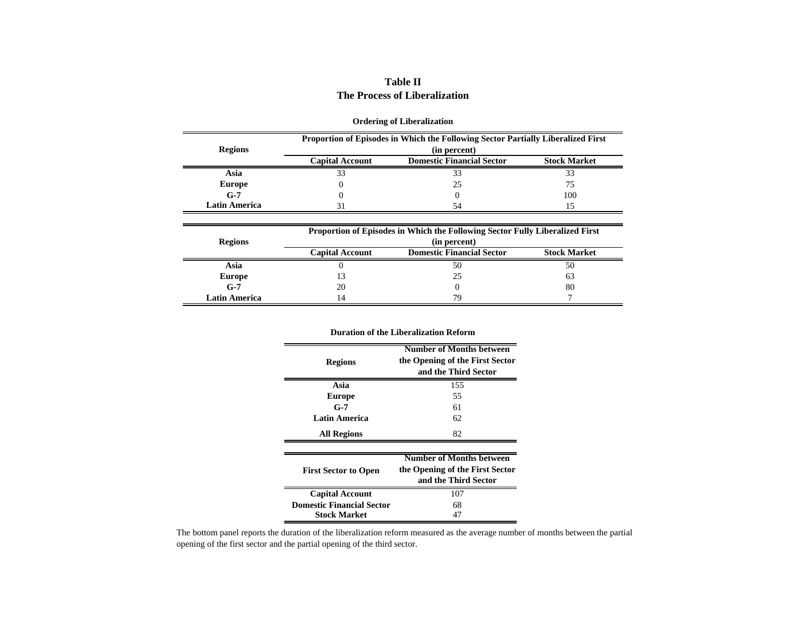#### **Table II The Process of Liberalization**

#### **Ordering of Liberalization**

|                      | <b>Proportion of Episodes in Which the Following Sector Partially Liberalized First</b> |                                  |                     |  |  |  |  |  |  |
|----------------------|-----------------------------------------------------------------------------------------|----------------------------------|---------------------|--|--|--|--|--|--|
| <b>Regions</b>       | (in percent)                                                                            |                                  |                     |  |  |  |  |  |  |
|                      | <b>Capital Account</b>                                                                  | <b>Domestic Financial Sector</b> | <b>Stock Market</b> |  |  |  |  |  |  |
| Asia                 | 33                                                                                      | 33                               | 33                  |  |  |  |  |  |  |
| <b>Europe</b>        |                                                                                         | 25                               | 75                  |  |  |  |  |  |  |
| $G-7$                |                                                                                         |                                  | 100                 |  |  |  |  |  |  |
| <b>Latin America</b> |                                                                                         | 54                               | 15                  |  |  |  |  |  |  |

|                |                        | <b>Proportion of Episodes in Which the Following Sector Fully Liberalized First</b> |                     |  |  |  |  |  |  |
|----------------|------------------------|-------------------------------------------------------------------------------------|---------------------|--|--|--|--|--|--|
| <b>Regions</b> | (in percent)           |                                                                                     |                     |  |  |  |  |  |  |
|                | <b>Capital Account</b> | <b>Domestic Financial Sector</b>                                                    | <b>Stock Market</b> |  |  |  |  |  |  |
| Asia           |                        | 50                                                                                  | 50                  |  |  |  |  |  |  |
| <b>Europe</b>  |                        | 25                                                                                  | 63                  |  |  |  |  |  |  |
| $G-7$          | 20                     |                                                                                     | 80                  |  |  |  |  |  |  |
| Latin America  |                        | 79                                                                                  |                     |  |  |  |  |  |  |

#### **Duration of the Liberalization Reform**

|                                  | Number of Months between        |
|----------------------------------|---------------------------------|
| <b>Regions</b>                   | the Opening of the First Sector |
|                                  | and the Third Sector            |
| Asia                             | 155                             |
| <b>Europe</b>                    | 55                              |
| $G-7$                            | 61                              |
| <b>Latin America</b>             | 62                              |
| <b>All Regions</b>               | 82                              |
|                                  |                                 |
|                                  | Number of Months between        |
| <b>First Sector to Open</b>      | the Opening of the First Sector |
|                                  | and the Third Sector            |
| <b>Capital Account</b>           | 107                             |
| <b>Domestic Financial Sector</b> | 68                              |
| <b>Stock Market</b>              | 47                              |

The bottom panel reports the duration of the liberalization reform measured as the average number of months between the partial opening of the first sector and the partial opening of the third sector.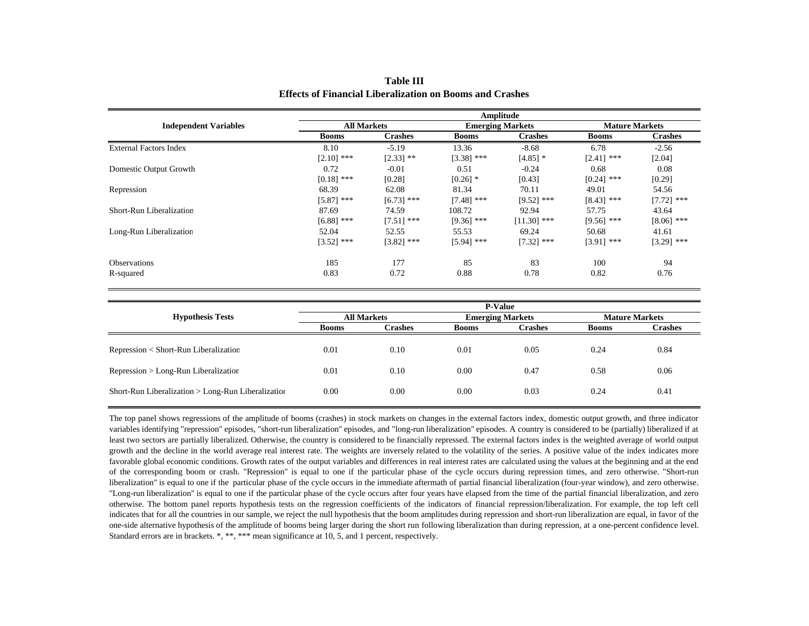|                               |                    |                |              | Amplitude               |                       |                |
|-------------------------------|--------------------|----------------|--------------|-------------------------|-----------------------|----------------|
| <b>Independent Variables</b>  | <b>All Markets</b> |                |              | <b>Emerging Markets</b> | <b>Mature Markets</b> |                |
|                               | <b>Booms</b>       | <b>Crashes</b> | <b>Booms</b> | <b>Crashes</b>          | <b>Booms</b>          | <b>Crashes</b> |
| <b>External Factors Index</b> | 8.10               | $-5.19$        | 13.36        | $-8.68$                 | 6.78                  | $-2.56$        |
|                               | $[2.10]$ ***       | $[2.33]$ **    | $[3.38]$ *** | $[4.85]$ *              | $[2.41]$ ***          | [2.04]         |
| Domestic Output Growth        | 0.72               | $-0.01$        | 0.51         | $-0.24$                 | 0.68                  | 0.08           |
|                               | $[0.18]$ ***       | [0.28]         | $[0.26]$ *   | [0.43]                  | $[0.24]$ ***          | [0.29]         |
| Repression                    | 68.39              | 62.08          | 81.34        | 70.11                   | 49.01                 | 54.56          |
|                               | $[5.87]$ ***       | $[6.73]$ ***   | $[7.48]$ *** | $[9.52]$ ***            | $[8.43]$ ***          | $[7.72]$ ***   |
| Short-Run Liberalization      | 87.69              | 74.59          | 108.72       | 92.94                   | 57.75                 | 43.64          |
|                               | $[6.88]$ ***       | $[7.51]$ ***   | $[9.36]$ *** | $[11.30]$ ***           | $[9.56]$ ***          | $[8.06]$ ***   |
| Long-Run Liberalization       | 52.04              | 52.55          | 55.53        | 69.24                   | 50.68                 | 41.61          |
|                               | $[3.52]$ ***       | $[3.82]$ ***   | $[5.94]$ *** | $[7.32]$ ***            | $[3.91]$ ***          | $[3.29]$ ***   |
| <b>Observations</b>           | 185                | 177            | 85           | 83                      | 100                   | 94             |
| R-squared                     | 0.83               | 0.72           | 0.88         | 0.78                    | 0.82                  | 0.76           |

**Table IIIEffects of Financial Liberalization on Booms and Crashes**

|                                                      |              |                    |              | <b>P-Value</b>          |                       |                |
|------------------------------------------------------|--------------|--------------------|--------------|-------------------------|-----------------------|----------------|
| <b>Hypothesis Tests</b>                              |              | <b>All Markets</b> |              | <b>Emerging Markets</b> | <b>Mature Markets</b> |                |
|                                                      | <b>Booms</b> | <b>Crashes</b>     | <b>Booms</b> | <b>Crashes</b>          | <b>Booms</b>          | <b>Crashes</b> |
|                                                      | 0.01         | 0.10               | 0.01         | 0.05                    | 0.24                  | 0.84           |
| Repression < Short-Run Liberalization                |              |                    |              |                         |                       |                |
| $Representation > Long-Run Liberalization$           | 0.01         | 0.10               | 0.00         | 0.47                    | 0.58                  | 0.06           |
| $Short-Run Liberalization > Long-Run Liberalization$ | 0.00         | 0.00               | 0.00         | 0.03                    | 0.24                  | 0.41           |

The top panel shows regressions of the amplitude of booms (crashes) in stock markets on changes in the external factors index, domestic output growth, and three indicator variables identifying "repression" episodes, "short-run liberalization" episodes, and "long-run liberalization" episodes. A country is considered to be (partially) liberalized if at least two sectors are partially liberalized. Otherwise, the country is considered to be financially repressed. The external factors index is the weighted average of world output growth and the decline in the world average real interest rate. The weights are inversely related to the volatility of the series. A positive value of the index indicates more favorable global economic conditions. Growth rates of the output variables and differences in real interest rates are calculated using the values at the beginning and at the end of the corresponding boom or crash. "Repression" is equal to one if the particular phase of the cycle occurs during repression times, and zero otherwise. "Short-run liberalization" is equal to one if the particular phase of the cycle occurs in the immediate aftermath of partial financial liberalization (four-year window), and zero otherwise. "Long-run liberalization" is equal to one if the particular phase of the cycle occurs after four years have elapsed from the time of the partial financial liberalization, and zero otherwise. The bottom panel reports hypothesis tests on the regression coefficients of the indicators of financial repression/liberalization. For example, the top left cell indicates that for all the countries in our sample, we reject the null hypothesis that the boom amplitudes during repression and short-run liberalization are equal, in favor of the one-side alternative hypothesis of the amplitude of booms being larger during the short run following liberalization than during repression, at <sup>a</sup> one-percen<sup>t</sup> confidence level. Standard errors are in brackets. \*, \*\*, \*\*\* mean significance at 10, 5, and 1 percent, respectively.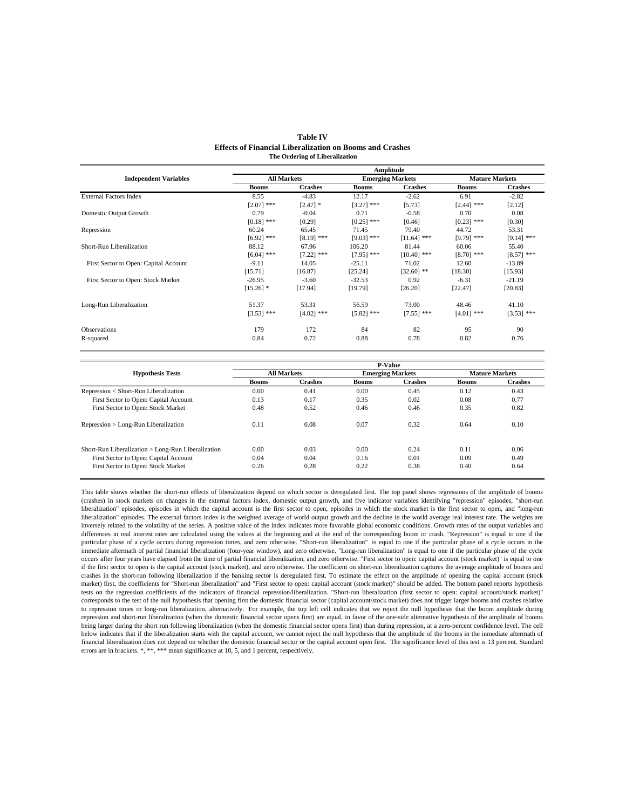| <b>Table IV</b>                                                 |  |  |  |  |  |
|-----------------------------------------------------------------|--|--|--|--|--|
| <b>Effects of Financial Liberalization on Booms and Crashes</b> |  |  |  |  |  |
| The Ordering of Liberalization                                  |  |  |  |  |  |

|                                       |              |                    |              | Amplitude               |                       |                |
|---------------------------------------|--------------|--------------------|--------------|-------------------------|-----------------------|----------------|
| <b>Independent Variables</b>          |              | <b>All Markets</b> |              | <b>Emerging Markets</b> | <b>Mature Markets</b> |                |
|                                       | <b>Booms</b> | <b>Crashes</b>     | <b>Booms</b> | <b>Crashes</b>          | <b>Booms</b>          | <b>Crashes</b> |
| <b>External Factors Index</b>         | 8.55         | $-4.83$            | 12.17        | $-2.62$                 | 6.91                  | $-2.82$        |
|                                       | $[2.07]$ *** | $[2.47]$ *         | $[3.27]$ *** | [5.73]                  | $[2.44]$ ***          | [2.12]         |
| Domestic Output Growth                | 0.79         | $-0.04$            | 0.71         | $-0.58$                 | 0.70                  | 0.08           |
|                                       | $[0.18]$ *** | [0.29]             | $[0.25]$ *** | [0.46]                  | $[0.23]$ ***          | [0.30]         |
| Repression                            | 60.24        | 65.45              | 71.45        | 79.40                   | 44.72                 | 53.31          |
|                                       | $[6.92]$ *** | $[8.19]$ ***       | $[9.03]$ *** | $[11.64]$ ***           | $[9.79]$ ***          | $[9.14]$ ***   |
| Short-Run Liberalization              | 88.12        | 67.96              | 106.20       | 81.44                   | 60.06                 | 55.40          |
|                                       | $[6.04]$ *** | $[7.22]$ ***       | $[7.95]$ *** | $[10.40]$ ***           | $[8.70]$ ***          | $[8.57]$ ***   |
| First Sector to Open: Capital Account | $-9.11$      | 14.05              | $-25.11$     | 71.02                   | 12.60                 | $-13.89$       |
|                                       | [15.71]      | [16.87]            | [25.24]      | $[32.60]$ **            | [18.30]               | [15.93]        |
| First Sector to Open: Stock Market    | $-26.95$     | $-3.60$            | $-32.53$     | 0.92                    | $-6.31$               | $-21.19$       |
|                                       | $[15.26]$ *  | [17.94]            | [19.79]      | [26.20]                 | [22.47]               | [20.83]        |
| Long-Run Liberalization               | 51.37        | 53.31              | 56.59        | 73.00                   | 48.46                 | 41.10          |
|                                       | $[3.53]$ *** | $[4.02]$ ***       | $[5.82]$ *** | $[7.55]$ ***            | $[4.01]$ ***          | $[3.53]$ ***   |
| <b>Observations</b>                   | 179          | 172                | 84           | 82                      | 95                    | 90             |
| R-squared                             | 0.84         | 0.72               | 0.88         | 0.78                    | 0.82                  | 0.76           |
|                                       |              |                    |              |                         |                       |                |

|                                                    | <b>P-Value</b> |                    |              |                         |                       |                |  |
|----------------------------------------------------|----------------|--------------------|--------------|-------------------------|-----------------------|----------------|--|
| <b>Hypothesis Tests</b>                            |                | <b>All Markets</b> |              | <b>Emerging Markets</b> | <b>Mature Markets</b> |                |  |
|                                                    | <b>Booms</b>   | <b>Crashes</b>     | <b>Booms</b> | <b>Crashes</b>          | <b>Booms</b>          | <b>Crashes</b> |  |
| Repression < Short-Run Liberalization              | 0.00           | 0.41               | 0.00         | 0.45                    | 0.12                  | 0.43           |  |
| First Sector to Open: Capital Account              | 0.13           | 0.17               | 0.35         | 0.02                    | 0.08                  | 0.77           |  |
| First Sector to Open: Stock Market                 | 0.48           | 0.52               | 0.46         | 0.46                    | 0.35                  | 0.82           |  |
| $Repression > Long-Run Liberalization$             | 0.11           | 0.08               | 0.07         | 0.32                    | 0.64                  | 0.10           |  |
| Short-Run Liberalization > Long-Run Liberalization | 0.00           | 0.03               | 0.00         | 0.24                    | 0.11                  | 0.06           |  |
| First Sector to Open: Capital Account              | 0.04           | 0.04               | 0.16         | 0.01                    | 0.09                  | 0.49           |  |
| First Sector to Open: Stock Market                 | 0.26           | 0.28               | 0.22         | 0.38                    | 0.40                  | 0.64           |  |

This table shows whether the short-run effects of liberalization depend on which sector is deregulated first. The top panel shows regressions of the amplitude of booms (crashes) in stock markets on changes in the external factors index, domestic output growth, and five indicator variables identifying "repression" episodes, "short-run liberalization" episodes, episodes in which the capital account is the first sector to open, episodes in which the stock market is the first sector to open, and "long-run liberalization" episodes. The external factors index is the weighted average of world output growth and the decline in the world average real interest rate. The weights are inversely related to the volatility of the series. A positive value of the index indicates more favorable global economic conditions. Growth rates of the output variables and differences in real interest rates are calculated using the values at the beginning and at the end of the corresponding boom or crash. "Repression" is equal to one if the particular phase of a cycle occurs during repression times, and zero otherwise. "Short-run liberalization" is equal to one if the particular phase of a cycle occurs in the immediate aftermath of partial financial liberalization (four-year window), and zero otherwise. "Long-run liberalization" is equal to one if the particular phase of the cycle occurs after four years have elapsed from the time of partial financial liberalization, and zero otherwise. "First sector to open: capital account (stock market)" is equal to one if the first sector to open is the capital account (stock market), and zero otherwise. The coefficient on short-run liberalization captures the average amplitude of booms and crashes in the short-run following liberalization if the banking sector is deregulated first. To estimate the effect on the amplitude of opening the capital account (stock market) first, the coefficients for "Short-run liberalization" and "First sector to open: capital account (stock market)" should be added. The bottom panel reports hypothesis tests on the regression coefficients of the indicators of financial repression/liberalization. "Short-run liberalization (first sector to open: capital account/stock market)" corresponds to the test of the null hypothesis that opening first the domestic financial sector (capital account/stock market) does not trigger larger booms and crashes relative to repression times or long-run liberalization, alternatively. For example, the top left cell indicates that we reject the null hypothesis that the boom amplitude during repression and short-run liberalization (when the domestic financial sector opens first) are equal, in favor of the one-side alternative hypothesis of the amplitude of booms being larger during the short run following liberalization (when the domestic financial sector opens first) than during repression, at a zero-percent confidence level. The cell below indicates that if the liberalization starts with the capital account, we cannot reject the null hypothesis that the amplitude of the booms in the inmediate aftermath of financial liberalization does not depend on whether the domestic financial sector or the capital account open first. The significance level of this test is 13 percent. Standard errors are in brackets. \*, \*\*, \*\*\* mean significance at 10, 5, and 1 percent, respectively.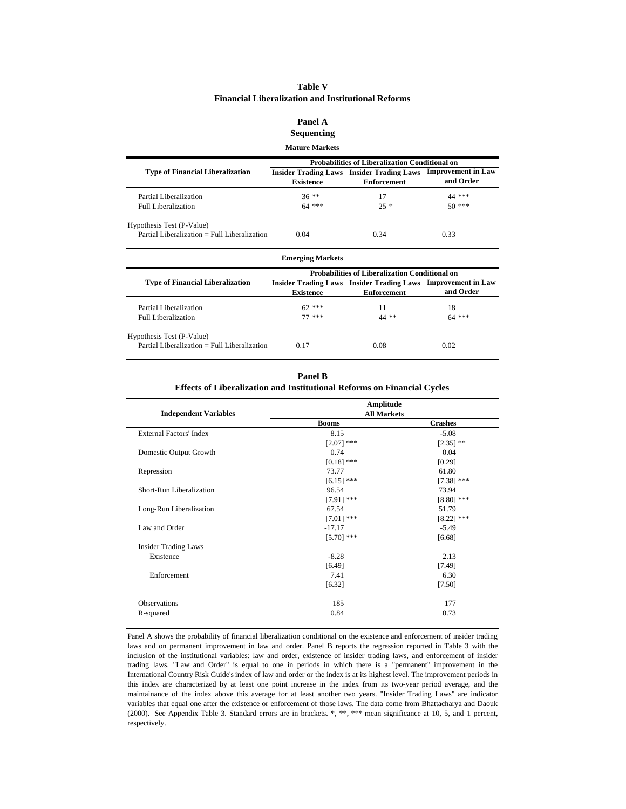#### **Table V Financial Liberalization and Institutional Reforms**

#### **Panel A Sequencing**

#### **Mature Markets**

|                                                                             |                  | <b>Probabilities of Liberalization Conditional on</b>                  |                                        |
|-----------------------------------------------------------------------------|------------------|------------------------------------------------------------------------|----------------------------------------|
| <b>Type of Financial Liberalization</b>                                     | <b>Existence</b> | <b>Insider Trading Laws</b> Insider Trading Laws<br><b>Enforcement</b> | <b>Improvement in Law</b><br>and Order |
| Partial Liberalization                                                      | $36***$          | 17                                                                     | 44 ***                                 |
| Full Liberalization                                                         | $64$ ***         | $25 *$                                                                 | $50***$                                |
| Hypothesis Test (P-Value)<br>Partial Liberalization $=$ Full Liberalization | 0.04             | 0.34                                                                   | 0.33                                   |

| <b>Emerging Markets</b>                                                     |                    |                                                                 |                                        |  |  |  |  |  |  |
|-----------------------------------------------------------------------------|--------------------|-----------------------------------------------------------------|----------------------------------------|--|--|--|--|--|--|
|                                                                             |                    | <b>Probabilities of Liberalization Conditional on</b>           |                                        |  |  |  |  |  |  |
| <b>Type of Financial Liberalization</b>                                     | <b>Existence</b>   | <b>Insider Trading Laws</b> Insider Trading Laws<br>Enforcement | <b>Improvement in Law</b><br>and Order |  |  |  |  |  |  |
| Partial Liberalization<br>Full Liberalization                               | $62***$<br>$77***$ | 11<br>44 **                                                     | 18<br>$64$ ***                         |  |  |  |  |  |  |
| Hypothesis Test (P-Value)<br>Partial Liberalization $=$ Full Liberalization | 0.17               | 0.08                                                            | 0.02                                   |  |  |  |  |  |  |

#### **Panel B**

**Effects of Liberalization and Institutional Reforms on Financial Cycles**

|                                | Amplitude          |                |  |  |
|--------------------------------|--------------------|----------------|--|--|
| <b>Independent Variables</b>   | <b>All Markets</b> |                |  |  |
|                                | <b>Booms</b>       | <b>Crashes</b> |  |  |
| <b>External Factors' Index</b> | 8.15               | $-5.08$        |  |  |
|                                | $[2.07]$ ***       | $[2.35]$ **    |  |  |
| Domestic Output Growth         | 0.74               | 0.04           |  |  |
|                                | $[0.18]$ ***       | [0.29]         |  |  |
| Repression                     | 73.77              | 61.80          |  |  |
|                                | $[6.15]$ ***       | $[7.38]$ ***   |  |  |
| Short-Run Liberalization       | 96.54              | 73.94          |  |  |
|                                | $[7.91]$ ***       | $[8.80]$ ***   |  |  |
| Long-Run Liberalization        | 67.54              | 51.79          |  |  |
|                                | $[7.01]$ ***       | $[8.22]$ ***   |  |  |
| Law and Order                  | $-17.17$           | $-5.49$        |  |  |
|                                | $[5.70]$ ***       | [6.68]         |  |  |
| <b>Insider Trading Laws</b>    |                    |                |  |  |
| Existence                      | $-8.28$            | 2.13           |  |  |
|                                | [6.49]             | [7.49]         |  |  |
| Enforcement                    | 7.41               | 6.30           |  |  |
|                                | [6.32]             | [7.50]         |  |  |
| Observations                   | 185                | 177            |  |  |
| R-squared                      | 0.84               | 0.73           |  |  |

Panel A shows the probability of financial liberalization conditional on the existence and enforcement of insider trading laws and on permanent improvement in law and order. Panel B reports the regression reported in Table 3 with the inclusion of the institutional variables: law and order, existence of insider trading laws, and enforcement of insider trading laws. "Law and Order" is equal to one in periods in which there is a "permanent" improvement in the International Country Risk Guide's index of law and order or the index is at its highest level. The improvement periods in this index are characterized by at least one point increase in the index from its two-year period average, and the maintainance of the index above this average for at least another two years. "Insider Trading Laws" are indicator variables that equal one after the existence or enforcement of those laws. The data come from Bhattacharya and Daouk (2000). See Appendix Table 3. Standard errors are in brackets. \*, \*\*, \*\*\* mean significance at 10, 5, and 1 percent, respectively.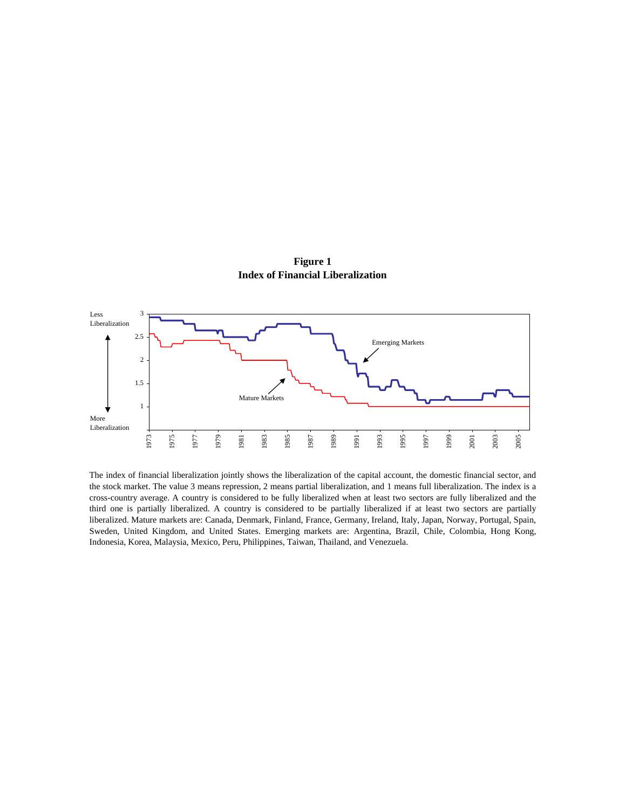

**Index of Financial Liberalization Figure 1**

The index of financial liberalization jointly shows the liberalization of the capital account, the domestic financial sector, and the stock market. The value 3 means repression, 2 means partial liberalization, and 1 means full liberalization. The index is a cross-country average. A country is considered to be fully liberalized when at least two sectors are fully liberalized and the third one is partially liberalized. A country is considered to be partially liberalized if at least two sectors are partially liberalized. Mature markets are: Canada, Denmark, Finland, France, Germany, Ireland, Italy, Japan, Norway, Portugal, Spain, Sweden, United Kingdom, and United States. Emerging markets are: Argentina, Brazil, Chile, Colombia, Hong Kong, Indonesia, Korea, Malaysia, Mexico, Peru, Philippines, Taiwan, Thailand, and Venezuela.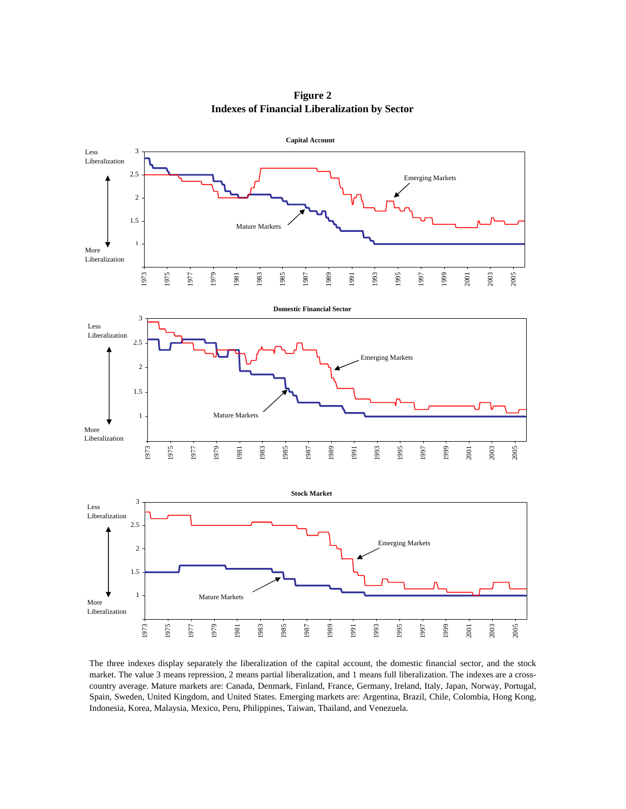**Indexes of Financial Liberalization by Sector Figure 2**



The three indexes display separately the liberalization of the capital account, the domestic financial sector, and the stock market. The value 3 means repression, 2 means partial liberalization, and 1 means full liberalization. The indexes are a crosscountry average. Mature markets are: Canada, Denmark, Finland, France, Germany, Ireland, Italy, Japan, Norway, Portugal, Spain, Sweden, United Kingdom, and United States. Emerging markets are: Argentina, Brazil, Chile, Colombia, Hong Kong, Indonesia, Korea, Malaysia, Mexico, Peru, Philippines, Taiwan, Thailand, and Venezuela.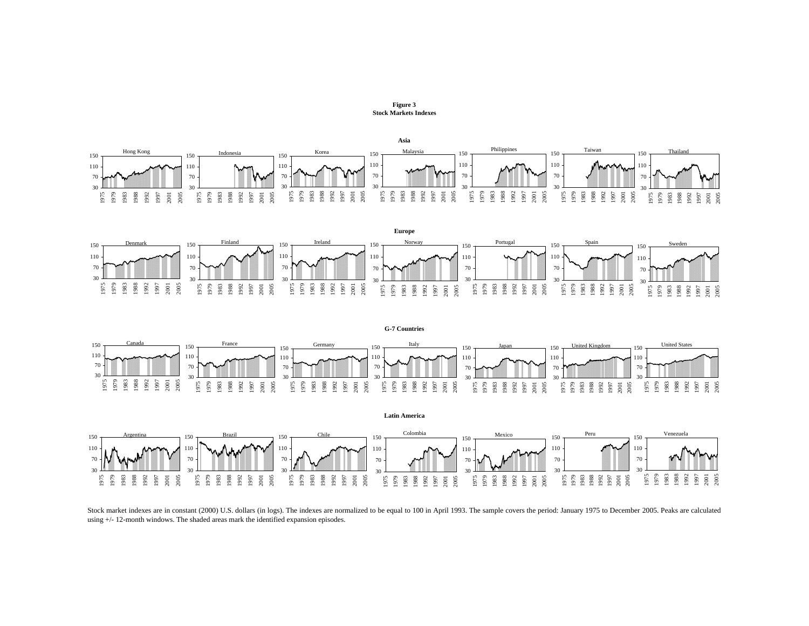

**Figure 3 Stock Markets Indexes**



**G-7 Countries** Japan  $\overline{30}$  **United Stat**  2005 Canada German  $\overline{30}$  **Italy**  France United Kingdom 



Stock market indexes are in constant (2000) U.S. dollars (in logs). The indexes are normalized to be equal to 100 in April 1993. The sample covers the period: January 1975 to December 2005. Peaks are calculated using +/- 12-month windows. The shaded areas mark the identified expansion episodes.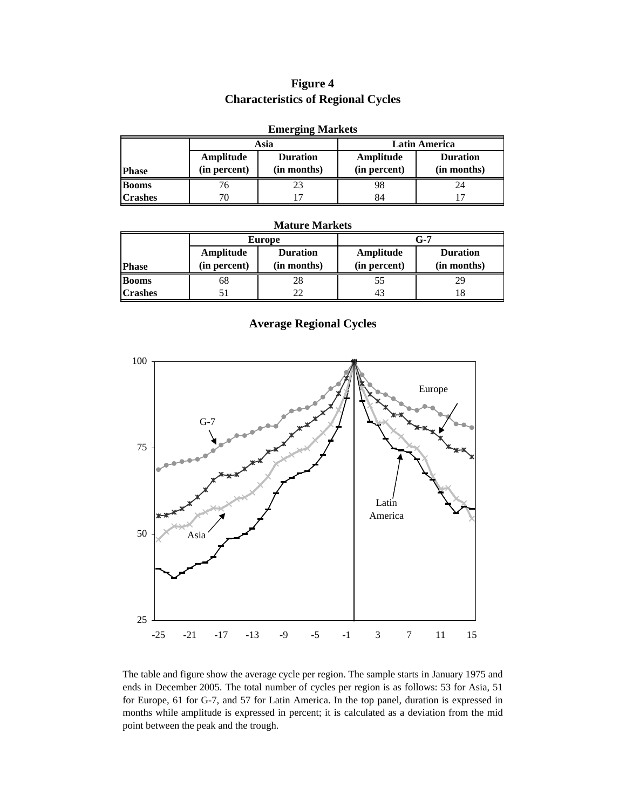# **Figure 4 Characteristics of Regional Cycles**

### **Emerging Markets**

|                | Asia                                                        |    | <b>Latin America</b>      |                                |  |
|----------------|-------------------------------------------------------------|----|---------------------------|--------------------------------|--|
| <b>Phase</b>   | Amplitude<br><b>Duration</b><br>(in months)<br>(in percent) |    | Amplitude<br>(in percent) | <b>Duration</b><br>(in months) |  |
| <b>Booms</b>   | 76                                                          | 23 | 98                        | 24                             |  |
| <b>Crashes</b> | 70                                                          |    | 84                        |                                |  |

| waatan cirtaa neg |                           |                                |                           |                                |  |
|-------------------|---------------------------|--------------------------------|---------------------------|--------------------------------|--|
|                   | Europe                    |                                | $G-7$                     |                                |  |
| <b>Phase</b>      | Amplitude<br>(in percent) | <b>Duration</b><br>(in months) | Amplitude<br>(in percent) | <b>Duration</b><br>(in months) |  |
| <b>Booms</b>      | 68                        | 28                             | 55                        | 29                             |  |
| <b>Crashes</b>    | 5 I                       | 22                             | 43                        |                                |  |

### **Mature Markets**

# **Average Regional Cycles**



The table and figure show the average cycle per region. The sample starts in January 1975 and ends in December 2005. The total number of cycles per region is as follows: 53 for Asia, 51 for Europe, 61 for G-7, and 57 for Latin America. In the top panel, duration is expressed in months while amplitude is expressed in percent; it is calculated as a deviation from the mid point between the peak and the trough.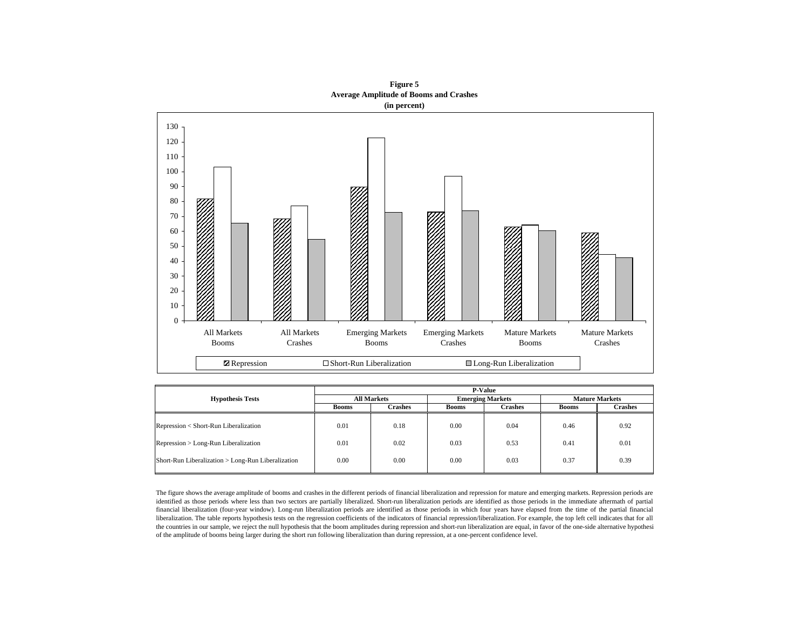

**Figure 5 Average Amplitude of Booms and Crashes (in percent)**

|                                                    | <b>P-Value</b>     |                |                         |                |                       |                |
|----------------------------------------------------|--------------------|----------------|-------------------------|----------------|-----------------------|----------------|
| <b>Hypothesis Tests</b>                            | <b>All Markets</b> |                | <b>Emerging Markets</b> |                | <b>Mature Markets</b> |                |
|                                                    | <b>Booms</b>       | <b>Crashes</b> | <b>Booms</b>            | <b>Crashes</b> | <b>Booms</b>          | <b>Crashes</b> |
| Repression < Short-Run Liberalization              | 0.01               | 0.18           | 0.00                    | 0.04           | 0.46                  | 0.92           |
| Repression > Long-Run Liberalization               | 0.01               | 0.02           | 0.03                    | 0.53           | 0.41                  | 0.01           |
| Short-Run Liberalization > Long-Run Liberalization | 0.00               | 0.00           | 0.00                    | 0.03           | 0.37                  | 0.39           |

The figure shows the average amplitude of booms and crashes in the different periods of financial liberalization and repression for mature and emerging markets. Repression periods are identified as those periods where less than two sectors are partially liberalized. Short-run liberalization periods are identified as those periods in the immediate aftermath of partial financial liberalization (four-year window). Long-run liberalization periods are identified as those periods in which four years have elapsed from the time of the partial financial liberalization. The table reports hypothesis tests on the regression coefficients of the indicators of financial repression/liberalization. For example, the top left cell indicates that for all the countries in our sample, we reject the null hypothesis that the boom amplitudes during repression and short-run liberalization are equal, in favor of the one-side alternative hypothesi of the amplitude of booms being larger during the short run following liberalization than during repression, at a one-percent confidence level.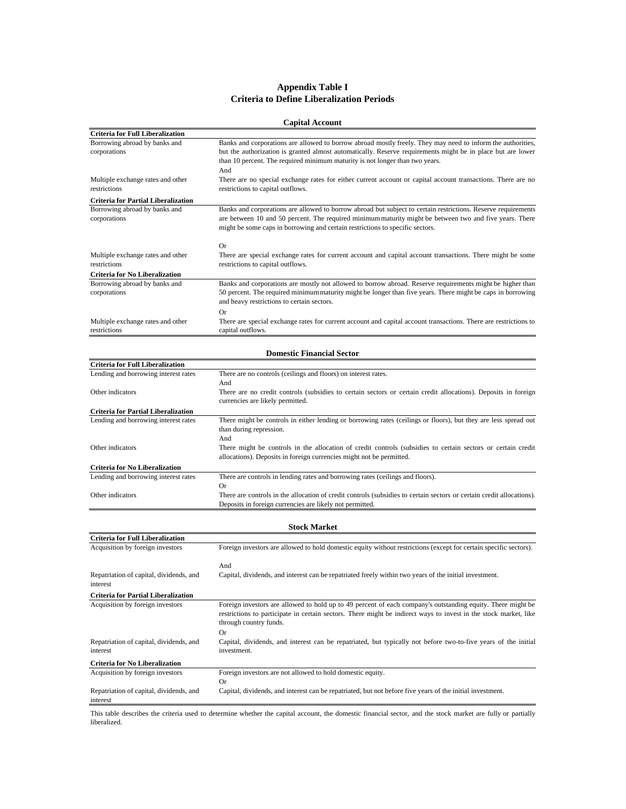# **Criteria to Define Liberalization Periods Appendix Table I**

#### **Capital Account**

| <b>Criteria for Full Liberalization</b>           |                                                                                                                                                                                                                                                                                                                   |
|---------------------------------------------------|-------------------------------------------------------------------------------------------------------------------------------------------------------------------------------------------------------------------------------------------------------------------------------------------------------------------|
| Borrowing abroad by banks and<br>corporations     | Banks and corporations are allowed to borrow abroad mostly freely. They may need to inform the authorities,<br>but the authorization is granted almost automatically. Reserve requirements might be in place but are lower<br>than 10 percent. The required minimum maturity is not longer than two years.<br>And |
| Multiple exchange rates and other<br>restrictions | There are no special exchange rates for either current account or capital account transactions. There are no<br>restrictions to capital outflows.                                                                                                                                                                 |
| <b>Criteria for Partial Liberalization</b>        |                                                                                                                                                                                                                                                                                                                   |
| Borrowing abroad by banks and<br>corporations     | Banks and corporations are allowed to borrow abroad but subject to certain restrictions. Reserve requirements<br>are between 10 and 50 percent. The required minimum maturity might be between two and five years. There<br>might be some caps in borrowing and certain restrictions to specific sectors.         |
|                                                   | Or                                                                                                                                                                                                                                                                                                                |
| Multiple exchange rates and other<br>restrictions | There are special exchange rates for current account and capital account transactions. There might be some<br>restrictions to capital outflows.                                                                                                                                                                   |
| <b>Criteria for No Liberalization</b>             |                                                                                                                                                                                                                                                                                                                   |
| Borrowing abroad by banks and<br>corporations     | Banks and corporations are mostly not allowed to borrow abroad. Reserve requirements might be higher than<br>50 percent. The required minimum maturity might be longer than five years. There might be caps in borrowing<br>and heavy restrictions to certain sectors.                                            |
|                                                   | Or                                                                                                                                                                                                                                                                                                                |
| Multiple exchange rates and other<br>restrictions | There are special exchange rates for current account and capital account transactions. There are restrictions to<br>capital outflows.                                                                                                                                                                             |

| <b>Domestic Financial Sector</b>           |                                                                                                                       |  |  |  |
|--------------------------------------------|-----------------------------------------------------------------------------------------------------------------------|--|--|--|
| Criteria for Full Liberalization           |                                                                                                                       |  |  |  |
| Lending and borrowing interest rates       | There are no controls (ceilings and floors) on interest rates.                                                        |  |  |  |
|                                            | And                                                                                                                   |  |  |  |
| Other indicators                           | There are no credit controls (subsidies to certain sectors or certain credit allocations). Deposits in foreign        |  |  |  |
|                                            | currencies are likely permitted.                                                                                      |  |  |  |
| <b>Criteria for Partial Liberalization</b> |                                                                                                                       |  |  |  |
| Lending and borrowing interest rates       | There might be controls in either lending or borrowing rates (ceilings or floors), but they are less spread out       |  |  |  |
|                                            | than during repression.                                                                                               |  |  |  |
|                                            | And                                                                                                                   |  |  |  |
| Other indicators                           | There might be controls in the allocation of credit controls (subsidies to certain sectors or certain credit          |  |  |  |
|                                            | allocations). Deposits in foreign currencies might not be permitted.                                                  |  |  |  |
| <b>Criteria for No Liberalization</b>      |                                                                                                                       |  |  |  |
| Lending and borrowing interest rates       | There are controls in lending rates and borrowing rates (ceilings and floors).                                        |  |  |  |
|                                            | Or                                                                                                                    |  |  |  |
| Other indicators                           | There are controls in the allocation of credit controls (subsidies to certain sectors or certain credit allocations). |  |  |  |
|                                            | Deposits in foreign currencies are likely not permitted.                                                              |  |  |  |

| <b>Stock Market</b>                                 |                                                                                                                                                                                                                                                           |  |  |
|-----------------------------------------------------|-----------------------------------------------------------------------------------------------------------------------------------------------------------------------------------------------------------------------------------------------------------|--|--|
| <b>Criteria for Full Liberalization</b>             |                                                                                                                                                                                                                                                           |  |  |
| Acquisition by foreign investors                    | Foreign investors are allowed to hold domestic equity without restrictions (except for certain specific sectors).                                                                                                                                         |  |  |
|                                                     | And                                                                                                                                                                                                                                                       |  |  |
| Repatriation of capital, dividends, and<br>interest | Capital, dividends, and interest can be repatriated freely within two years of the initial investment.                                                                                                                                                    |  |  |
| <b>Criteria for Partial Liberalization</b>          |                                                                                                                                                                                                                                                           |  |  |
| Acquisition by foreign investors                    | Foreign investors are allowed to hold up to 49 percent of each company's outstanding equity. There might be<br>restrictions to participate in certain sectors. There might be indirect ways to invest in the stock market, like<br>through country funds. |  |  |
|                                                     | Or                                                                                                                                                                                                                                                        |  |  |
| Repatriation of capital, dividends, and<br>interest | Capital, dividends, and interest can be repatriated, but typically not before two-to-five years of the initial<br>investment.                                                                                                                             |  |  |
| Criteria for No Liberalization                      |                                                                                                                                                                                                                                                           |  |  |
| Acquisition by foreign investors                    | Foreign investors are not allowed to hold domestic equity.<br><b>Or</b>                                                                                                                                                                                   |  |  |
| Repatriation of capital, dividends, and<br>interest | Capital, dividends, and interest can be repatriated, but not before five years of the initial investment.                                                                                                                                                 |  |  |

This table describes the criteria used to determine whether the capital account, the domestic financial sector, and the stock market are fully or partially liberalized.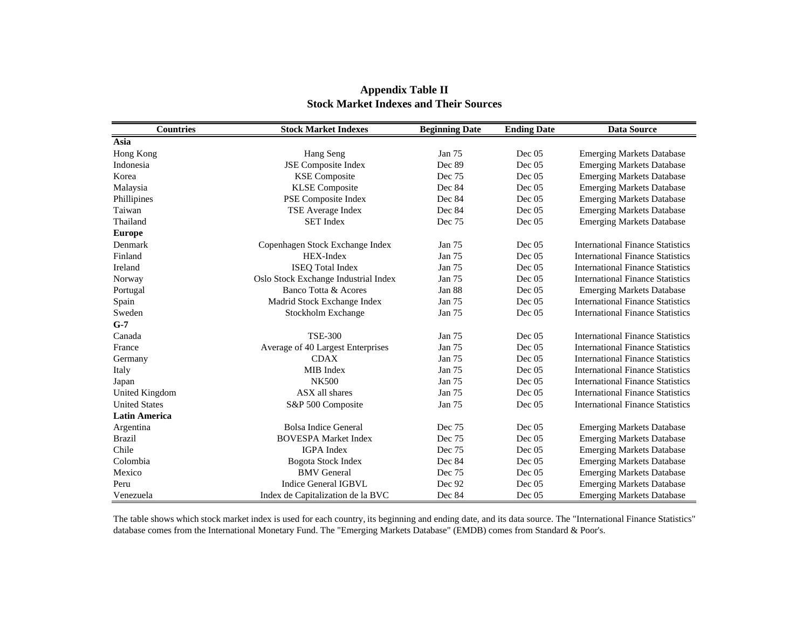| <b>Countries</b>     | <b>Stock Market Indexes</b>          | <b>Beginning Date</b> | <b>Ending Date</b> | Data Source                             |
|----------------------|--------------------------------------|-----------------------|--------------------|-----------------------------------------|
| Asia                 |                                      |                       |                    |                                         |
| Hong Kong            | Hang Seng                            | Jan 75                | Dec 05             | <b>Emerging Markets Database</b>        |
| Indonesia            | <b>JSE</b> Composite Index           | Dec 89                | Dec 05             | <b>Emerging Markets Database</b>        |
| Korea                | <b>KSE</b> Composite                 | Dec 75                | Dec 05             | <b>Emerging Markets Database</b>        |
| Malaysia             | <b>KLSE</b> Composite                | Dec 84                | Dec 05             | <b>Emerging Markets Database</b>        |
| Phillipines          | PSE Composite Index                  | Dec 84                | Dec 05             | <b>Emerging Markets Database</b>        |
| Taiwan               | TSE Average Index                    | Dec 84                | Dec 05             | <b>Emerging Markets Database</b>        |
| Thailand             | <b>SET</b> Index                     | Dec 75                | Dec 05             | <b>Emerging Markets Database</b>        |
| <b>Europe</b>        |                                      |                       |                    |                                         |
| Denmark              | Copenhagen Stock Exchange Index      | Jan 75                | Dec 05             | <b>International Finance Statistics</b> |
| Finland              | HEX-Index                            | Jan 75                | Dec 05             | <b>International Finance Statistics</b> |
| Ireland              | <b>ISEQ Total Index</b>              | Jan 75                | Dec 05             | <b>International Finance Statistics</b> |
| Norway               | Oslo Stock Exchange Industrial Index | Jan 75                | Dec 05             | <b>International Finance Statistics</b> |
| Portugal             | Banco Totta & Acores                 | Jan 88                | Dec 05             | <b>Emerging Markets Database</b>        |
| Spain                | Madrid Stock Exchange Index          | Jan 75                | Dec 05             | <b>International Finance Statistics</b> |
| Sweden               | Stockholm Exchange                   | Jan 75                | Dec 05             | <b>International Finance Statistics</b> |
| $G-7$                |                                      |                       |                    |                                         |
| Canada               | <b>TSE-300</b>                       | Jan 75                | Dec 05             | <b>International Finance Statistics</b> |
| France               | Average of 40 Largest Enterprises    | Jan 75                | Dec 05             | <b>International Finance Statistics</b> |
| Germany              | <b>CDAX</b>                          | Jan 75                | Dec 05             | <b>International Finance Statistics</b> |
| Italy                | MIB Index                            | Jan 75                | Dec 05             | <b>International Finance Statistics</b> |
| Japan                | <b>NK500</b>                         | Jan 75                | Dec 05             | <b>International Finance Statistics</b> |
| United Kingdom       | ASX all shares                       | Jan 75                | Dec 05             | <b>International Finance Statistics</b> |
| <b>United States</b> | S&P 500 Composite                    | Jan 75                | Dec 05             | <b>International Finance Statistics</b> |
| <b>Latin America</b> |                                      |                       |                    |                                         |
| Argentina            | <b>Bolsa Indice General</b>          | Dec 75                | Dec 05             | <b>Emerging Markets Database</b>        |
| <b>Brazil</b>        | <b>BOVESPA Market Index</b>          | Dec 75                | Dec 05             | <b>Emerging Markets Database</b>        |
| Chile                | <b>IGPA</b> Index                    | Dec 75                | Dec 05             | <b>Emerging Markets Database</b>        |
| Colombia             | <b>Bogota Stock Index</b>            | Dec 84                | Dec 05             | <b>Emerging Markets Database</b>        |
| Mexico               | <b>BMV</b> General                   | Dec 75                | Dec 05             | <b>Emerging Markets Database</b>        |
| Peru                 | <b>Indice General IGBVL</b>          | Dec 92                | Dec 05             | <b>Emerging Markets Database</b>        |
| Venezuela            | Index de Capitalization de la BVC    | Dec 84                | Dec 05             | <b>Emerging Markets Database</b>        |

# **Appendix Table II Stock Market Indexes and Their Sources**

The table shows which stock market index is used for each country, its beginning and ending date, and its data source. The "International Finance Statistics" database comes from the International Monetary Fund. The "Emerging Markets Database" (EMDB) comes from Standard & Poor's.